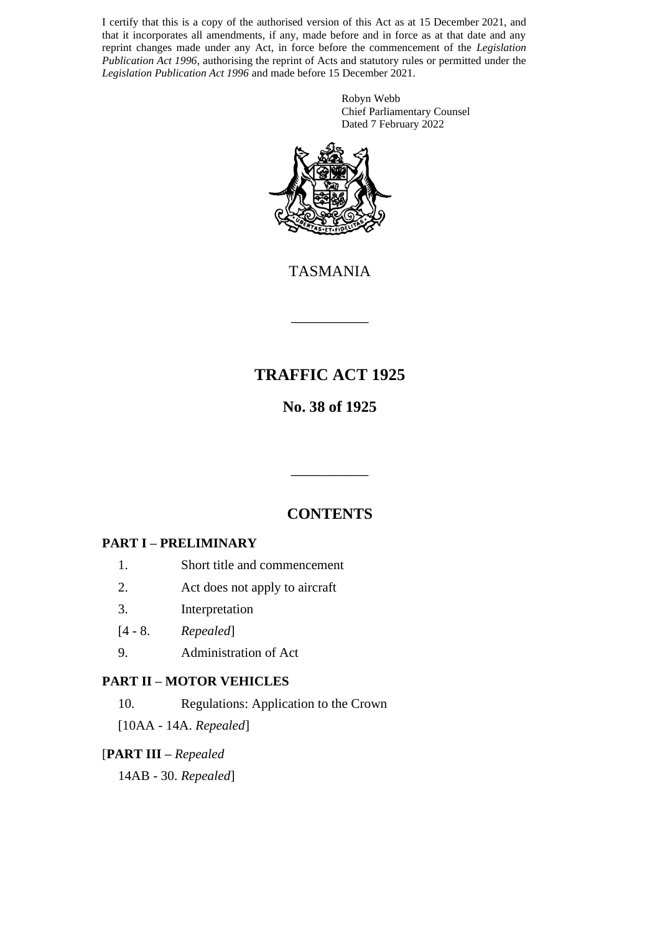I certify that this is a copy of the authorised version of this Act as at 15 December 2021, and that it incorporates all amendments, if any, made before and in force as at that date and any reprint changes made under any Act, in force before the commencement of the *Legislation Publication Act 1996*, authorising the reprint of Acts and statutory rules or permitted under the *Legislation Publication Act 1996* and made before 15 December 2021.

> Robyn Webb Chief Parliamentary Counsel Dated 7 February 2022



TASMANIA

\_\_\_\_\_\_\_\_\_\_

# **TRAFFIC ACT 1925**

# **No. 38 of 1925**

# **CONTENTS**

\_\_\_\_\_\_\_\_\_\_

### **PART I – PRELIMINARY**

- 1. Short title and commencement
- 2. Act does not apply to aircraft
- 3. Interpretation
- [4 8. *Repealed*]
- 9. Administration of Act

#### **PART II – MOTOR VEHICLES**

10. Regulations: Application to the Crown

[10AA - 14A. *Repealed*]

#### [**PART III –** *Repealed*

14AB - 30. *Repealed*]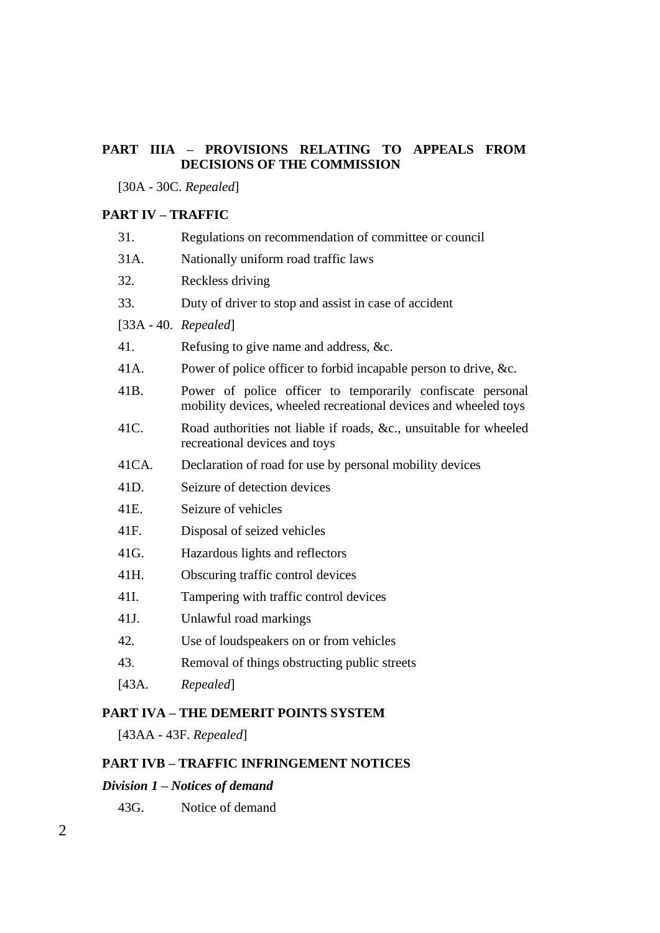#### **PART IIIA – PROVISIONS RELATING TO APPEALS FROM DECISIONS OF THE COMMISSION**

[30A - 30C. *Repealed*]

## **PART IV – TRAFFIC**

| 31.                    | Regulations on recommendation of committee or council                                                                         |  |  |  |
|------------------------|-------------------------------------------------------------------------------------------------------------------------------|--|--|--|
| 31A.                   | Nationally uniform road traffic laws                                                                                          |  |  |  |
| 32.                    | Reckless driving                                                                                                              |  |  |  |
| 33.                    | Duty of driver to stop and assist in case of accident                                                                         |  |  |  |
| $[33A - 40.$ Repealed] |                                                                                                                               |  |  |  |
| 41.                    | Refusing to give name and address, &c.                                                                                        |  |  |  |
| 41A.                   | Power of police officer to forbid incapable person to drive, &c.                                                              |  |  |  |
| 41B.                   | Power of police officer to temporarily confiscate personal<br>mobility devices, wheeled recreational devices and wheeled toys |  |  |  |
| 41C.                   | Road authorities not liable if roads, &c., unsuitable for wheeled<br>recreational devices and toys                            |  |  |  |
| 41CA.                  | Declaration of road for use by personal mobility devices                                                                      |  |  |  |
| 41D.                   | Seizure of detection devices                                                                                                  |  |  |  |
| 41E.                   | Seizure of vehicles                                                                                                           |  |  |  |
| 41F.                   | Disposal of seized vehicles                                                                                                   |  |  |  |
| 41G.                   | Hazardous lights and reflectors                                                                                               |  |  |  |
| 41H.                   | Obscuring traffic control devices                                                                                             |  |  |  |
| 41I.                   | Tampering with traffic control devices                                                                                        |  |  |  |
| 41J.                   | Unlawful road markings                                                                                                        |  |  |  |
| 42.                    | Use of loudspeakers on or from vehicles                                                                                       |  |  |  |
| 43.                    | Removal of things obstructing public streets                                                                                  |  |  |  |
| [43A.                  | Repealed                                                                                                                      |  |  |  |

#### **PART IVA – THE DEMERIT POINTS SYSTEM**

[43AA - 43F. *Repealed*]

## **PART IVB – TRAFFIC INFRINGEMENT NOTICES**

## *Division 1 – Notices of demand*

43G. Notice of demand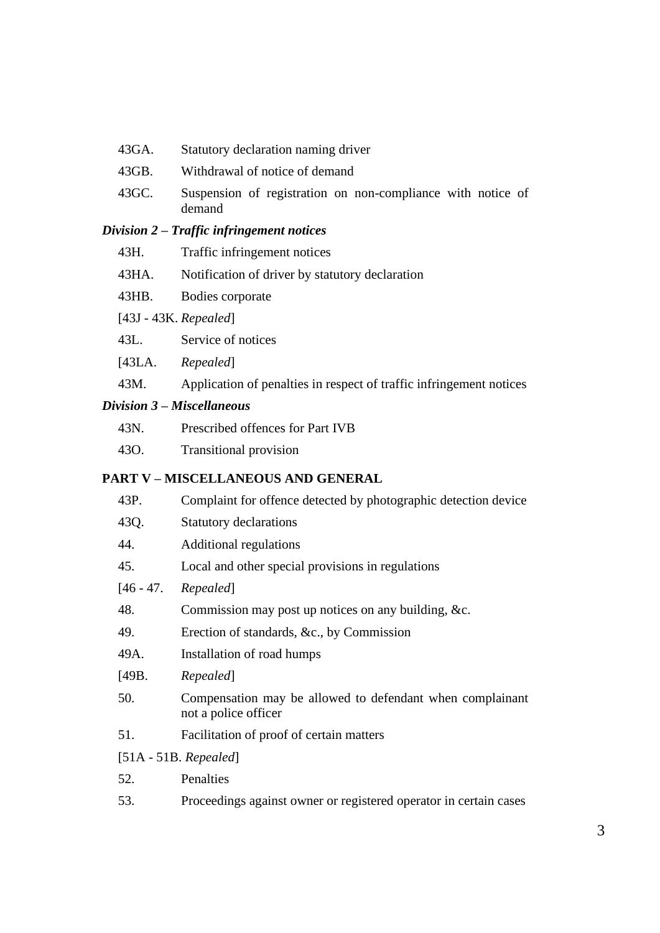- 43GA. Statutory declaration naming driver
- 43GB. Withdrawal of notice of demand
- 43GC. Suspension of registration on non-compliance with notice of demand

#### *Division 2 – Traffic infringement notices*

- 43H. Traffic infringement notices
- 43HA. Notification of driver by statutory declaration
- 43HB. Bodies corporate
- [43J 43K. *Repealed*]
- 43L. Service of notices
- [43LA. *Repealed*]
- 43M. Application of penalties in respect of traffic infringement notices

#### *Division 3 – Miscellaneous*

- 43N. Prescribed offences for Part IVB
- 43O. Transitional provision

#### **PART V – MISCELLANEOUS AND GENERAL**

| 43P.        | Complaint for offence detected by photographic detection device                   |  |  |  |
|-------------|-----------------------------------------------------------------------------------|--|--|--|
| 43Q.        | <b>Statutory declarations</b>                                                     |  |  |  |
| 44.         | <b>Additional regulations</b>                                                     |  |  |  |
| 45.         | Local and other special provisions in regulations                                 |  |  |  |
| $[46 - 47]$ | Repealed]                                                                         |  |  |  |
| 48.         | Commission may post up notices on any building, &c.                               |  |  |  |
| 49.         | Erection of standards, &c., by Commission                                         |  |  |  |
| 49A.        | Installation of road humps                                                        |  |  |  |
| [49B.       | Repealed                                                                          |  |  |  |
| 50.         | Compensation may be allowed to defendant when complainant<br>not a police officer |  |  |  |
| 51.         | Facilitation of proof of certain matters                                          |  |  |  |
|             | $[51A - 51B. Repeated]$                                                           |  |  |  |
| 52.         | Penalties                                                                         |  |  |  |
| 53.         | Proceedings against owner or registered operator in certain cases                 |  |  |  |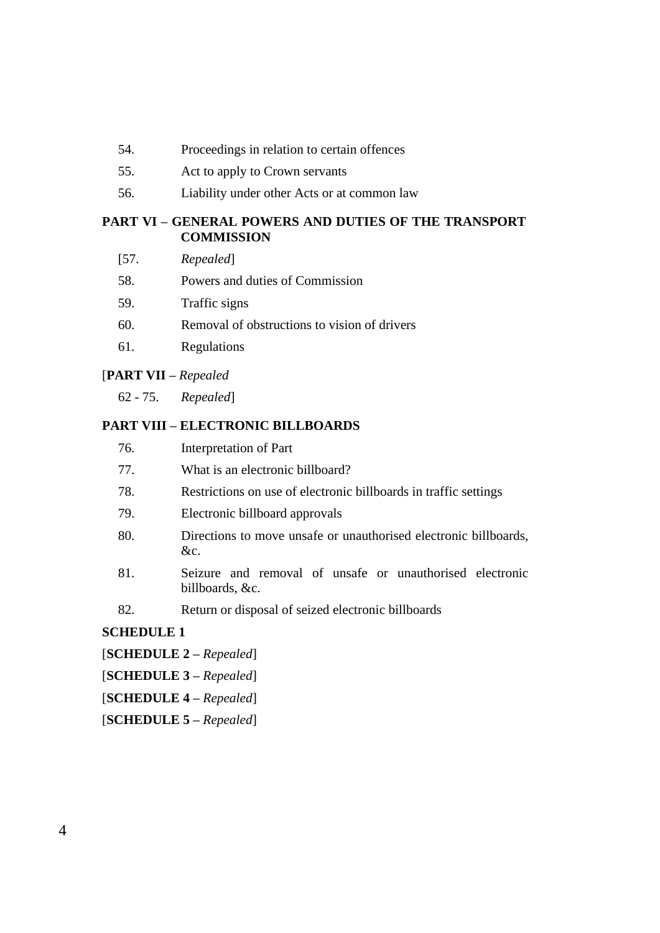- 54. Proceedings in relation to certain offences
- 55. Act to apply to Crown servants
- 56. Liability under other Acts or at common law

#### **PART VI – GENERAL POWERS AND DUTIES OF THE TRANSPORT COMMISSION**

- [57. *Repealed*]
- 58. Powers and duties of Commission
- 59. Traffic signs
- 60. Removal of obstructions to vision of drivers
- 61. Regulations

#### [**PART VII –** *Repealed*

62 - 75. *Repealed*]

#### **PART VIII – ELECTRONIC BILLBOARDS**

- 76. Interpretation of Part
- 77. What is an electronic billboard?
- 78. Restrictions on use of electronic billboards in traffic settings
- 79. Electronic billboard approvals
- 80. Directions to move unsafe or unauthorised electronic billboards, &c.
- 81. Seizure and removal of unsafe or unauthorised electronic billboards, &c.
- 82. Return or disposal of seized electronic billboards

#### **SCHEDULE 1**

- [**SCHEDULE 2 –** *Repealed*]
- [**SCHEDULE 3 –** *Repealed*]
- [**SCHEDULE 4 –** *Repealed*]
- [**SCHEDULE 5 –** *Repealed*]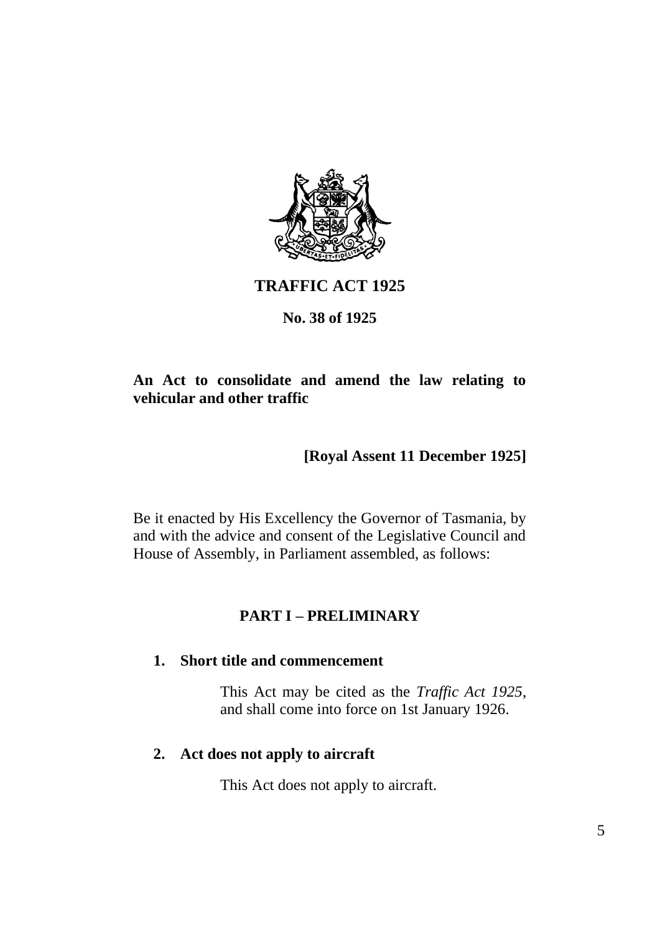

# **TRAFFIC ACT 1925**

## **No. 38 of 1925**

## **An Act to consolidate and amend the law relating to vehicular and other traffic**

# **[Royal Assent 11 December 1925]**

Be it enacted by His Excellency the Governor of Tasmania, by and with the advice and consent of the Legislative Council and House of Assembly, in Parliament assembled, as follows:

## **PART I – PRELIMINARY**

### **1. Short title and commencement**

This Act may be cited as the *Traffic Act 1925*, and shall come into force on 1st January 1926.

### **2. Act does not apply to aircraft**

This Act does not apply to aircraft.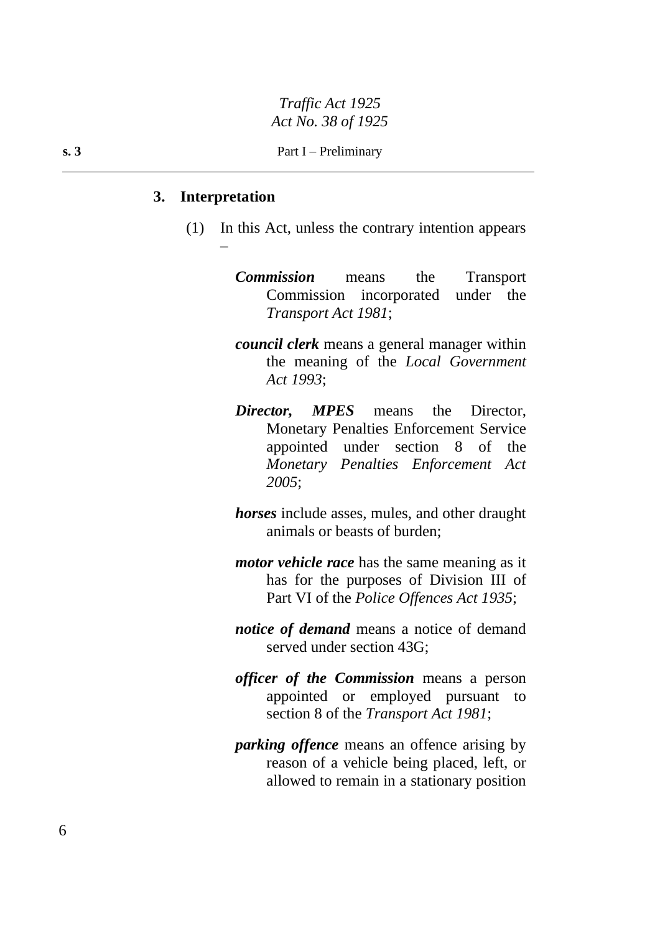#### **3. Interpretation**

–

(1) In this Act, unless the contrary intention appears

*Commission* means the Transport Commission incorporated under the *Transport Act 1981*;

- *council clerk* means a general manager within the meaning of the *Local Government Act 1993*;
- *Director, MPES* means the Director, Monetary Penalties Enforcement Service appointed under section 8 of the *Monetary Penalties Enforcement Act 2005*;
- *horses* include asses, mules, and other draught animals or beasts of burden;
- *motor vehicle race* has the same meaning as it has for the purposes of Division III of Part VI of the *Police Offences Act 1935*;
- *notice of demand* means a notice of demand served under section 43G;
- *officer of the Commission* means a person appointed or employed pursuant to section 8 of the *Transport Act 1981*;
- *parking offence* means an offence arising by reason of a vehicle being placed, left, or allowed to remain in a stationary position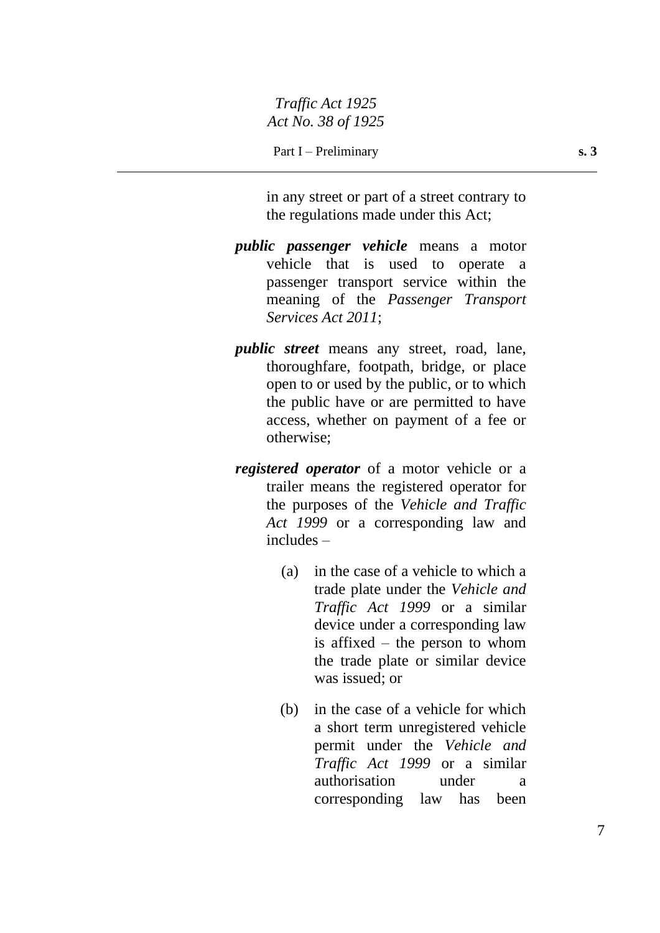in any street or part of a street contrary to the regulations made under this Act;

- *public passenger vehicle* means a motor vehicle that is used to operate a passenger transport service within the meaning of the *Passenger Transport Services Act 2011*;
- *public street* means any street, road, lane, thoroughfare, footpath, bridge, or place open to or used by the public, or to which the public have or are permitted to have access, whether on payment of a fee or otherwise;
- *registered operator* of a motor vehicle or a trailer means the registered operator for the purposes of the *Vehicle and Traffic Act 1999* or a corresponding law and includes –
	- (a) in the case of a vehicle to which a trade plate under the *Vehicle and Traffic Act 1999* or a similar device under a corresponding law is affixed – the person to whom the trade plate or similar device was issued; or
	- (b) in the case of a vehicle for which a short term unregistered vehicle permit under the *Vehicle and Traffic Act 1999* or a similar authorisation under a corresponding law has been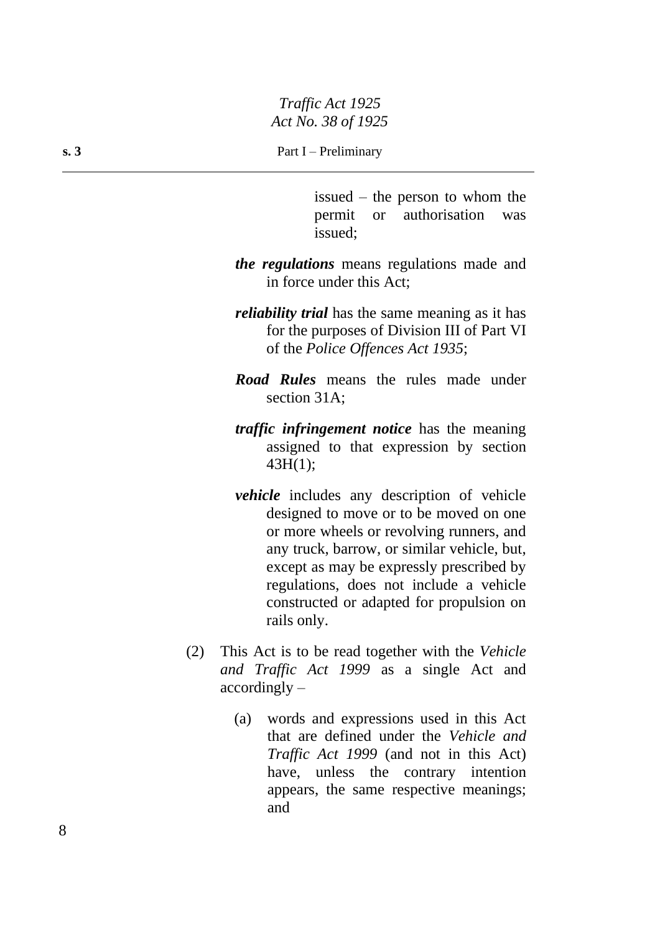**s. 3** Part I – Preliminary

issued – the person to whom the permit or authorisation was issued;

- *the regulations* means regulations made and in force under this Act;
- *reliability trial* has the same meaning as it has for the purposes of Division III of Part VI of the *Police Offences Act 1935*;
- *Road Rules* means the rules made under section 31A;
- *traffic infringement notice* has the meaning assigned to that expression by section 43H(1);
- *vehicle* includes any description of vehicle designed to move or to be moved on one or more wheels or revolving runners, and any truck, barrow, or similar vehicle, but, except as may be expressly prescribed by regulations, does not include a vehicle constructed or adapted for propulsion on rails only.
- (2) This Act is to be read together with the *Vehicle and Traffic Act 1999* as a single Act and accordingly –
	- (a) words and expressions used in this Act that are defined under the *Vehicle and Traffic Act 1999* (and not in this Act) have, unless the contrary intention appears, the same respective meanings; and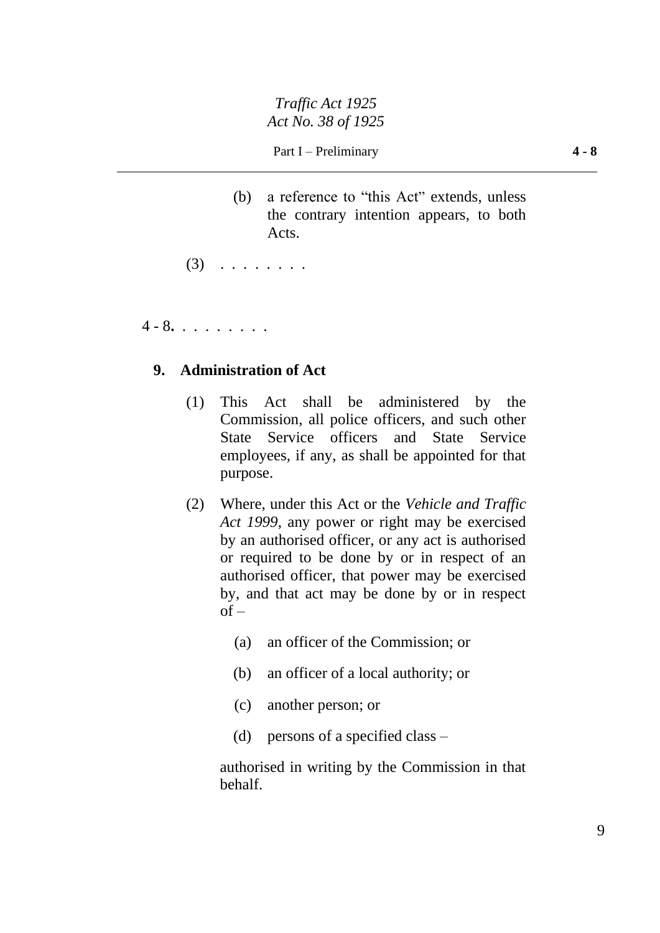(b) a reference to "this Act" extends, unless the contrary intention appears, to both Acts.

 $(3)$  . . . . . . . .

4 - 8**.** . . . . . . . .

## **9. Administration of Act**

- (1) This Act shall be administered by the Commission, all police officers, and such other State Service officers and State Service employees, if any, as shall be appointed for that purpose.
- (2) Where, under this Act or the *Vehicle and Traffic Act 1999*, any power or right may be exercised by an authorised officer, or any act is authorised or required to be done by or in respect of an authorised officer, that power may be exercised by, and that act may be done by or in respect  $of -$ 
	- (a) an officer of the Commission; or
	- (b) an officer of a local authority; or
	- (c) another person; or
	- (d) persons of a specified class –

authorised in writing by the Commission in that behalf.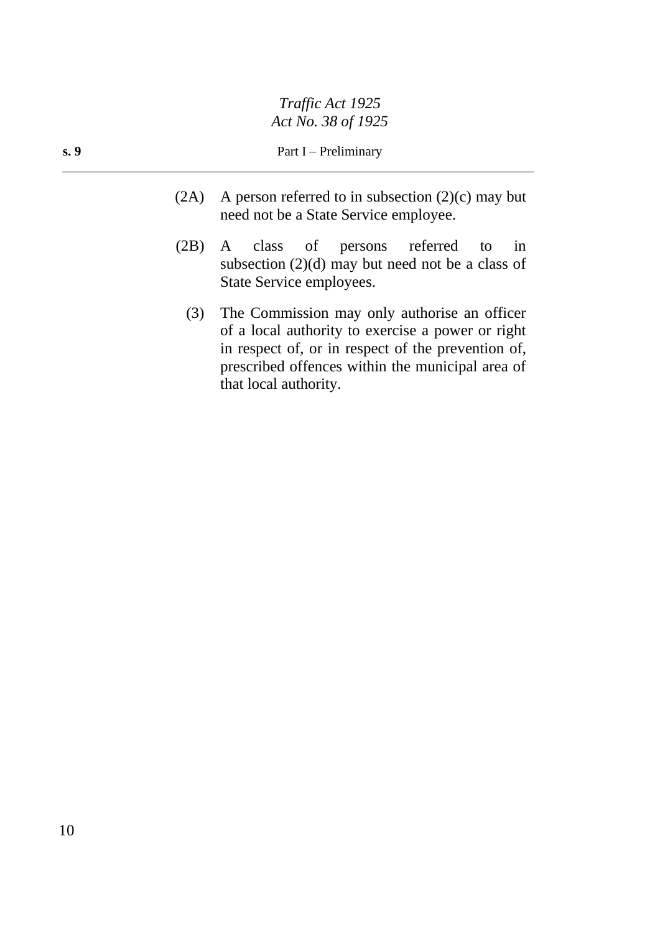- (2A) A person referred to in subsection  $(2)(c)$  may but need not be a State Service employee.
- (2B) A class of persons referred to in subsection  $(2)(d)$  may but need not be a class of State Service employees.
	- (3) The Commission may only authorise an officer of a local authority to exercise a power or right in respect of, or in respect of the prevention of, prescribed offences within the municipal area of that local authority.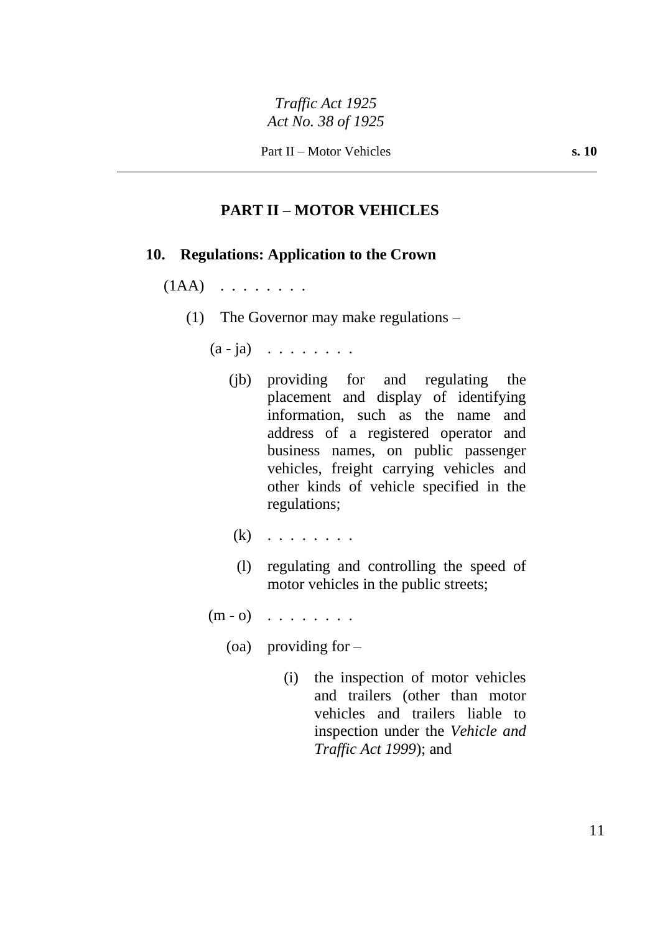### **PART II – MOTOR VEHICLES**

#### **10. Regulations: Application to the Crown**

#### $(1AA)$  . . . . . . .

- (1) The Governor may make regulations
	- $(a ja)$  . . . . . . . .
		- (jb) providing for and regulating the placement and display of identifying information, such as the name and address of a registered operator and business names, on public passenger vehicles, freight carrying vehicles and other kinds of vehicle specified in the regulations;
		- $(k)$  . . . . . . . .
		- (l) regulating and controlling the speed of motor vehicles in the public streets;
	- $(m o)$  . . . . . . . .
		- (oa) providing for  $-$ 
			- (i) the inspection of motor vehicles and trailers (other than motor vehicles and trailers liable to inspection under the *Vehicle and Traffic Act 1999*); and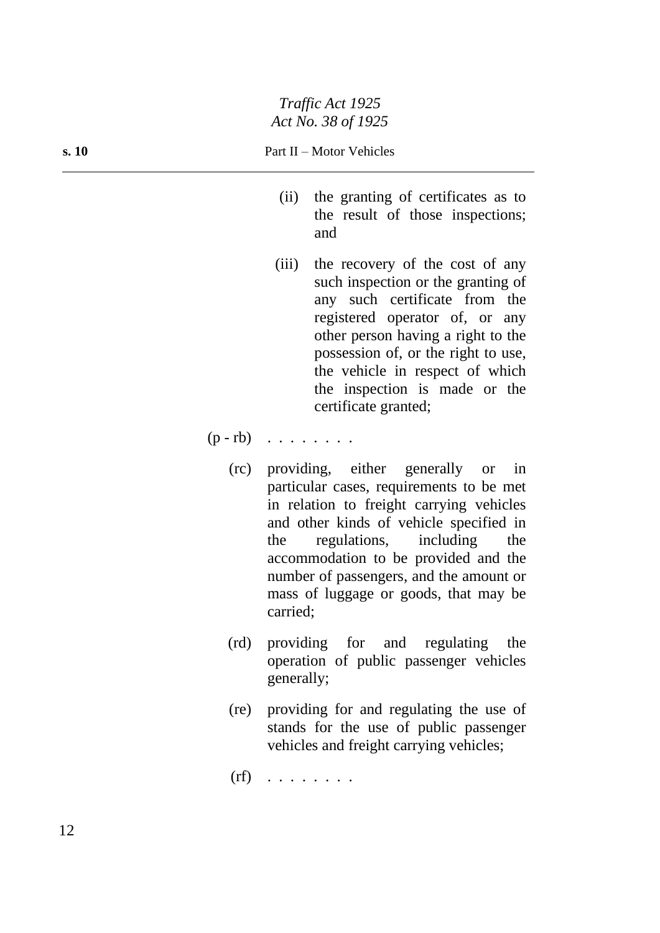#### **s. 10** Part II – Motor Vehicles

- (ii) the granting of certificates as to the result of those inspections; and
- (iii) the recovery of the cost of any such inspection or the granting of any such certificate from the registered operator of, or any other person having a right to the possession of, or the right to use, the vehicle in respect of which the inspection is made or the certificate granted;

 $(p - rb)$  . . . . . . .

- (rc) providing, either generally or in particular cases, requirements to be met in relation to freight carrying vehicles and other kinds of vehicle specified in the regulations, including the accommodation to be provided and the number of passengers, and the amount or mass of luggage or goods, that may be carried;
- (rd) providing for and regulating the operation of public passenger vehicles generally;
- (re) providing for and regulating the use of stands for the use of public passenger vehicles and freight carrying vehicles;

 $(rf)$  . . . . . . . .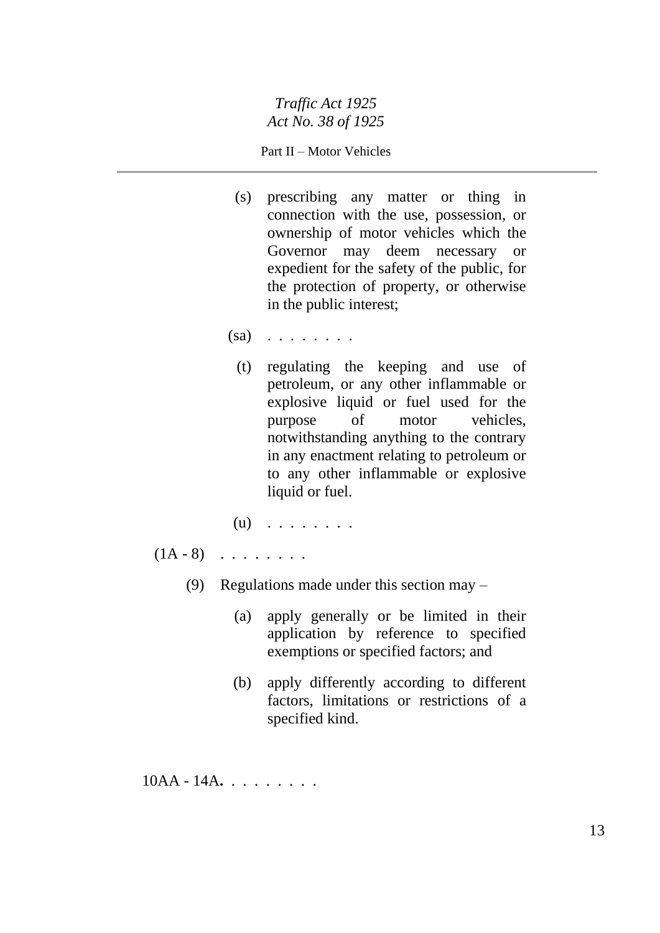#### Part II – Motor Vehicles

- (s) prescribing any matter or thing in connection with the use, possession, or ownership of motor vehicles which the Governor may deem necessary or expedient for the safety of the public, for the protection of property, or otherwise in the public interest;
- $(sa)$   $\ldots$  . . . . . .
	- (t) regulating the keeping and use of petroleum, or any other inflammable or explosive liquid or fuel used for the purpose of motor vehicles, notwithstanding anything to the contrary in any enactment relating to petroleum or to any other inflammable or explosive liquid or fuel.
- (u) . . . . . . . .
- $(1A 8)$  . . . . . . .
	- (9) Regulations made under this section may
		- (a) apply generally or be limited in their application by reference to specified exemptions or specified factors; and
		- (b) apply differently according to different factors, limitations or restrictions of a specified kind.

10AA - 14A**.** . . . . . . . .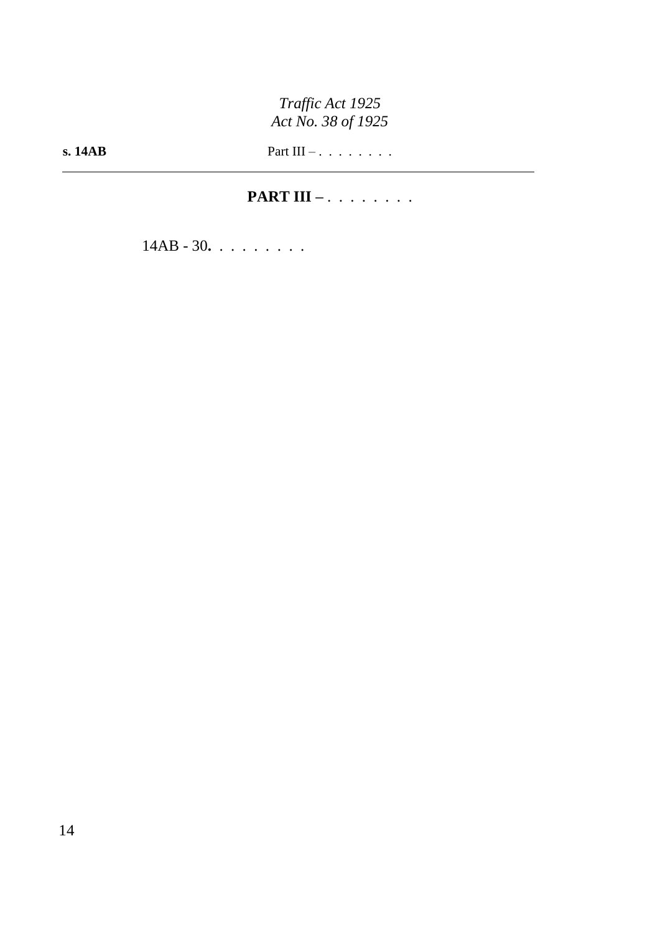**PART III –** . . . . . . . .

14AB - 30**.** . . . . . . . .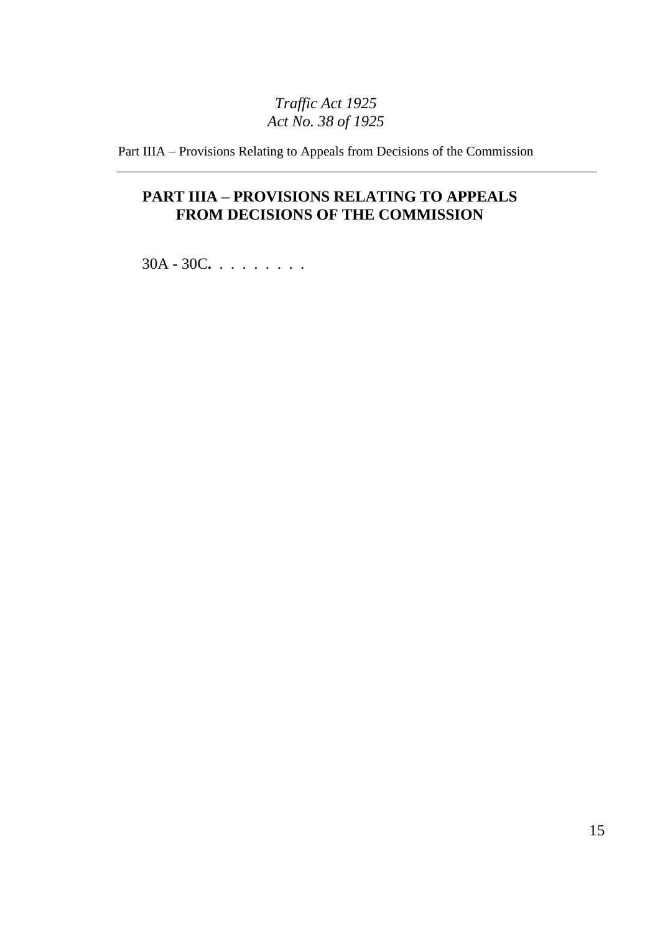Part IIIA – Provisions Relating to Appeals from Decisions of the Commission

# **PART IIIA – PROVISIONS RELATING TO APPEALS FROM DECISIONS OF THE COMMISSION**

30A - 30C**.** . . . . . . . .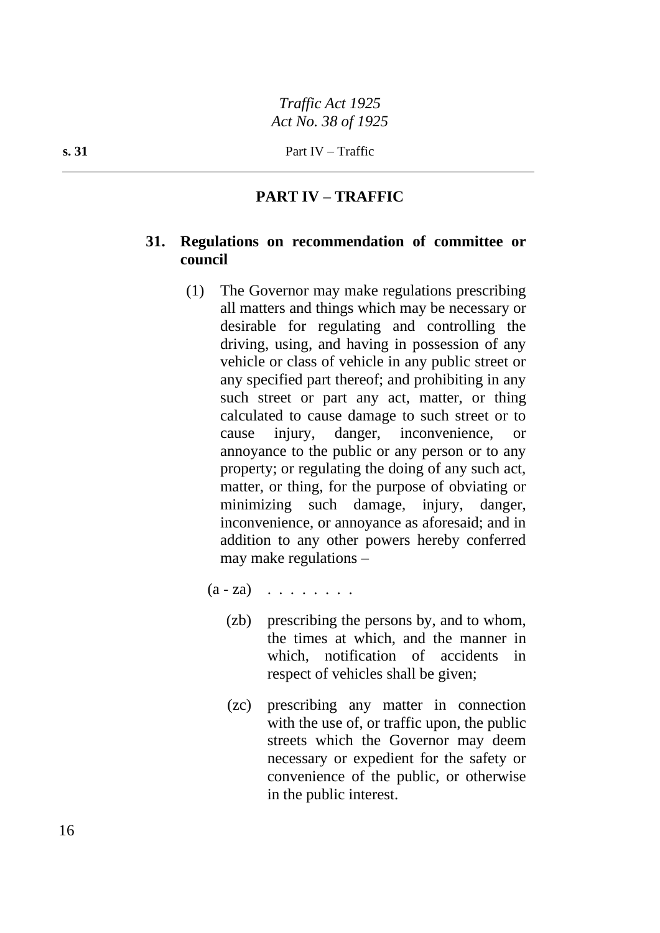# **PART IV – TRAFFIC**

### **31. Regulations on recommendation of committee or council**

- (1) The Governor may make regulations prescribing all matters and things which may be necessary or desirable for regulating and controlling the driving, using, and having in possession of any vehicle or class of vehicle in any public street or any specified part thereof; and prohibiting in any such street or part any act, matter, or thing calculated to cause damage to such street or to cause injury, danger, inconvenience, or annoyance to the public or any person or to any property; or regulating the doing of any such act, matter, or thing, for the purpose of obviating or minimizing such damage, injury, danger, inconvenience, or annoyance as aforesaid; and in addition to any other powers hereby conferred may make regulations –
	- $(a za)$  . . . . . . . .
		- (zb) prescribing the persons by, and to whom, the times at which, and the manner in which, notification of accidents in respect of vehicles shall be given;
		- (zc) prescribing any matter in connection with the use of, or traffic upon, the public streets which the Governor may deem necessary or expedient for the safety or convenience of the public, or otherwise in the public interest.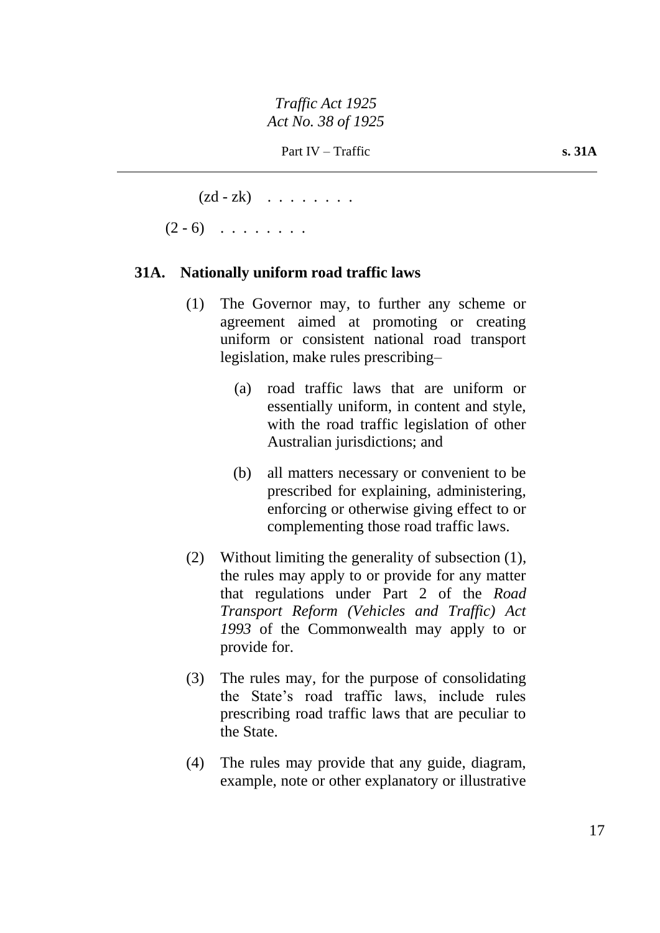$(zd - zk)$  . . . . . . . .

 $(2 - 6)$  . . . . . . .

# **31A. Nationally uniform road traffic laws**

- (1) The Governor may, to further any scheme or agreement aimed at promoting or creating uniform or consistent national road transport legislation, make rules prescribing–
	- (a) road traffic laws that are uniform or essentially uniform, in content and style, with the road traffic legislation of other Australian jurisdictions; and
	- (b) all matters necessary or convenient to be prescribed for explaining, administering, enforcing or otherwise giving effect to or complementing those road traffic laws.
- (2) Without limiting the generality of subsection (1), the rules may apply to or provide for any matter that regulations under Part 2 of the *Road Transport Reform (Vehicles and Traffic) Act 1993* of the Commonwealth may apply to or provide for.
- (3) The rules may, for the purpose of consolidating the State's road traffic laws, include rules prescribing road traffic laws that are peculiar to the State.
- (4) The rules may provide that any guide, diagram, example, note or other explanatory or illustrative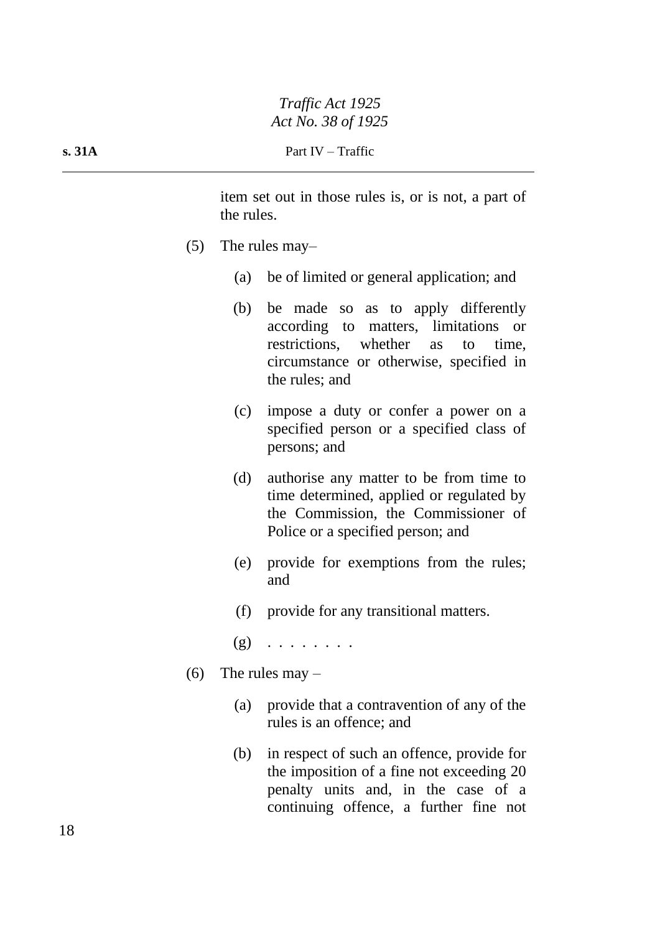item set out in those rules is, or is not, a part of the rules.

- (5) The rules may–
	- (a) be of limited or general application; and
	- (b) be made so as to apply differently according to matters, limitations or restrictions, whether as to time, circumstance or otherwise, specified in the rules; and
	- (c) impose a duty or confer a power on a specified person or a specified class of persons; and
	- (d) authorise any matter to be from time to time determined, applied or regulated by the Commission, the Commissioner of Police or a specified person; and
	- (e) provide for exemptions from the rules; and
	- (f) provide for any transitional matters.
	- $(g)$  . . . . . . . .
- (6) The rules may  $-$ 
	- (a) provide that a contravention of any of the rules is an offence; and
	- (b) in respect of such an offence, provide for the imposition of a fine not exceeding 20 penalty units and, in the case of a continuing offence, a further fine not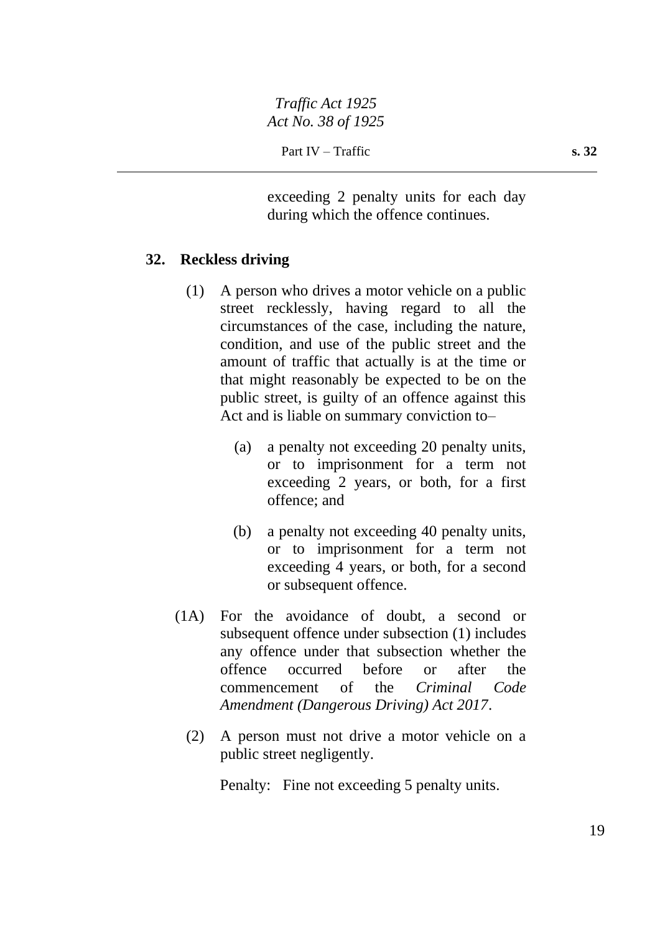exceeding 2 penalty units for each day during which the offence continues.

## **32. Reckless driving**

- (1) A person who drives a motor vehicle on a public street recklessly, having regard to all the circumstances of the case, including the nature, condition, and use of the public street and the amount of traffic that actually is at the time or that might reasonably be expected to be on the public street, is guilty of an offence against this Act and is liable on summary conviction to–
	- (a) a penalty not exceeding 20 penalty units, or to imprisonment for a term not exceeding 2 years, or both, for a first offence; and
	- (b) a penalty not exceeding 40 penalty units, or to imprisonment for a term not exceeding 4 years, or both, for a second or subsequent offence.
- (1A) For the avoidance of doubt, a second or subsequent offence under subsection (1) includes any offence under that subsection whether the offence occurred before or after the commencement of the *Criminal Code Amendment (Dangerous Driving) Act 2017*.
	- (2) A person must not drive a motor vehicle on a public street negligently.

Penalty: Fine not exceeding 5 penalty units.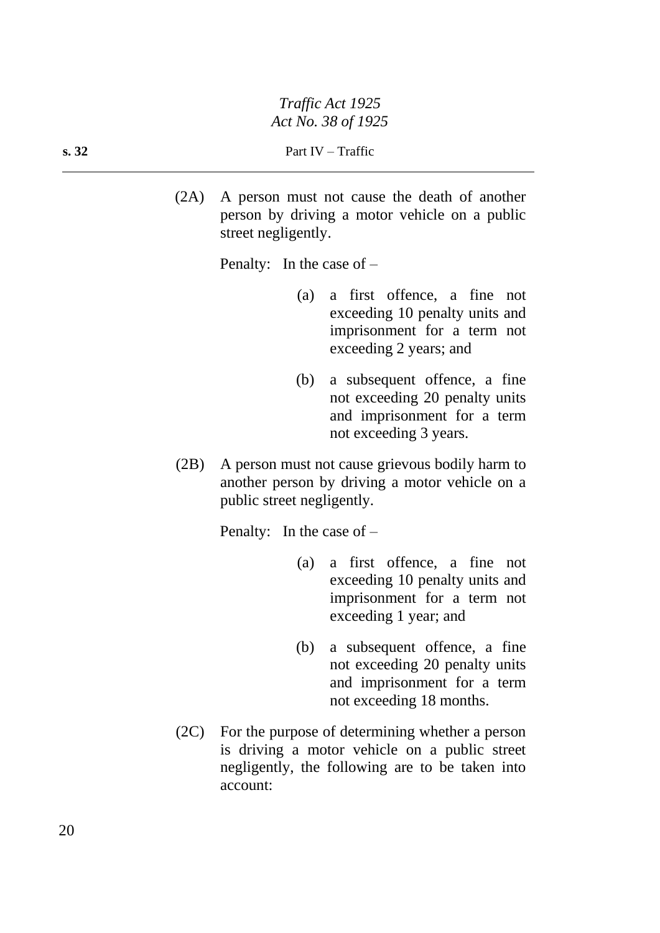(2A) A person must not cause the death of another person by driving a motor vehicle on a public street negligently.

Penalty: In the case of –

- (a) a first offence, a fine not exceeding 10 penalty units and imprisonment for a term not exceeding 2 years; and
- (b) a subsequent offence, a fine not exceeding 20 penalty units and imprisonment for a term not exceeding 3 years.
- (2B) A person must not cause grievous bodily harm to another person by driving a motor vehicle on a public street negligently.

Penalty: In the case of –

- (a) a first offence, a fine not exceeding 10 penalty units and imprisonment for a term not exceeding 1 year; and
- (b) a subsequent offence, a fine not exceeding 20 penalty units and imprisonment for a term not exceeding 18 months.
- (2C) For the purpose of determining whether a person is driving a motor vehicle on a public street negligently, the following are to be taken into account: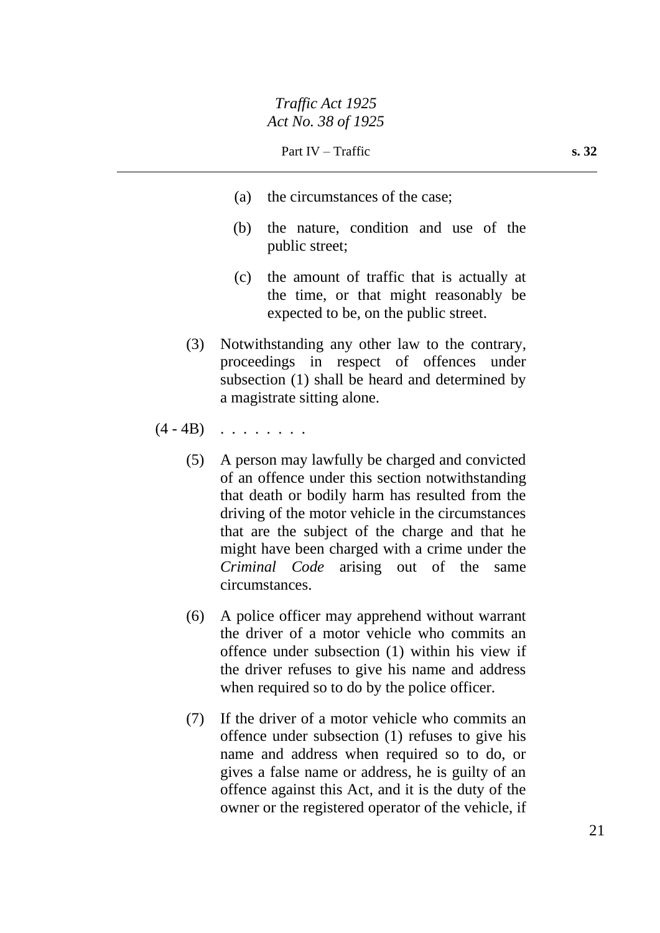- (a) the circumstances of the case;
- (b) the nature, condition and use of the public street;
- (c) the amount of traffic that is actually at the time, or that might reasonably be expected to be, on the public street.
- (3) Notwithstanding any other law to the contrary, proceedings in respect of offences under subsection (1) shall be heard and determined by a magistrate sitting alone.
- $(4 4B)$  . . . . . . .
	- (5) A person may lawfully be charged and convicted of an offence under this section notwithstanding that death or bodily harm has resulted from the driving of the motor vehicle in the circumstances that are the subject of the charge and that he might have been charged with a crime under the *Criminal Code* arising out of the same circumstances.
	- (6) A police officer may apprehend without warrant the driver of a motor vehicle who commits an offence under subsection (1) within his view if the driver refuses to give his name and address when required so to do by the police officer.
	- (7) If the driver of a motor vehicle who commits an offence under subsection (1) refuses to give his name and address when required so to do, or gives a false name or address, he is guilty of an offence against this Act, and it is the duty of the owner or the registered operator of the vehicle, if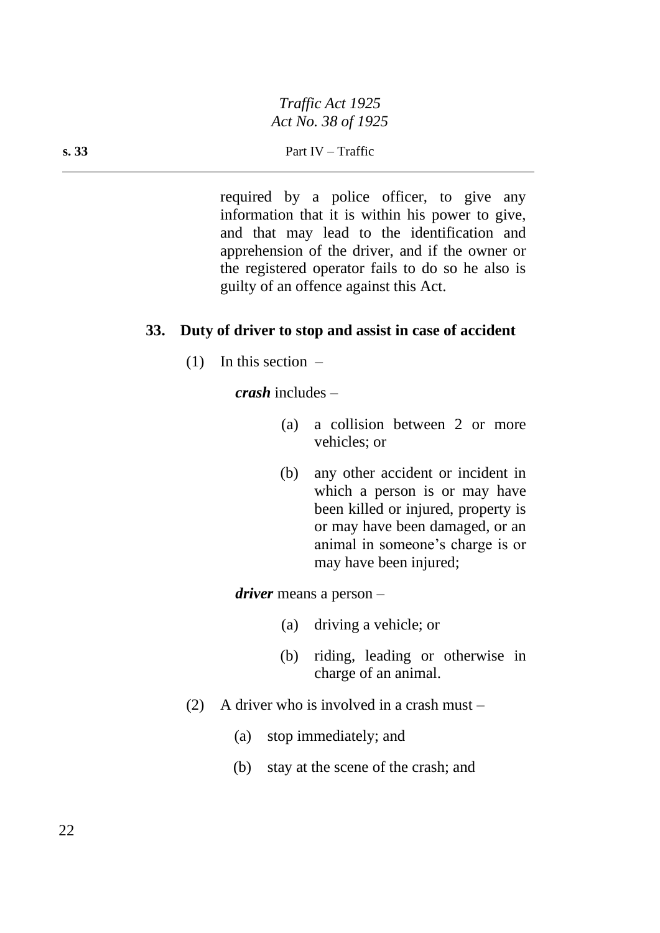required by a police officer, to give any information that it is within his power to give, and that may lead to the identification and apprehension of the driver, and if the owner or the registered operator fails to do so he also is guilty of an offence against this Act.

#### **33. Duty of driver to stop and assist in case of accident**

 $(1)$  In this section –

*crash* includes –

- (a) a collision between 2 or more vehicles; or
- (b) any other accident or incident in which a person is or may have been killed or injured, property is or may have been damaged, or an animal in someone's charge is or may have been injured;

*driver* means a person –

- (a) driving a vehicle; or
- (b) riding, leading or otherwise in charge of an animal.
- (2) A driver who is involved in a crash must
	- (a) stop immediately; and
	- (b) stay at the scene of the crash; and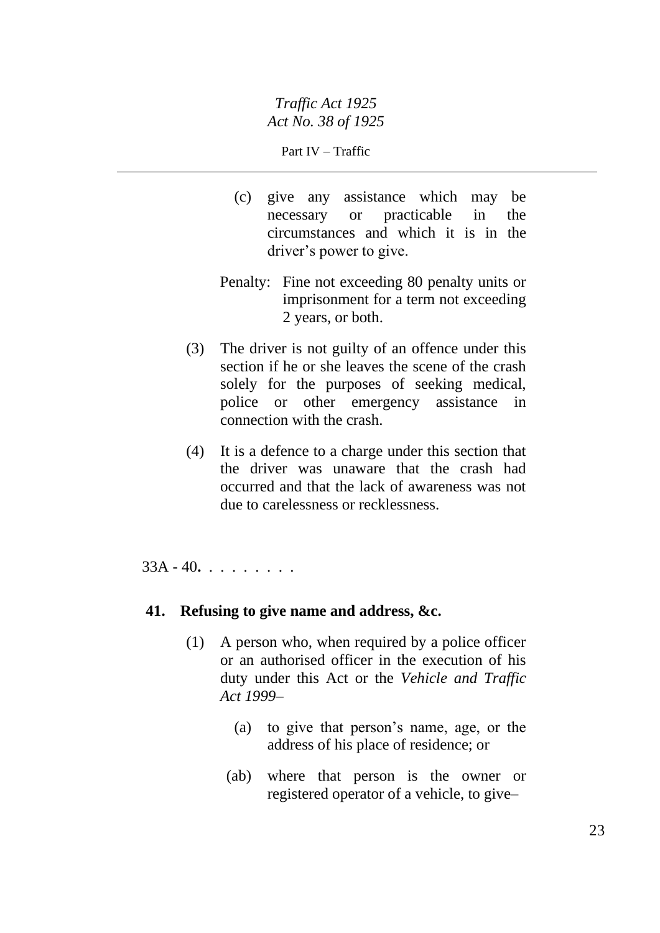Part IV – Traffic

- (c) give any assistance which may be necessary or practicable in the circumstances and which it is in the driver's power to give.
- Penalty: Fine not exceeding 80 penalty units or imprisonment for a term not exceeding 2 years, or both.
- (3) The driver is not guilty of an offence under this section if he or she leaves the scene of the crash solely for the purposes of seeking medical, police or other emergency assistance in connection with the crash.
- (4) It is a defence to a charge under this section that the driver was unaware that the crash had occurred and that the lack of awareness was not due to carelessness or recklessness.

33A - 40**.** . . . . . . . .

### **41. Refusing to give name and address, &c.**

- (1) A person who, when required by a police officer or an authorised officer in the execution of his duty under this Act or the *Vehicle and Traffic Act 1999*–
	- (a) to give that person's name, age, or the address of his place of residence; or
	- (ab) where that person is the owner or registered operator of a vehicle, to give–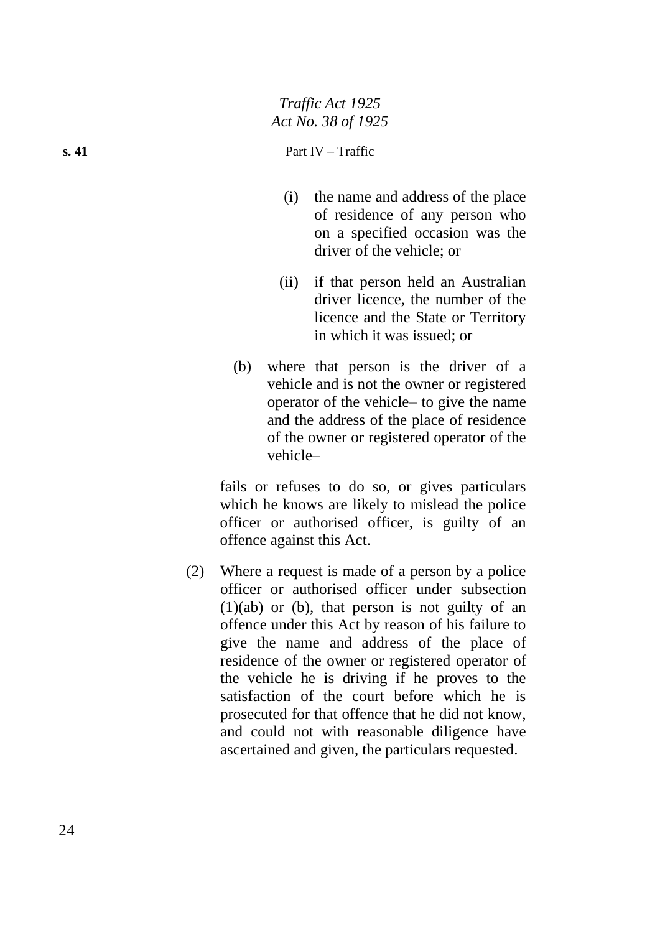- (i) the name and address of the place of residence of any person who on a specified occasion was the driver of the vehicle; or
- (ii) if that person held an Australian driver licence, the number of the licence and the State or Territory in which it was issued; or
- (b) where that person is the driver of a vehicle and is not the owner or registered operator of the vehicle– to give the name and the address of the place of residence of the owner or registered operator of the vehicle–

fails or refuses to do so, or gives particulars which he knows are likely to mislead the police officer or authorised officer, is guilty of an offence against this Act.

(2) Where a request is made of a person by a police officer or authorised officer under subsection  $(1)(ab)$  or  $(b)$ , that person is not guilty of an offence under this Act by reason of his failure to give the name and address of the place of residence of the owner or registered operator of the vehicle he is driving if he proves to the satisfaction of the court before which he is prosecuted for that offence that he did not know, and could not with reasonable diligence have ascertained and given, the particulars requested.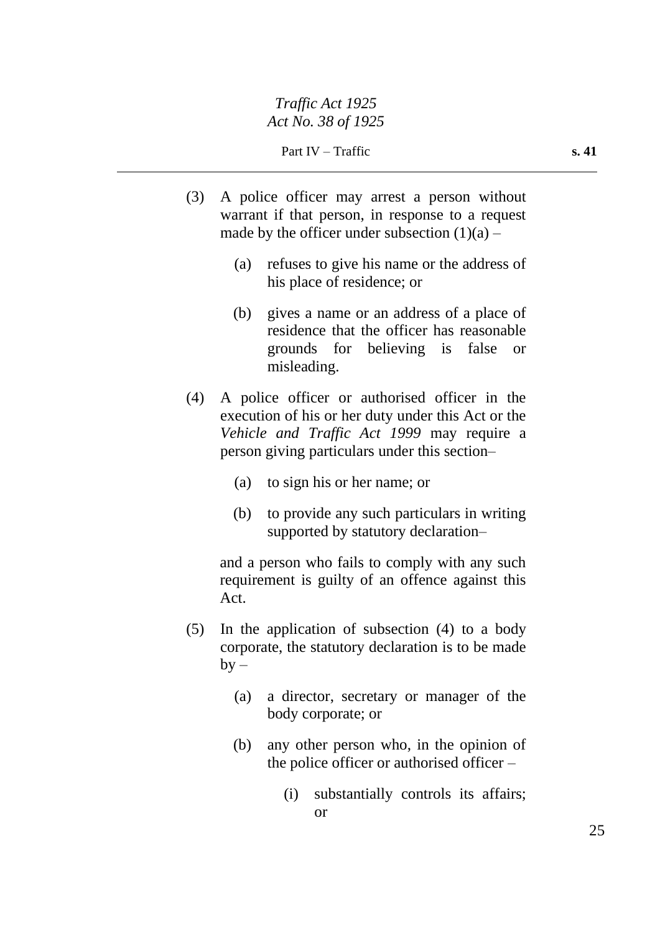Part IV – Traffic **s. 41** 

- (3) A police officer may arrest a person without warrant if that person, in response to a request made by the officer under subsection  $(1)(a)$  –
	- (a) refuses to give his name or the address of his place of residence; or
	- (b) gives a name or an address of a place of residence that the officer has reasonable grounds for believing is false or misleading.
- (4) A police officer or authorised officer in the execution of his or her duty under this Act or the *Vehicle and Traffic Act 1999* may require a person giving particulars under this section–
	- (a) to sign his or her name; or
	- (b) to provide any such particulars in writing supported by statutory declaration–

and a person who fails to comply with any such requirement is guilty of an offence against this Act.

- (5) In the application of subsection (4) to a body corporate, the statutory declaration is to be made  $by -$ 
	- (a) a director, secretary or manager of the body corporate; or
	- (b) any other person who, in the opinion of the police officer or authorised officer –
		- (i) substantially controls its affairs; or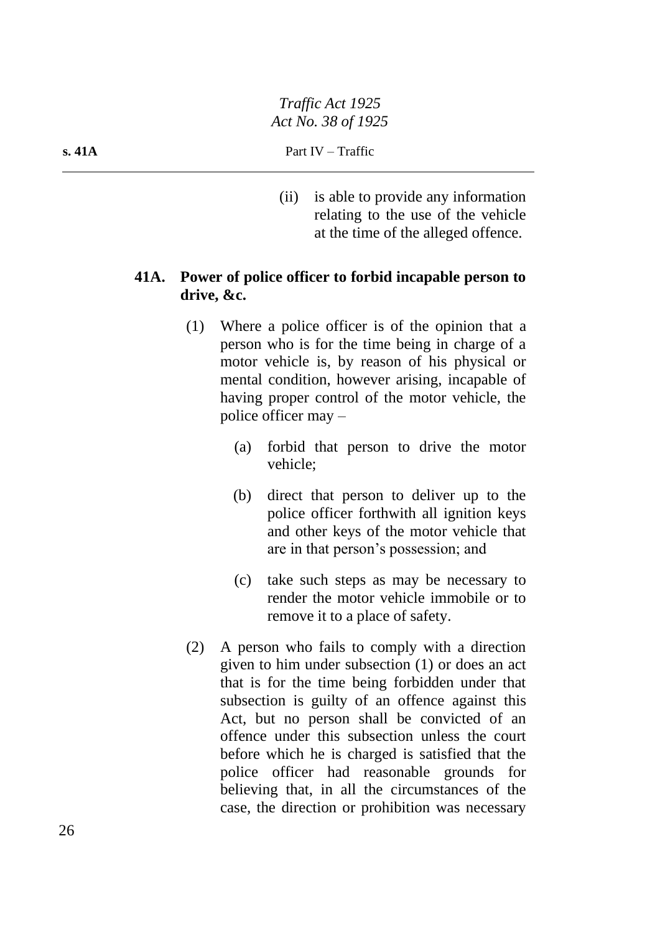(ii) is able to provide any information relating to the use of the vehicle at the time of the alleged offence.

# **41A. Power of police officer to forbid incapable person to drive, &c.**

- (1) Where a police officer is of the opinion that a person who is for the time being in charge of a motor vehicle is, by reason of his physical or mental condition, however arising, incapable of having proper control of the motor vehicle, the police officer may –
	- (a) forbid that person to drive the motor vehicle;
	- (b) direct that person to deliver up to the police officer forthwith all ignition keys and other keys of the motor vehicle that are in that person's possession; and
	- (c) take such steps as may be necessary to render the motor vehicle immobile or to remove it to a place of safety.
- (2) A person who fails to comply with a direction given to him under subsection (1) or does an act that is for the time being forbidden under that subsection is guilty of an offence against this Act, but no person shall be convicted of an offence under this subsection unless the court before which he is charged is satisfied that the police officer had reasonable grounds for believing that, in all the circumstances of the case, the direction or prohibition was necessary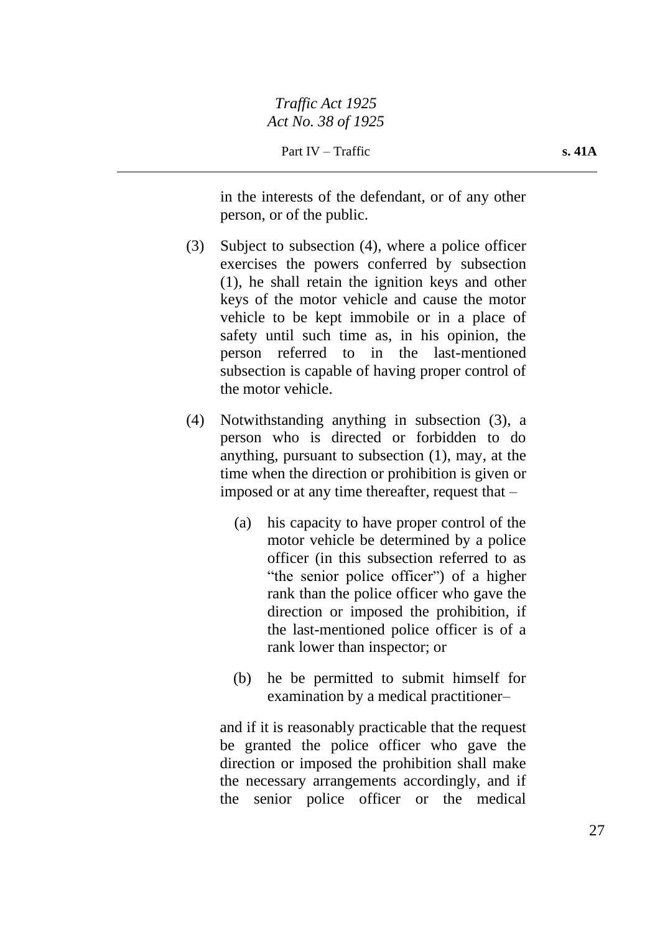in the interests of the defendant, or of any other person, or of the public.

- (3) Subject to subsection (4), where a police officer exercises the powers conferred by subsection (1), he shall retain the ignition keys and other keys of the motor vehicle and cause the motor vehicle to be kept immobile or in a place of safety until such time as, in his opinion, the person referred to in the last-mentioned subsection is capable of having proper control of the motor vehicle.
- (4) Notwithstanding anything in subsection (3), a person who is directed or forbidden to do anything, pursuant to subsection (1), may, at the time when the direction or prohibition is given or imposed or at any time thereafter, request that –
	- (a) his capacity to have proper control of the motor vehicle be determined by a police officer (in this subsection referred to as "the senior police officer") of a higher rank than the police officer who gave the direction or imposed the prohibition, if the last-mentioned police officer is of a rank lower than inspector; or
	- (b) he be permitted to submit himself for examination by a medical practitioner–

and if it is reasonably practicable that the request be granted the police officer who gave the direction or imposed the prohibition shall make the necessary arrangements accordingly, and if the senior police officer or the medical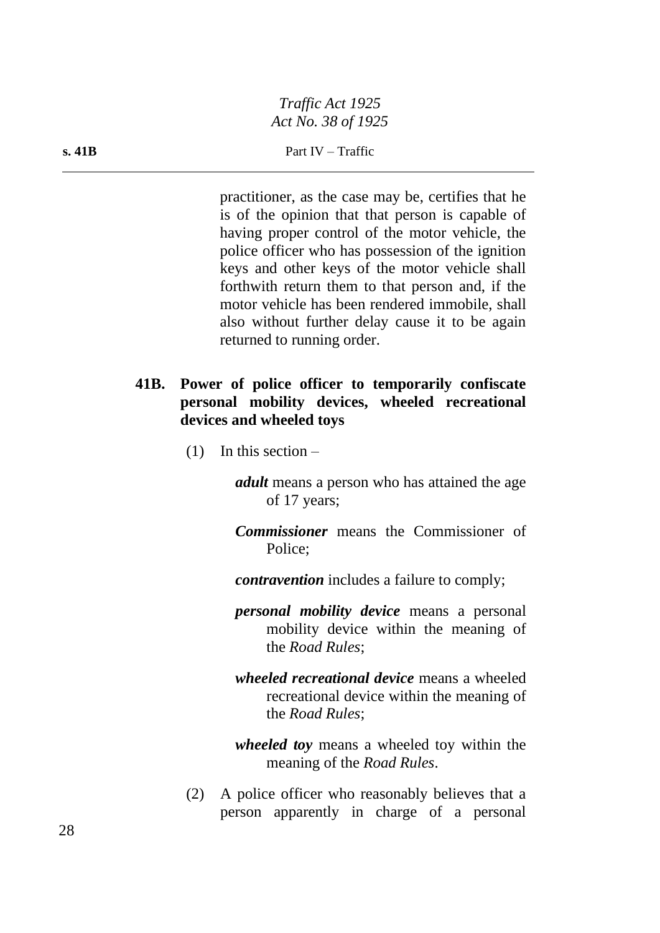practitioner, as the case may be, certifies that he is of the opinion that that person is capable of having proper control of the motor vehicle, the police officer who has possession of the ignition keys and other keys of the motor vehicle shall forthwith return them to that person and, if the motor vehicle has been rendered immobile, shall also without further delay cause it to be again returned to running order.

## **41B. Power of police officer to temporarily confiscate personal mobility devices, wheeled recreational devices and wheeled toys**

 $(1)$  In this section –

*adult* means a person who has attained the age of 17 years;

- *Commissioner* means the Commissioner of Police;
- *contravention* includes a failure to comply;
- *personal mobility device* means a personal mobility device within the meaning of the *Road Rules*;
- *wheeled recreational device* means a wheeled recreational device within the meaning of the *Road Rules*;

*wheeled toy* means a wheeled toy within the meaning of the *Road Rules*.

(2) A police officer who reasonably believes that a person apparently in charge of a personal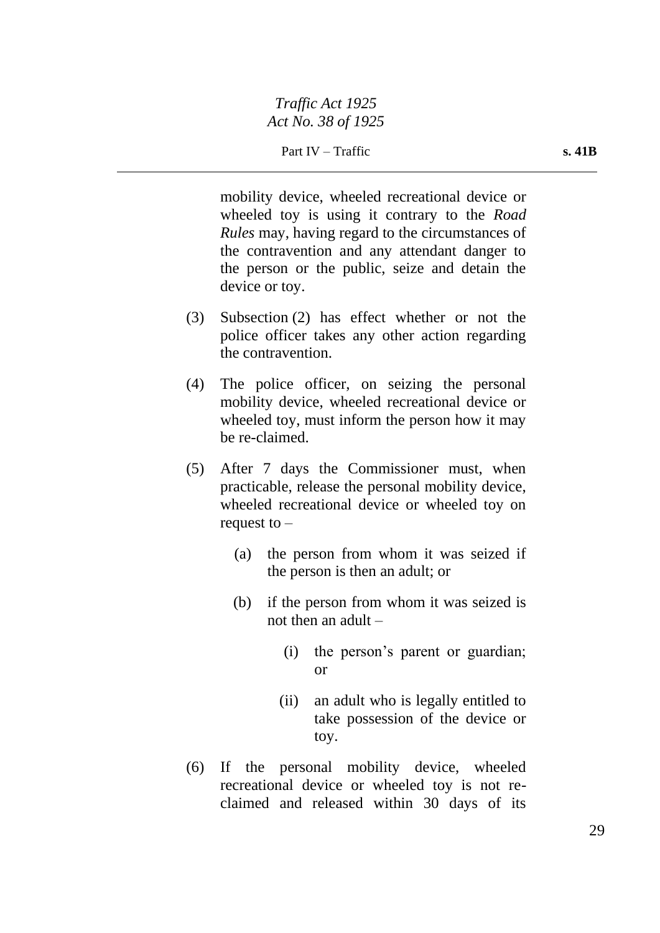mobility device, wheeled recreational device or wheeled toy is using it contrary to the *Road Rules* may, having regard to the circumstances of the contravention and any attendant danger to the person or the public, seize and detain the device or toy.

- (3) Subsection (2) has effect whether or not the police officer takes any other action regarding the contravention.
- (4) The police officer, on seizing the personal mobility device, wheeled recreational device or wheeled toy, must inform the person how it may be re-claimed.
- (5) After 7 days the Commissioner must, when practicable, release the personal mobility device, wheeled recreational device or wheeled toy on request to –
	- (a) the person from whom it was seized if the person is then an adult; or
	- (b) if the person from whom it was seized is not then an adult –
		- (i) the person's parent or guardian; or
		- (ii) an adult who is legally entitled to take possession of the device or toy.
- (6) If the personal mobility device, wheeled recreational device or wheeled toy is not reclaimed and released within 30 days of its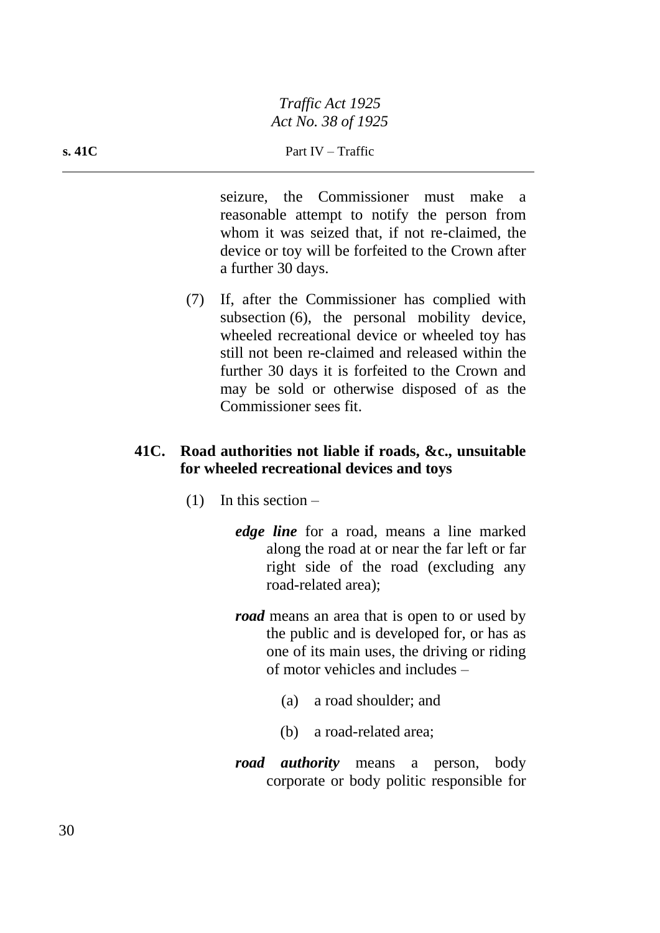seizure, the Commissioner must make a reasonable attempt to notify the person from whom it was seized that, if not re-claimed, the device or toy will be forfeited to the Crown after a further 30 days.

(7) If, after the Commissioner has complied with subsection (6), the personal mobility device, wheeled recreational device or wheeled toy has still not been re-claimed and released within the further 30 days it is forfeited to the Crown and may be sold or otherwise disposed of as the Commissioner sees fit.

# **41C. Road authorities not liable if roads, &c., unsuitable for wheeled recreational devices and toys**

- $(1)$  In this section
	- *edge line* for a road, means a line marked along the road at or near the far left or far right side of the road (excluding any road-related area);
	- *road* means an area that is open to or used by the public and is developed for, or has as one of its main uses, the driving or riding of motor vehicles and includes –
		- (a) a road shoulder; and
		- (b) a road-related area;
	- *road authority* means a person, body corporate or body politic responsible for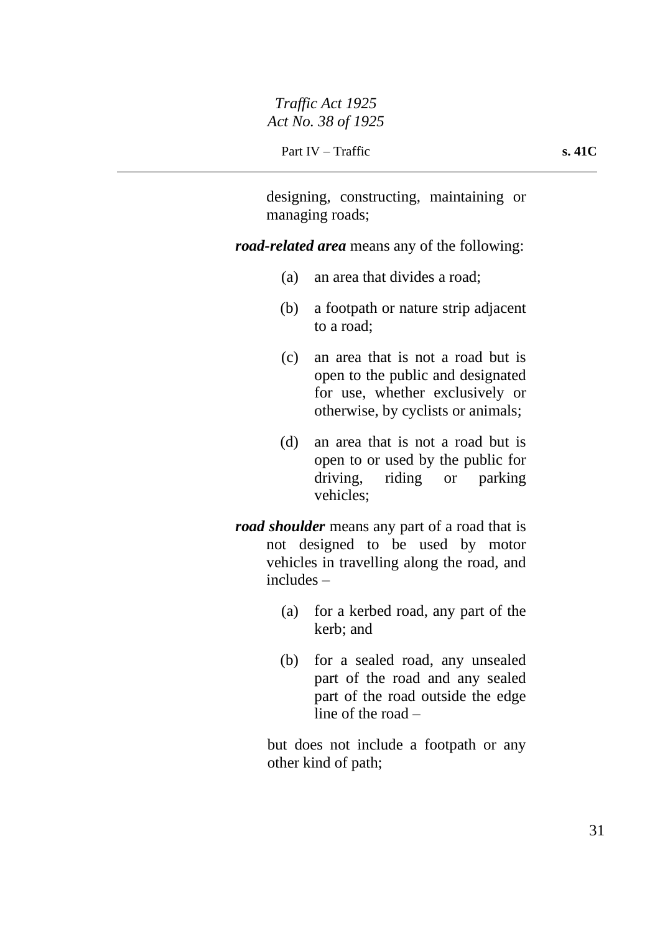designing, constructing, maintaining or managing roads;

*road-related area* means any of the following:

- (a) an area that divides a road;
- (b) a footpath or nature strip adjacent to a road;
- (c) an area that is not a road but is open to the public and designated for use, whether exclusively or otherwise, by cyclists or animals;
- (d) an area that is not a road but is open to or used by the public for driving, riding or parking vehicles;
- *road shoulder* means any part of a road that is not designed to be used by motor vehicles in travelling along the road, and includes –
	- (a) for a kerbed road, any part of the kerb; and
	- (b) for a sealed road, any unsealed part of the road and any sealed part of the road outside the edge line of the road –

but does not include a footpath or any other kind of path;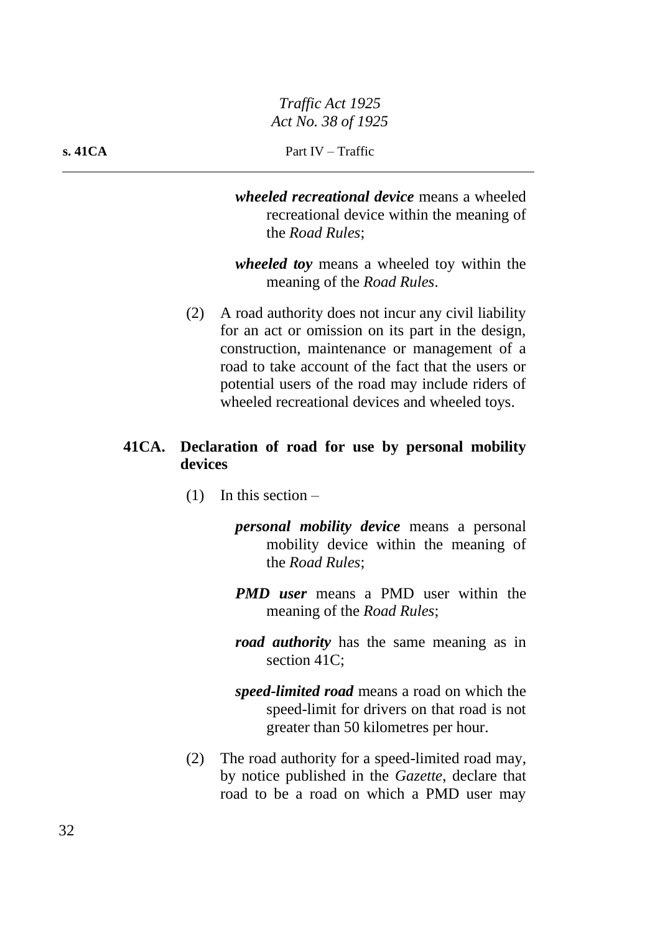*wheeled recreational device* means a wheeled recreational device within the meaning of the *Road Rules*;

*wheeled toy* means a wheeled toy within the meaning of the *Road Rules*.

(2) A road authority does not incur any civil liability for an act or omission on its part in the design, construction, maintenance or management of a road to take account of the fact that the users or potential users of the road may include riders of wheeled recreational devices and wheeled toys.

## **41CA. Declaration of road for use by personal mobility devices**

- $(1)$  In this section
	- *personal mobility device* means a personal mobility device within the meaning of the *Road Rules*;
	- *PMD user* means a PMD user within the meaning of the *Road Rules*;
	- *road authority* has the same meaning as in section 41C;
	- *speed-limited road* means a road on which the speed-limit for drivers on that road is not greater than 50 kilometres per hour.
- (2) The road authority for a speed-limited road may, by notice published in the *Gazette*, declare that road to be a road on which a PMD user may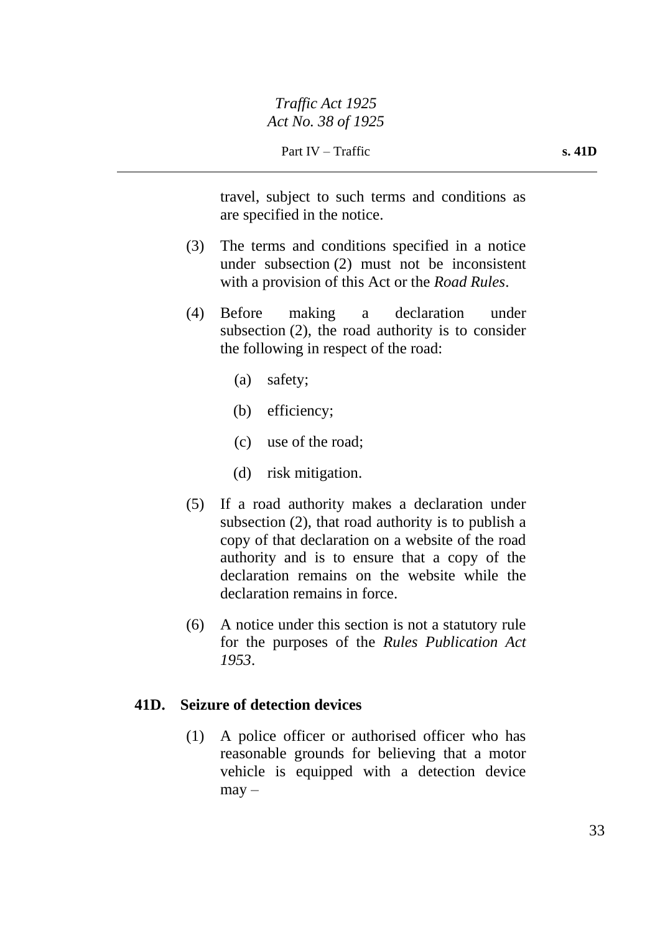travel, subject to such terms and conditions as are specified in the notice.

- (3) The terms and conditions specified in a notice under subsection (2) must not be inconsistent with a provision of this Act or the *Road Rules*.
- (4) Before making a declaration under subsection (2), the road authority is to consider the following in respect of the road:
	- (a) safety;
	- (b) efficiency;
	- (c) use of the road;
	- (d) risk mitigation.
- (5) If a road authority makes a declaration under subsection (2), that road authority is to publish a copy of that declaration on a website of the road authority and is to ensure that a copy of the declaration remains on the website while the declaration remains in force.
- (6) A notice under this section is not a statutory rule for the purposes of the *Rules Publication Act 1953*.

## **41D. Seizure of detection devices**

(1) A police officer or authorised officer who has reasonable grounds for believing that a motor vehicle is equipped with a detection device  $may -$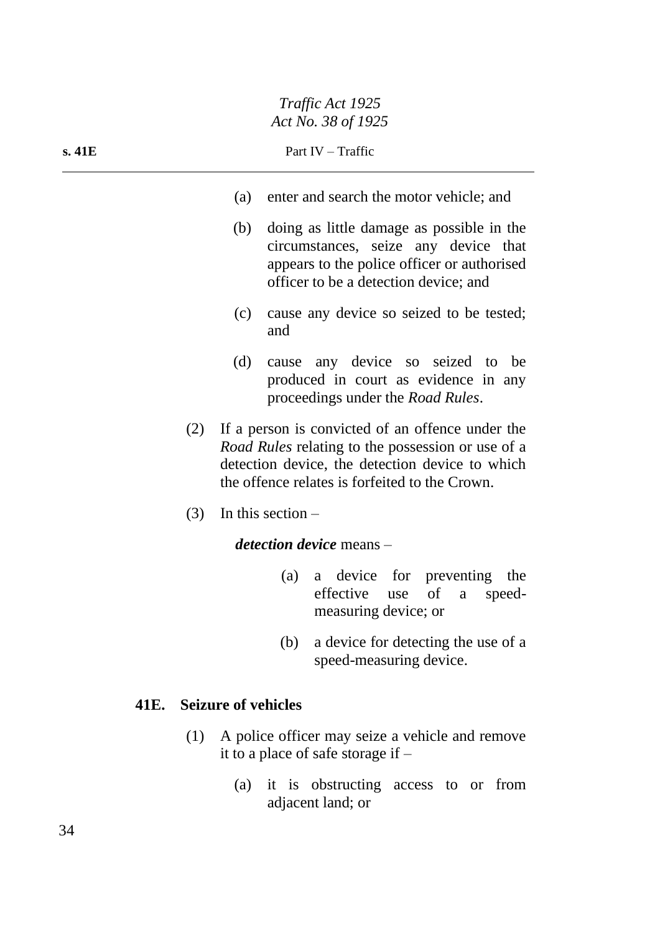| s.41E                                                                                        | Part IV – Traffic                                                                                                                                                                                          |                                                                                                                                                                           |  |  |
|----------------------------------------------------------------------------------------------|------------------------------------------------------------------------------------------------------------------------------------------------------------------------------------------------------------|---------------------------------------------------------------------------------------------------------------------------------------------------------------------------|--|--|
|                                                                                              | (a)                                                                                                                                                                                                        | enter and search the motor vehicle; and                                                                                                                                   |  |  |
|                                                                                              | (b)                                                                                                                                                                                                        | doing as little damage as possible in the<br>circumstances, seize any device that<br>appears to the police officer or authorised<br>officer to be a detection device; and |  |  |
|                                                                                              | (c)                                                                                                                                                                                                        | cause any device so seized to be tested;<br>and                                                                                                                           |  |  |
|                                                                                              | (d)                                                                                                                                                                                                        | cause any device so seized to be<br>produced in court as evidence in any<br>proceedings under the Road Rules.                                                             |  |  |
| (2)                                                                                          | If a person is convicted of an offence under the<br>Road Rules relating to the possession or use of a<br>detection device, the detection device to which<br>the offence relates is forfeited to the Crown. |                                                                                                                                                                           |  |  |
| (3)                                                                                          |                                                                                                                                                                                                            | In this section $-$                                                                                                                                                       |  |  |
|                                                                                              | <i>detection device</i> means –                                                                                                                                                                            |                                                                                                                                                                           |  |  |
|                                                                                              |                                                                                                                                                                                                            | a device for preventing the<br>(a)<br>effective use of<br>speed-<br>a<br>measuring device; or                                                                             |  |  |
|                                                                                              |                                                                                                                                                                                                            | a device for detecting the use of a<br>(b)<br>speed-measuring device.                                                                                                     |  |  |
| 41E.                                                                                         | <b>Seizure of vehicles</b>                                                                                                                                                                                 |                                                                                                                                                                           |  |  |
| A police officer may seize a vehicle and remove<br>(1)<br>it to a place of safe storage if – |                                                                                                                                                                                                            |                                                                                                                                                                           |  |  |

(a) it is obstructing access to or from adjacent land; or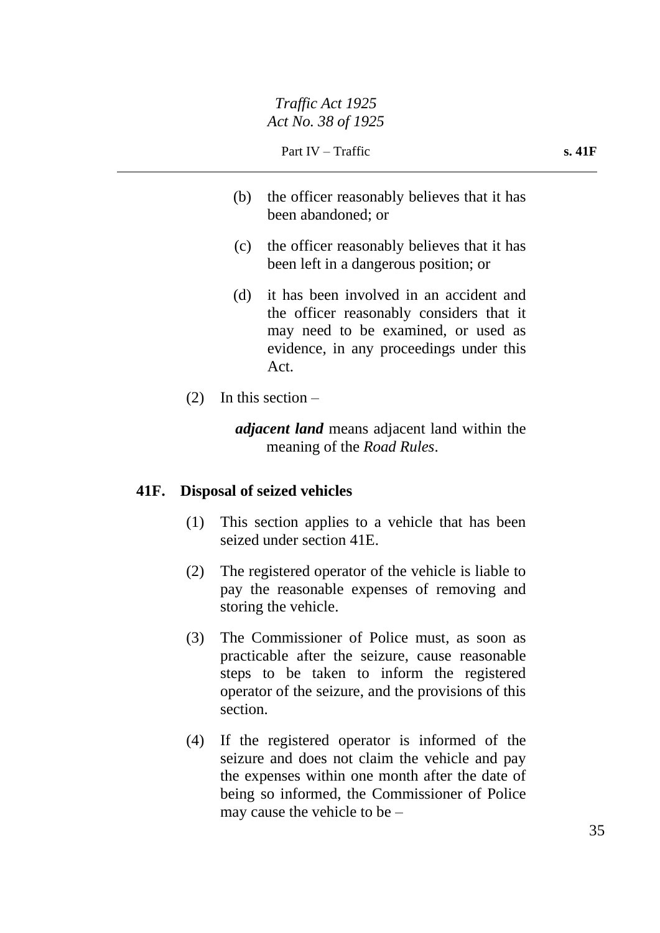- (b) the officer reasonably believes that it has been abandoned; or
- (c) the officer reasonably believes that it has been left in a dangerous position; or
- (d) it has been involved in an accident and the officer reasonably considers that it may need to be examined, or used as evidence, in any proceedings under this Act.
- $(2)$  In this section –

*adjacent land* means adjacent land within the meaning of the *Road Rules*.

### **41F. Disposal of seized vehicles**

- (1) This section applies to a vehicle that has been seized under section 41E.
- (2) The registered operator of the vehicle is liable to pay the reasonable expenses of removing and storing the vehicle.
- (3) The Commissioner of Police must, as soon as practicable after the seizure, cause reasonable steps to be taken to inform the registered operator of the seizure, and the provisions of this section.
- (4) If the registered operator is informed of the seizure and does not claim the vehicle and pay the expenses within one month after the date of being so informed, the Commissioner of Police may cause the vehicle to be –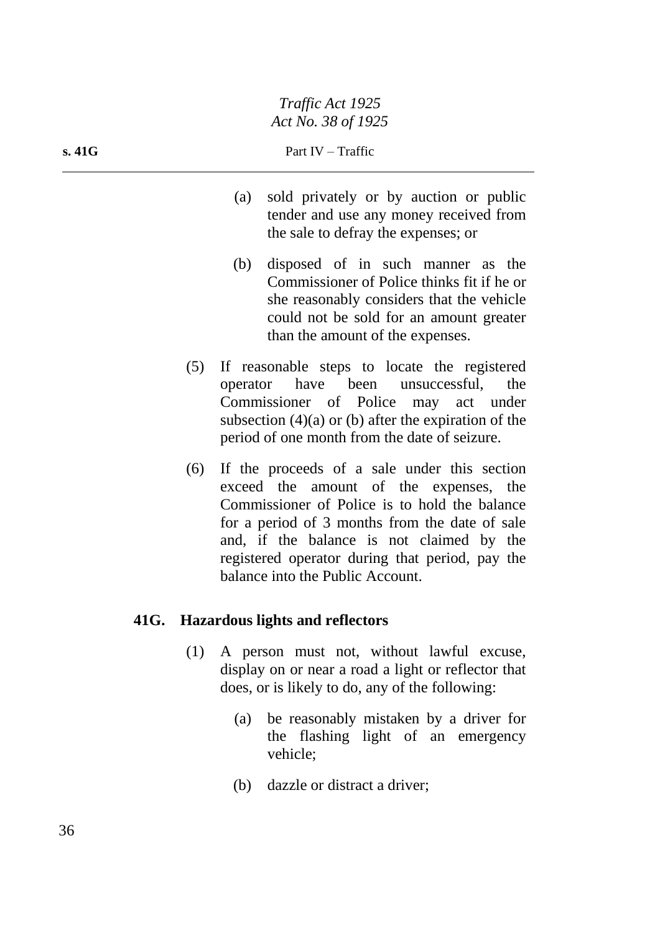- (a) sold privately or by auction or public tender and use any money received from the sale to defray the expenses; or
- (b) disposed of in such manner as the Commissioner of Police thinks fit if he or she reasonably considers that the vehicle could not be sold for an amount greater than the amount of the expenses.
- (5) If reasonable steps to locate the registered operator have been unsuccessful, the Commissioner of Police may act under subsection (4)(a) or (b) after the expiration of the period of one month from the date of seizure.
- (6) If the proceeds of a sale under this section exceed the amount of the expenses, the Commissioner of Police is to hold the balance for a period of 3 months from the date of sale and, if the balance is not claimed by the registered operator during that period, pay the balance into the Public Account.

# **41G. Hazardous lights and reflectors**

- (1) A person must not, without lawful excuse, display on or near a road a light or reflector that does, or is likely to do, any of the following:
	- (a) be reasonably mistaken by a driver for the flashing light of an emergency vehicle;
	- (b) dazzle or distract a driver;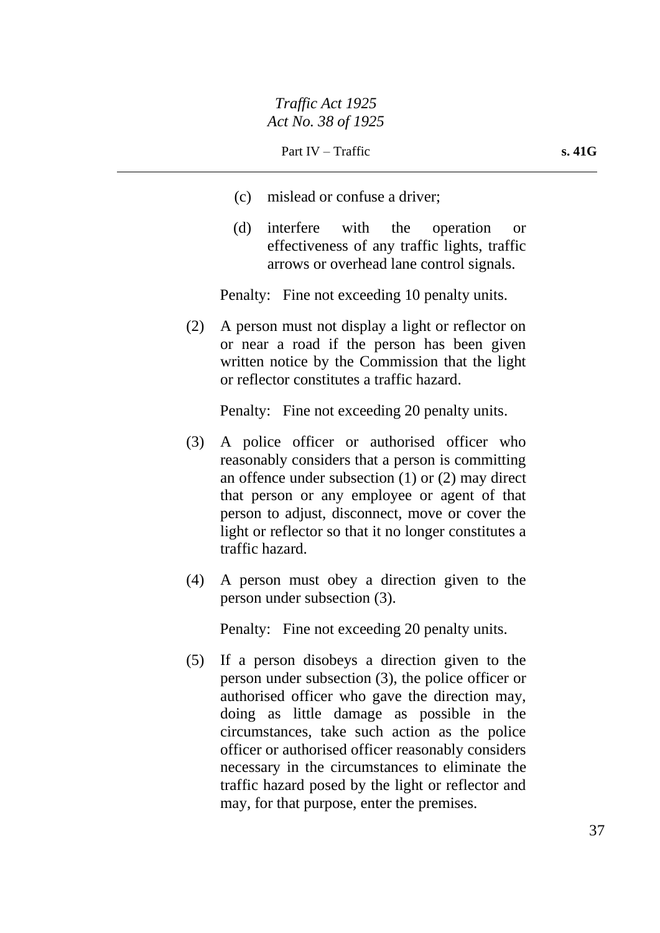- (c) mislead or confuse a driver;
- (d) interfere with the operation or effectiveness of any traffic lights, traffic arrows or overhead lane control signals.

Penalty: Fine not exceeding 10 penalty units.

(2) A person must not display a light or reflector on or near a road if the person has been given written notice by the Commission that the light or reflector constitutes a traffic hazard.

Penalty: Fine not exceeding 20 penalty units.

- (3) A police officer or authorised officer who reasonably considers that a person is committing an offence under subsection (1) or (2) may direct that person or any employee or agent of that person to adjust, disconnect, move or cover the light or reflector so that it no longer constitutes a traffic hazard.
- (4) A person must obey a direction given to the person under subsection (3).

Penalty: Fine not exceeding 20 penalty units.

(5) If a person disobeys a direction given to the person under subsection (3), the police officer or authorised officer who gave the direction may, doing as little damage as possible in the circumstances, take such action as the police officer or authorised officer reasonably considers necessary in the circumstances to eliminate the traffic hazard posed by the light or reflector and may, for that purpose, enter the premises.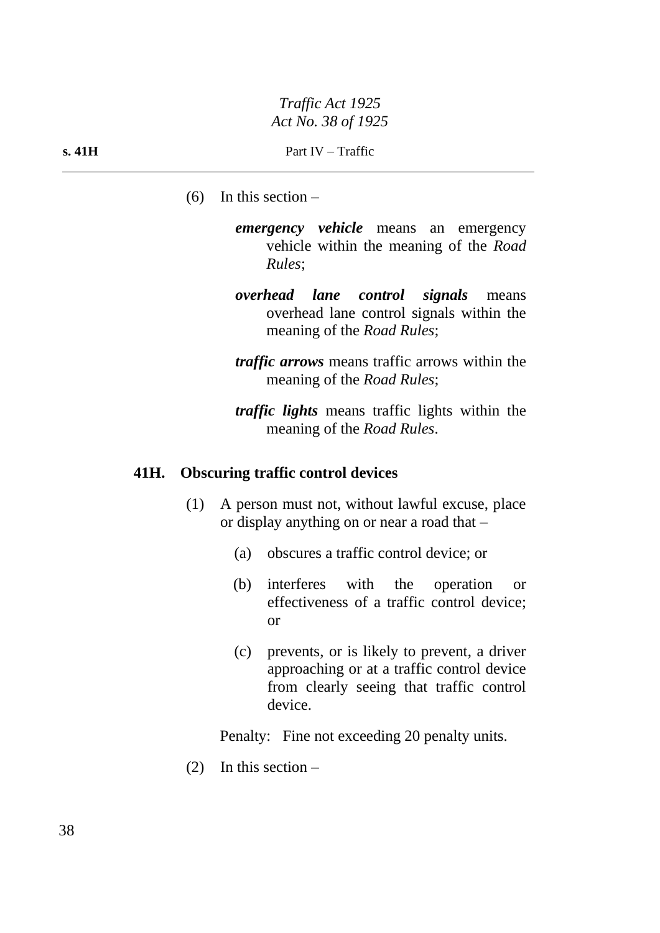- $(6)$  In this section
	- *emergency vehicle* means an emergency vehicle within the meaning of the *Road Rules*;
	- *overhead lane control signals* means overhead lane control signals within the meaning of the *Road Rules*;
	- *traffic arrows* means traffic arrows within the meaning of the *Road Rules*;
	- *traffic lights* means traffic lights within the meaning of the *Road Rules*.

#### **41H. Obscuring traffic control devices**

- (1) A person must not, without lawful excuse, place or display anything on or near a road that –
	- (a) obscures a traffic control device; or
	- (b) interferes with the operation or effectiveness of a traffic control device; or
	- (c) prevents, or is likely to prevent, a driver approaching or at a traffic control device from clearly seeing that traffic control device.

Penalty: Fine not exceeding 20 penalty units.

(2) In this section –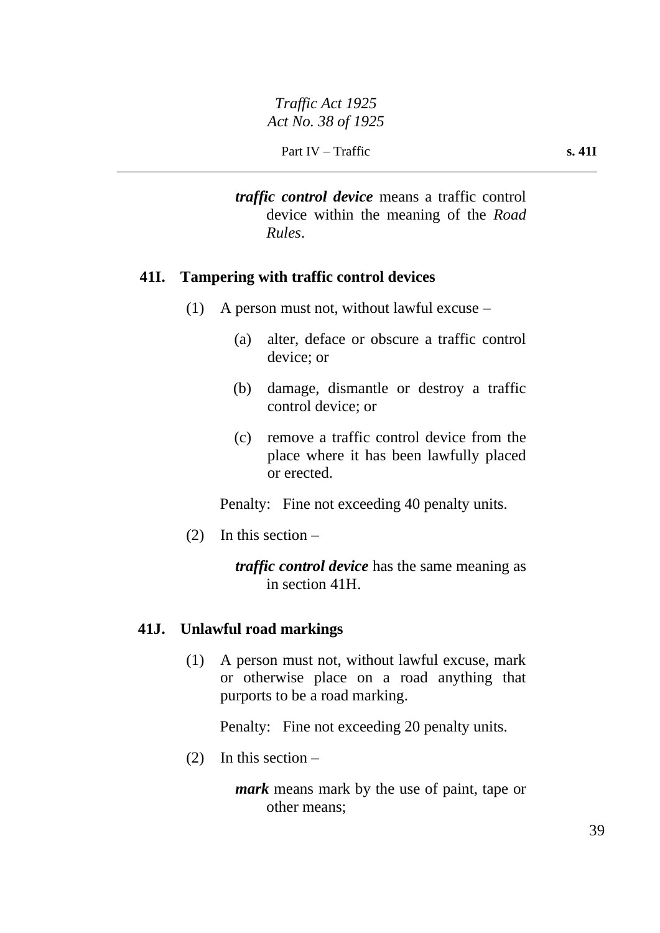*traffic control device* means a traffic control device within the meaning of the *Road Rules*.

# **41I. Tampering with traffic control devices**

- (1) A person must not, without lawful excuse
	- (a) alter, deface or obscure a traffic control device; or
	- (b) damage, dismantle or destroy a traffic control device; or
	- (c) remove a traffic control device from the place where it has been lawfully placed or erected.

Penalty: Fine not exceeding 40 penalty units.

(2) In this section –

*traffic control device* has the same meaning as in section 41H.

# **41J. Unlawful road markings**

(1) A person must not, without lawful excuse, mark or otherwise place on a road anything that purports to be a road marking.

Penalty: Fine not exceeding 20 penalty units.

(2) In this section –

*mark* means mark by the use of paint, tape or other means;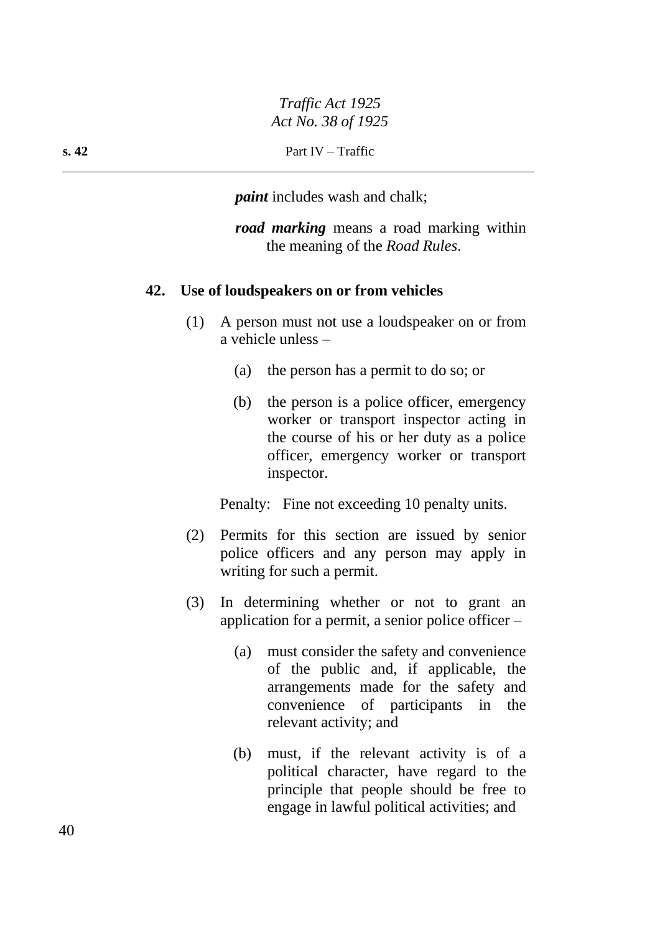*paint* includes wash and chalk;

*road marking* means a road marking within the meaning of the *Road Rules*.

# **42. Use of loudspeakers on or from vehicles**

- (1) A person must not use a loudspeaker on or from a vehicle unless –
	- (a) the person has a permit to do so; or
	- (b) the person is a police officer, emergency worker or transport inspector acting in the course of his or her duty as a police officer, emergency worker or transport inspector.

Penalty: Fine not exceeding 10 penalty units.

- (2) Permits for this section are issued by senior police officers and any person may apply in writing for such a permit.
- (3) In determining whether or not to grant an application for a permit, a senior police officer –
	- (a) must consider the safety and convenience of the public and, if applicable, the arrangements made for the safety and convenience of participants in the relevant activity; and
	- (b) must, if the relevant activity is of a political character, have regard to the principle that people should be free to engage in lawful political activities; and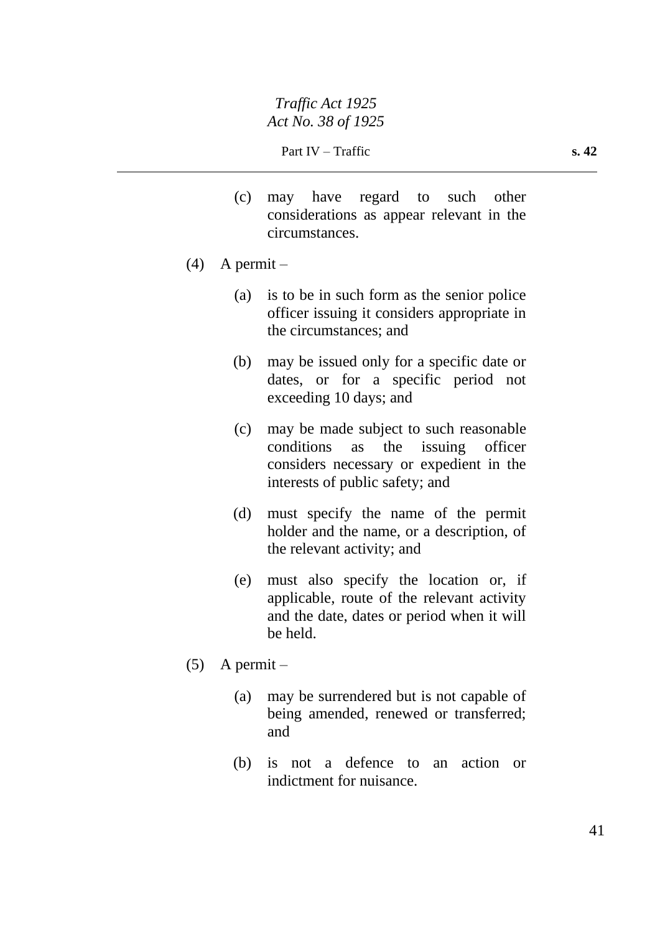- (c) may have regard to such other considerations as appear relevant in the circumstances.
- $(4)$  A permit
	- (a) is to be in such form as the senior police officer issuing it considers appropriate in the circumstances; and
	- (b) may be issued only for a specific date or dates, or for a specific period not exceeding 10 days; and
	- (c) may be made subject to such reasonable conditions as the issuing officer considers necessary or expedient in the interests of public safety; and
	- (d) must specify the name of the permit holder and the name, or a description, of the relevant activity; and
	- (e) must also specify the location or, if applicable, route of the relevant activity and the date, dates or period when it will be held.
- $(5)$  A permit
	- (a) may be surrendered but is not capable of being amended, renewed or transferred; and
	- (b) is not a defence to an action or indictment for nuisance.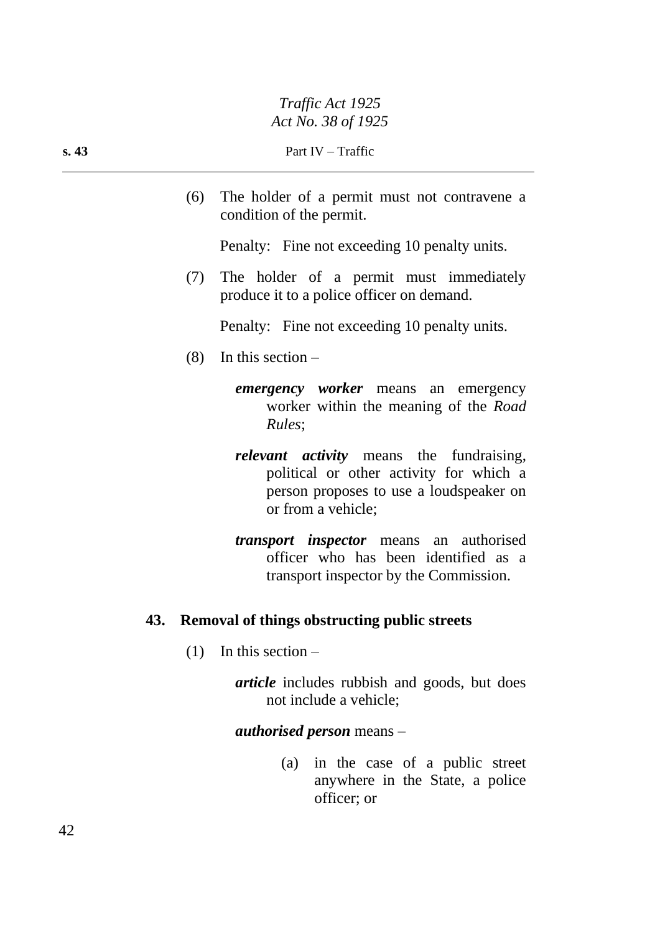(6) The holder of a permit must not contravene a condition of the permit.

Penalty: Fine not exceeding 10 penalty units.

(7) The holder of a permit must immediately produce it to a police officer on demand.

Penalty: Fine not exceeding 10 penalty units.

- $(8)$  In this section
	- *emergency worker* means an emergency worker within the meaning of the *Road Rules*;
	- *relevant activity* means the fundraising, political or other activity for which a person proposes to use a loudspeaker on or from a vehicle;
	- *transport inspector* means an authorised officer who has been identified as a transport inspector by the Commission.

# **43. Removal of things obstructing public streets**

 $(1)$  In this section –

*article* includes rubbish and goods, but does not include a vehicle;

### *authorised person* means –

(a) in the case of a public street anywhere in the State, a police officer; or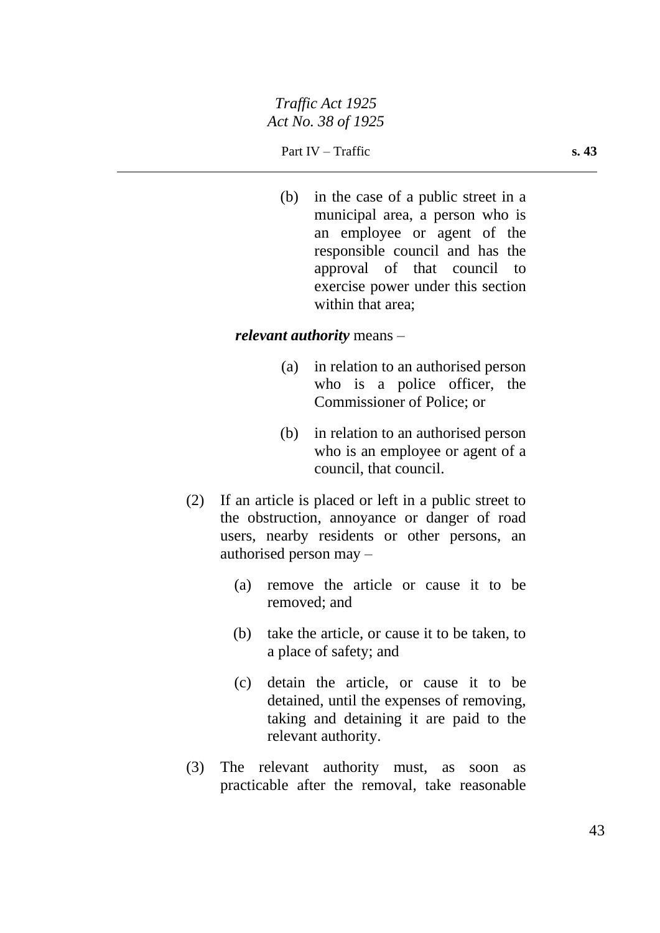(b) in the case of a public street in a municipal area, a person who is an employee or agent of the responsible council and has the approval of that council to exercise power under this section within that area:

### *relevant authority* means –

- (a) in relation to an authorised person who is a police officer, the Commissioner of Police; or
- (b) in relation to an authorised person who is an employee or agent of a council, that council.
- (2) If an article is placed or left in a public street to the obstruction, annoyance or danger of road users, nearby residents or other persons, an authorised person may –
	- (a) remove the article or cause it to be removed; and
	- (b) take the article, or cause it to be taken, to a place of safety; and
	- (c) detain the article, or cause it to be detained, until the expenses of removing, taking and detaining it are paid to the relevant authority.
- (3) The relevant authority must, as soon as practicable after the removal, take reasonable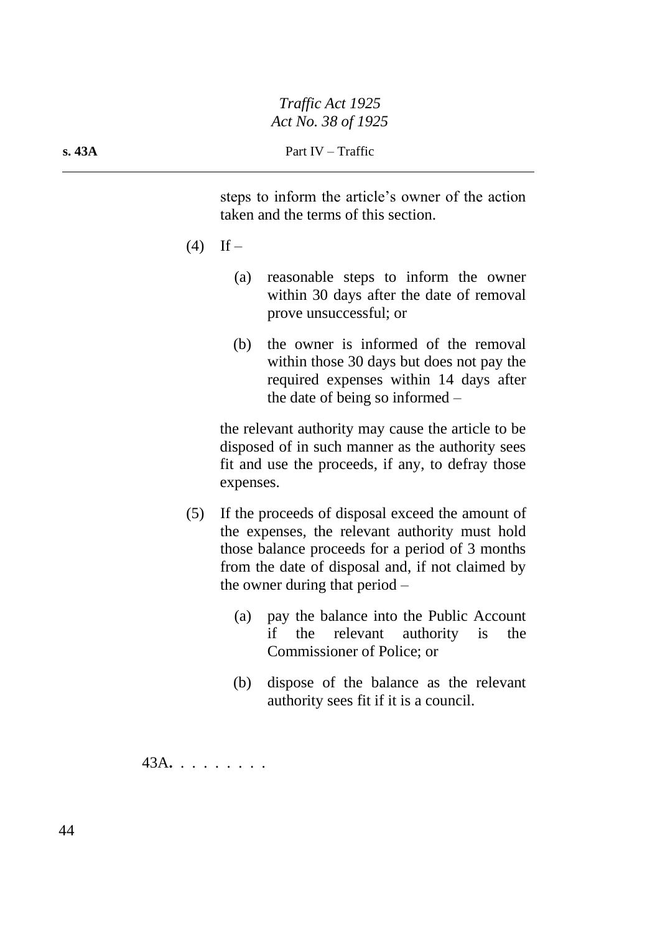steps to inform the article's owner of the action taken and the terms of this section.

- $(4)$  If
	- (a) reasonable steps to inform the owner within 30 days after the date of removal prove unsuccessful; or
	- (b) the owner is informed of the removal within those 30 days but does not pay the required expenses within 14 days after the date of being so informed –

the relevant authority may cause the article to be disposed of in such manner as the authority sees fit and use the proceeds, if any, to defray those expenses.

- (5) If the proceeds of disposal exceed the amount of the expenses, the relevant authority must hold those balance proceeds for a period of 3 months from the date of disposal and, if not claimed by the owner during that period –
	- (a) pay the balance into the Public Account if the relevant authority is the Commissioner of Police; or
	- (b) dispose of the balance as the relevant authority sees fit if it is a council.

43A**.** . . . . . . . .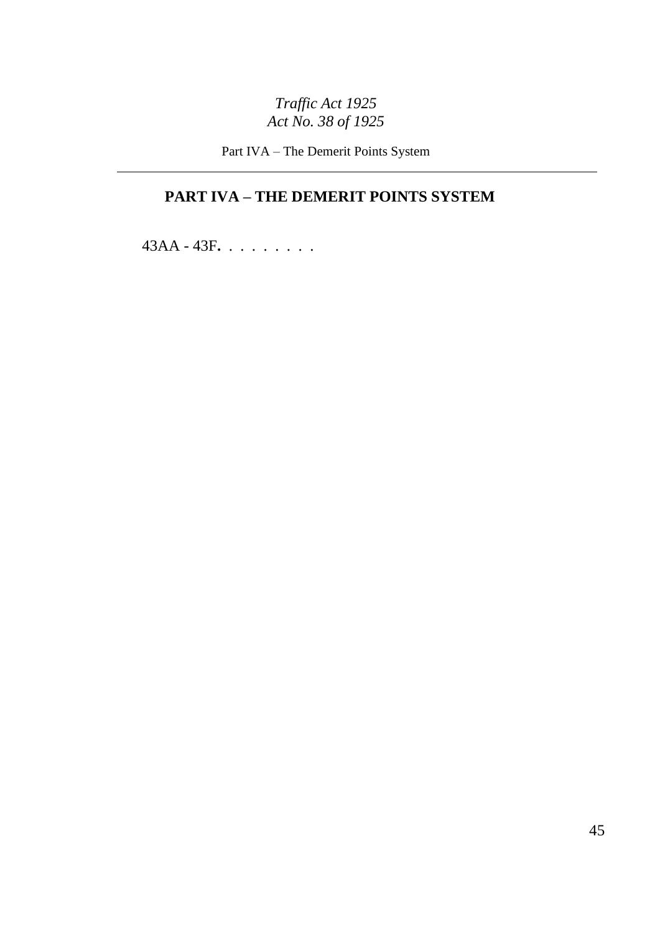Part IVA – The Demerit Points System

# **PART IVA – THE DEMERIT POINTS SYSTEM**

43AA - 43F**.** . . . . . . . .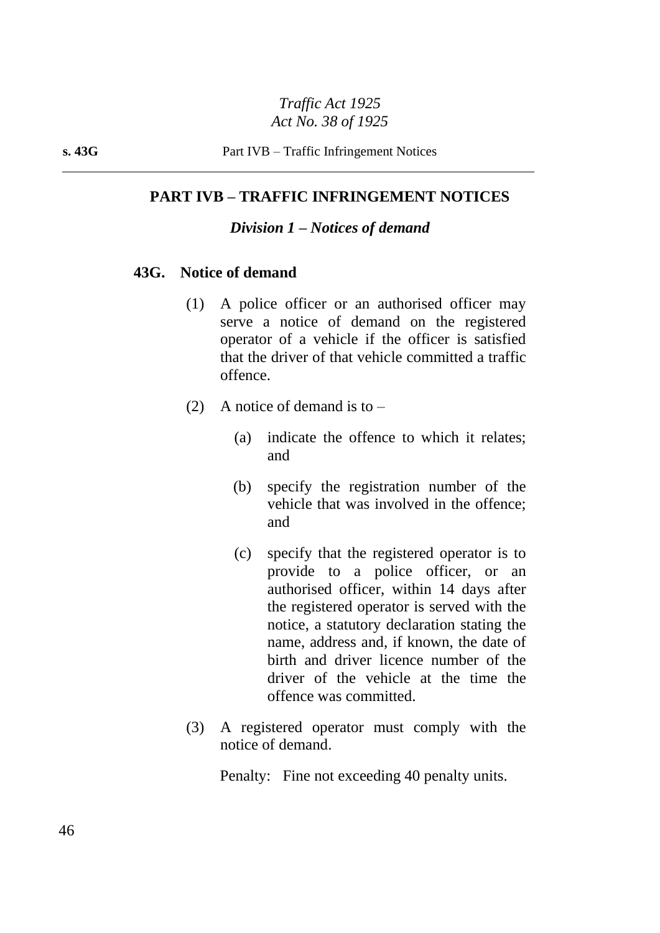## **PART IVB – TRAFFIC INFRINGEMENT NOTICES**

### *Division 1 – Notices of demand*

#### **43G. Notice of demand**

- (1) A police officer or an authorised officer may serve a notice of demand on the registered operator of a vehicle if the officer is satisfied that the driver of that vehicle committed a traffic offence.
- (2) A notice of demand is to  $-$ 
	- (a) indicate the offence to which it relates; and
	- (b) specify the registration number of the vehicle that was involved in the offence; and
	- (c) specify that the registered operator is to provide to a police officer, or an authorised officer, within 14 days after the registered operator is served with the notice, a statutory declaration stating the name, address and, if known, the date of birth and driver licence number of the driver of the vehicle at the time the offence was committed.
- (3) A registered operator must comply with the notice of demand.

Penalty: Fine not exceeding 40 penalty units.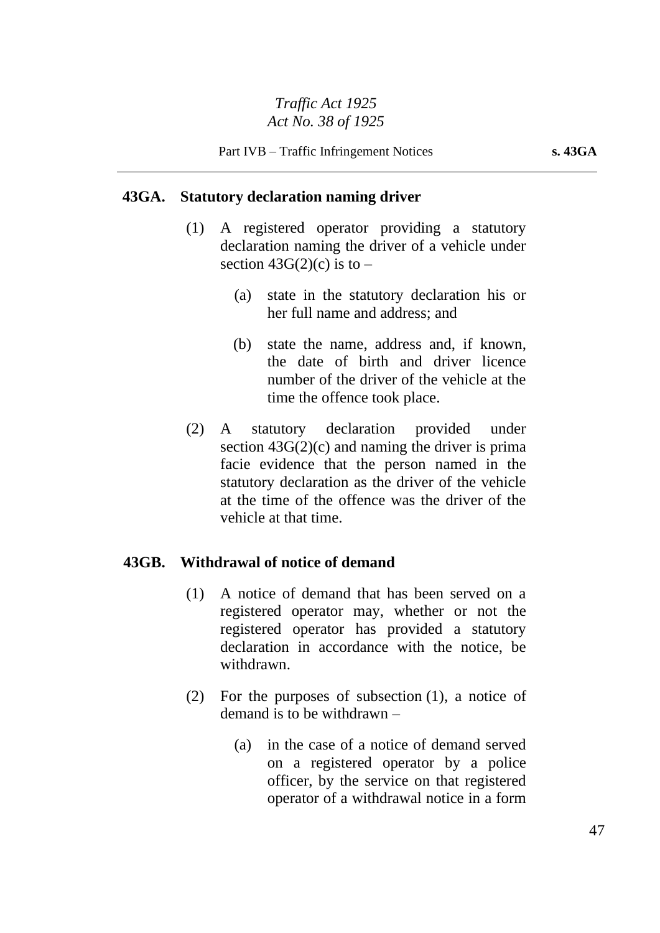## **43GA. Statutory declaration naming driver**

- (1) A registered operator providing a statutory declaration naming the driver of a vehicle under section  $43G(2)(c)$  is to –
	- (a) state in the statutory declaration his or her full name and address; and
	- (b) state the name, address and, if known, the date of birth and driver licence number of the driver of the vehicle at the time the offence took place.
- (2) A statutory declaration provided under section  $43G(2)(c)$  and naming the driver is prima facie evidence that the person named in the statutory declaration as the driver of the vehicle at the time of the offence was the driver of the vehicle at that time.

# **43GB. Withdrawal of notice of demand**

- (1) A notice of demand that has been served on a registered operator may, whether or not the registered operator has provided a statutory declaration in accordance with the notice, be withdrawn.
- (2) For the purposes of subsection (1), a notice of demand is to be withdrawn –
	- (a) in the case of a notice of demand served on a registered operator by a police officer, by the service on that registered operator of a withdrawal notice in a form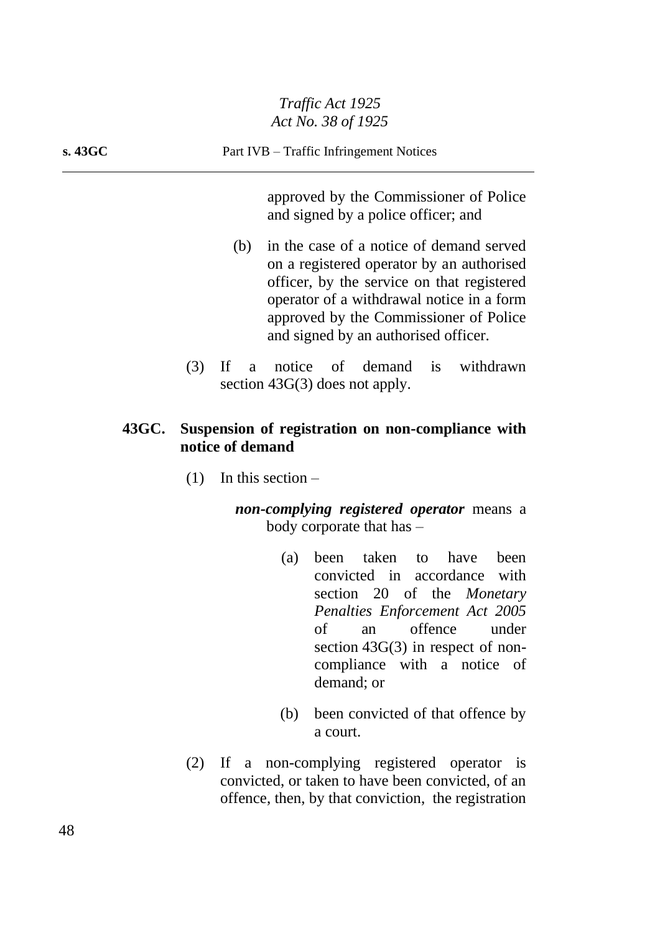approved by the Commissioner of Police and signed by a police officer; and

- (b) in the case of a notice of demand served on a registered operator by an authorised officer, by the service on that registered operator of a withdrawal notice in a form approved by the Commissioner of Police and signed by an authorised officer.
- (3) If a notice of demand is withdrawn section 43G(3) does not apply.

# **43GC. Suspension of registration on non-compliance with notice of demand**

 $(1)$  In this section –

*non-complying registered operator* means a body corporate that has –

- (a) been taken to have been convicted in accordance with section 20 of the *Monetary Penalties Enforcement Act 2005* of an offence under section 43G(3) in respect of noncompliance with a notice of demand; or
- (b) been convicted of that offence by a court.
- (2) If a non-complying registered operator is convicted, or taken to have been convicted, of an offence, then, by that conviction, the registration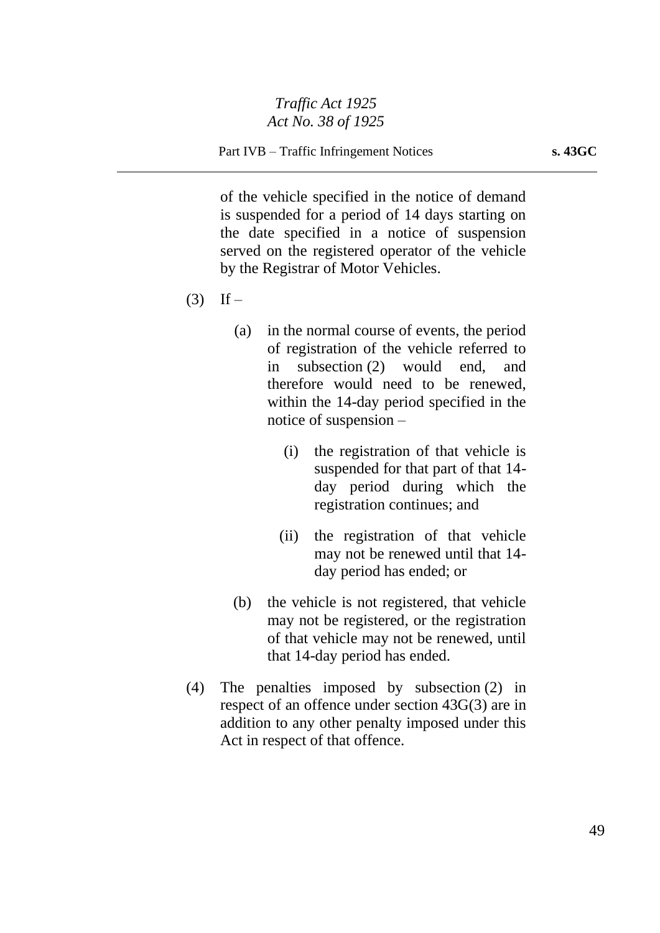of the vehicle specified in the notice of demand is suspended for a period of 14 days starting on the date specified in a notice of suspension served on the registered operator of the vehicle by the Registrar of Motor Vehicles.

- $(3)$  If
	- (a) in the normal course of events, the period of registration of the vehicle referred to in subsection (2) would end, and therefore would need to be renewed, within the 14-day period specified in the notice of suspension –
		- (i) the registration of that vehicle is suspended for that part of that 14 day period during which the registration continues; and
		- (ii) the registration of that vehicle may not be renewed until that 14 day period has ended; or
	- (b) the vehicle is not registered, that vehicle may not be registered, or the registration of that vehicle may not be renewed, until that 14-day period has ended.
- (4) The penalties imposed by subsection (2) in respect of an offence under section 43G(3) are in addition to any other penalty imposed under this Act in respect of that offence.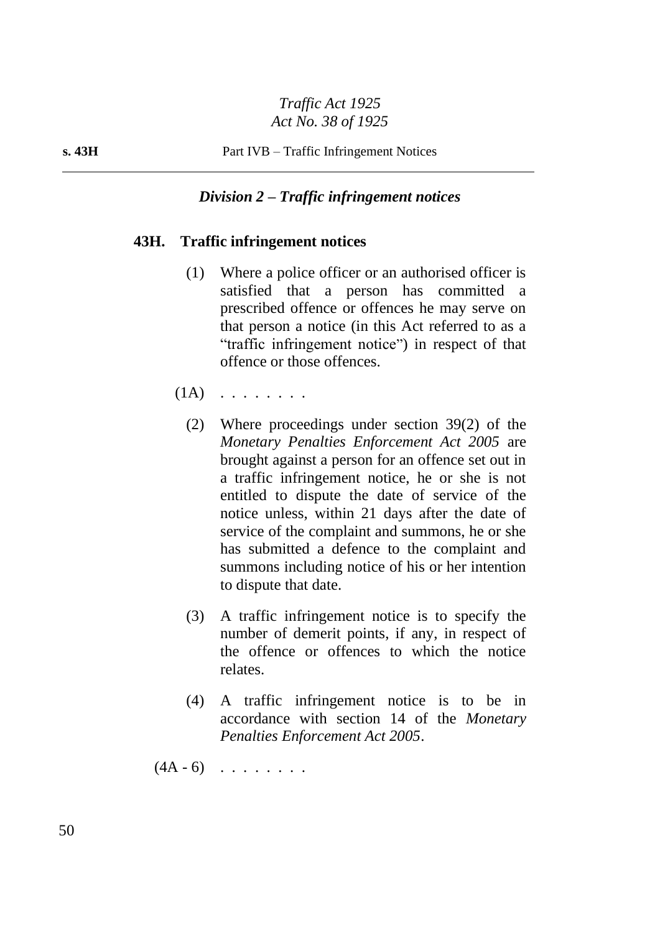# *Division 2 – Traffic infringement notices*

# **43H. Traffic infringement notices**

- (1) Where a police officer or an authorised officer is satisfied that a person has committed a prescribed offence or offences he may serve on that person a notice (in this Act referred to as a "traffic infringement notice") in respect of that offence or those offences.
- $(1A)$  . . . . . . . .
	- (2) Where proceedings under section 39(2) of the *Monetary Penalties Enforcement Act 2005* are brought against a person for an offence set out in a traffic infringement notice, he or she is not entitled to dispute the date of service of the notice unless, within 21 days after the date of service of the complaint and summons, he or she has submitted a defence to the complaint and summons including notice of his or her intention to dispute that date.
	- (3) A traffic infringement notice is to specify the number of demerit points, if any, in respect of the offence or offences to which the notice relates.
	- (4) A traffic infringement notice is to be in accordance with section 14 of the *Monetary Penalties Enforcement Act 2005*.

 $(4A - 6)$  . . . . . . .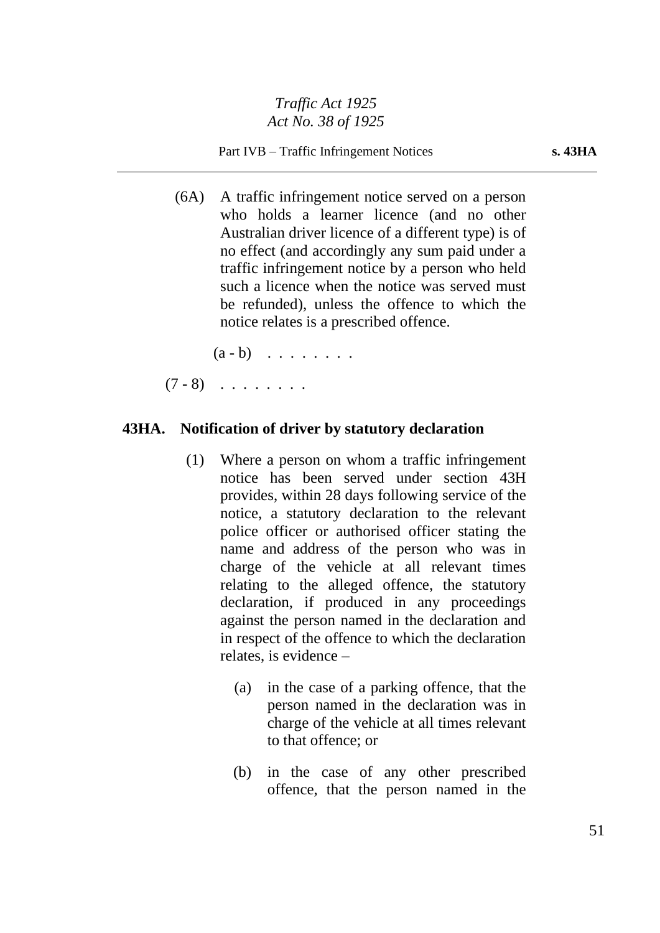Part IVB – Traffic Infringement Notices **s. 43HA**

(6A) A traffic infringement notice served on a person who holds a learner licence (and no other Australian driver licence of a different type) is of no effect (and accordingly any sum paid under a traffic infringement notice by a person who held such a licence when the notice was served must be refunded), unless the offence to which the notice relates is a prescribed offence.

 $(a - b)$  . . . . . . .

 $(7 - 8)$  . . . . . . .

#### **43HA. Notification of driver by statutory declaration**

- (1) Where a person on whom a traffic infringement notice has been served under section 43H provides, within 28 days following service of the notice, a statutory declaration to the relevant police officer or authorised officer stating the name and address of the person who was in charge of the vehicle at all relevant times relating to the alleged offence, the statutory declaration, if produced in any proceedings against the person named in the declaration and in respect of the offence to which the declaration relates, is evidence –
	- (a) in the case of a parking offence, that the person named in the declaration was in charge of the vehicle at all times relevant to that offence; or
	- (b) in the case of any other prescribed offence, that the person named in the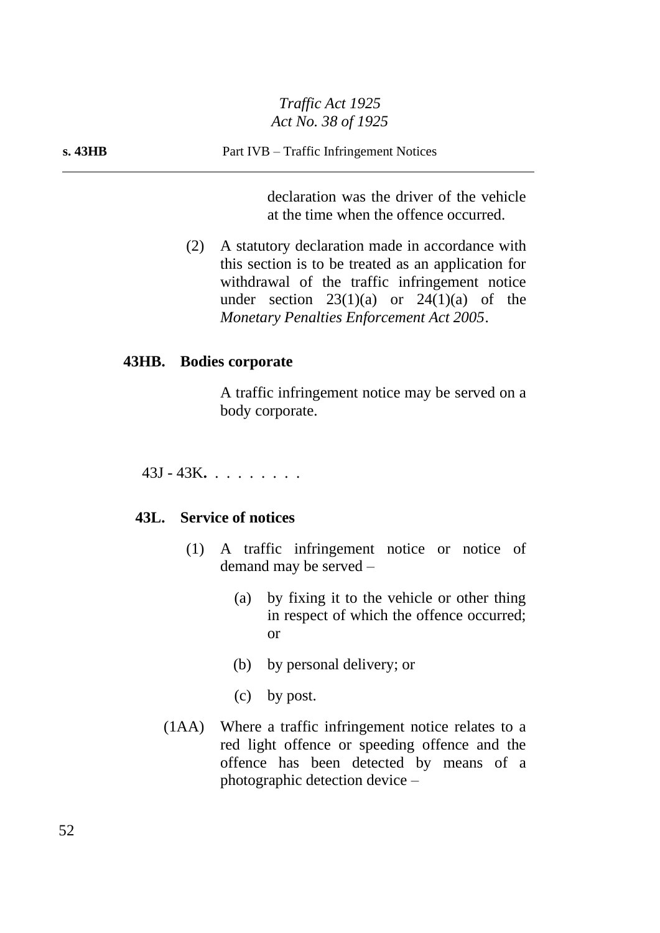declaration was the driver of the vehicle at the time when the offence occurred.

(2) A statutory declaration made in accordance with this section is to be treated as an application for withdrawal of the traffic infringement notice under section  $23(1)(a)$  or  $24(1)(a)$  of the *Monetary Penalties Enforcement Act 2005*.

#### **43HB. Bodies corporate**

A traffic infringement notice may be served on a body corporate.

43J - 43K**.** . . . . . . . .

# **43L. Service of notices**

- (1) A traffic infringement notice or notice of demand may be served –
	- (a) by fixing it to the vehicle or other thing in respect of which the offence occurred; or
	- (b) by personal delivery; or
	- (c) by post.
- (1AA) Where a traffic infringement notice relates to a red light offence or speeding offence and the offence has been detected by means of a photographic detection device –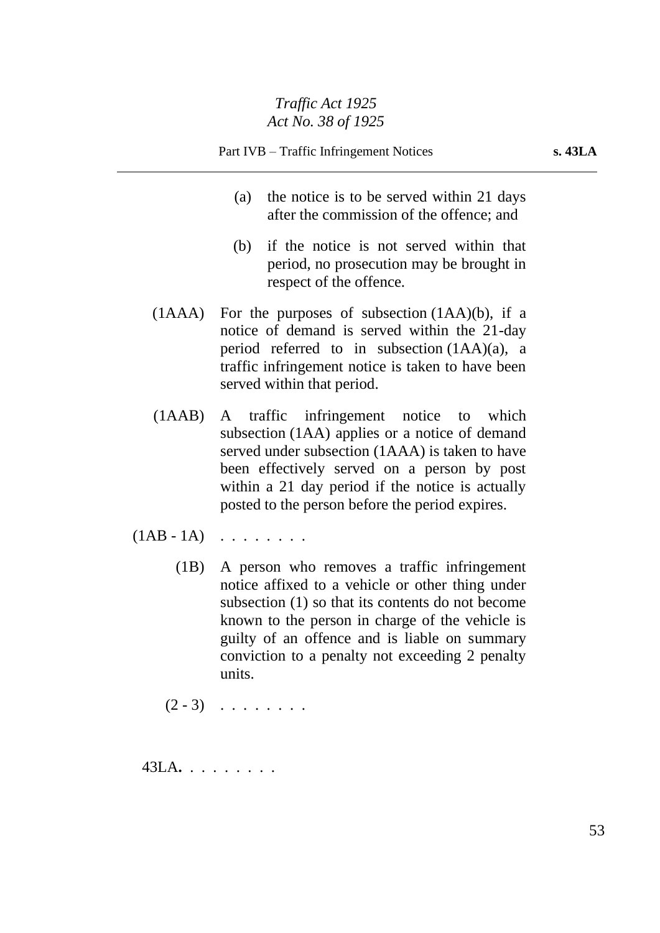- (a) the notice is to be served within 21 days after the commission of the offence; and
- (b) if the notice is not served within that period, no prosecution may be brought in respect of the offence.
- (1AAA) For the purposes of subsection (1AA)(b), if a notice of demand is served within the 21-day period referred to in subsection (1AA)(a), a traffic infringement notice is taken to have been served within that period.
- (1AAB) A traffic infringement notice to which subsection (1AA) applies or a notice of demand served under subsection (1AAA) is taken to have been effectively served on a person by post within a 21 day period if the notice is actually posted to the person before the period expires.
- $(1AB 1A) \cdot \ldots \cdot \ldots$ 
	- (1B) A person who removes a traffic infringement notice affixed to a vehicle or other thing under subsection (1) so that its contents do not become known to the person in charge of the vehicle is guilty of an offence and is liable on summary conviction to a penalty not exceeding 2 penalty units.

 $(2 - 3)$  . . . . . . .

43LA**.** . . . . . . . .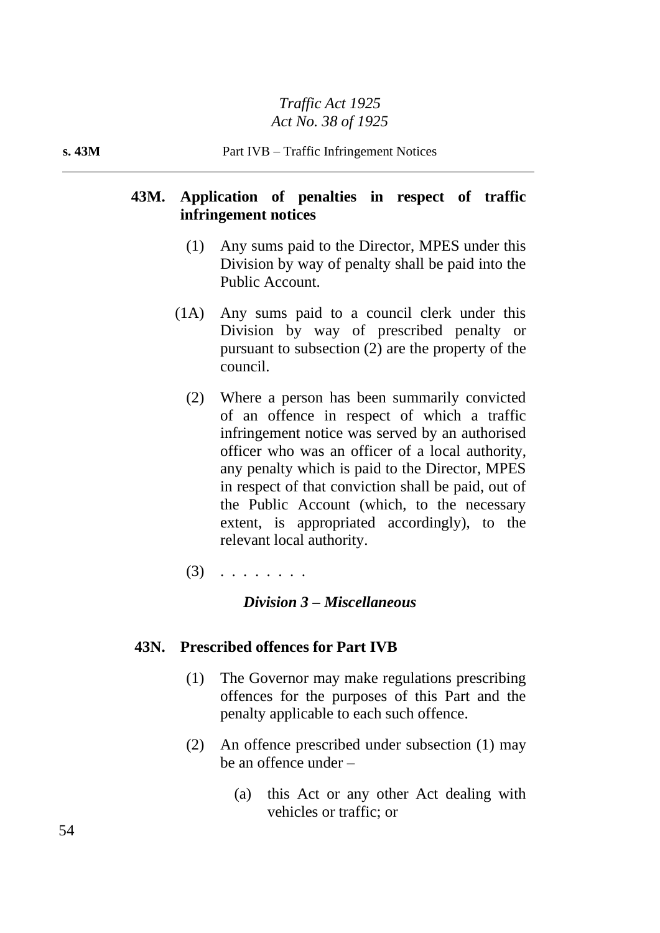# **43M. Application of penalties in respect of traffic infringement notices**

- (1) Any sums paid to the Director, MPES under this Division by way of penalty shall be paid into the Public Account.
- (1A) Any sums paid to a council clerk under this Division by way of prescribed penalty or pursuant to subsection (2) are the property of the council.
	- (2) Where a person has been summarily convicted of an offence in respect of which a traffic infringement notice was served by an authorised officer who was an officer of a local authority, any penalty which is paid to the Director, MPES in respect of that conviction shall be paid, out of the Public Account (which, to the necessary extent, is appropriated accordingly), to the relevant local authority.
	- $(3)$  . . . . . . . .

# *Division 3 – Miscellaneous*

### **43N. Prescribed offences for Part IVB**

- (1) The Governor may make regulations prescribing offences for the purposes of this Part and the penalty applicable to each such offence.
- (2) An offence prescribed under subsection (1) may be an offence under –
	- (a) this Act or any other Act dealing with vehicles or traffic; or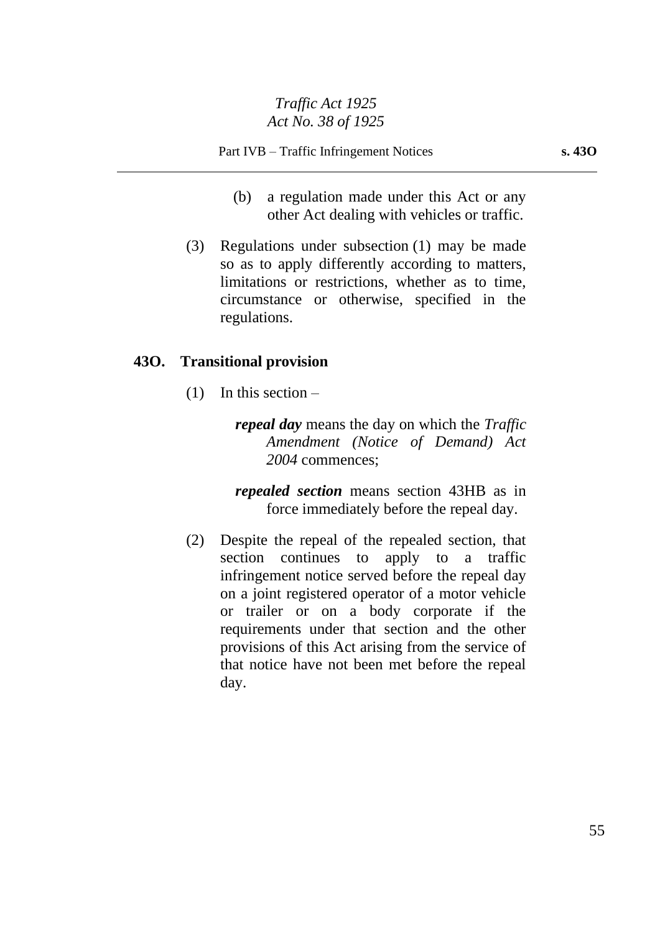- (b) a regulation made under this Act or any other Act dealing with vehicles or traffic.
- (3) Regulations under subsection (1) may be made so as to apply differently according to matters, limitations or restrictions, whether as to time, circumstance or otherwise, specified in the regulations.

# **43O. Transitional provision**

 $(1)$  In this section –

*repeal day* means the day on which the *Traffic Amendment (Notice of Demand) Act 2004* commences;

*repealed section* means section 43HB as in force immediately before the repeal day.

(2) Despite the repeal of the repealed section, that section continues to apply to a traffic infringement notice served before the repeal day on a joint registered operator of a motor vehicle or trailer or on a body corporate if the requirements under that section and the other provisions of this Act arising from the service of that notice have not been met before the repeal day.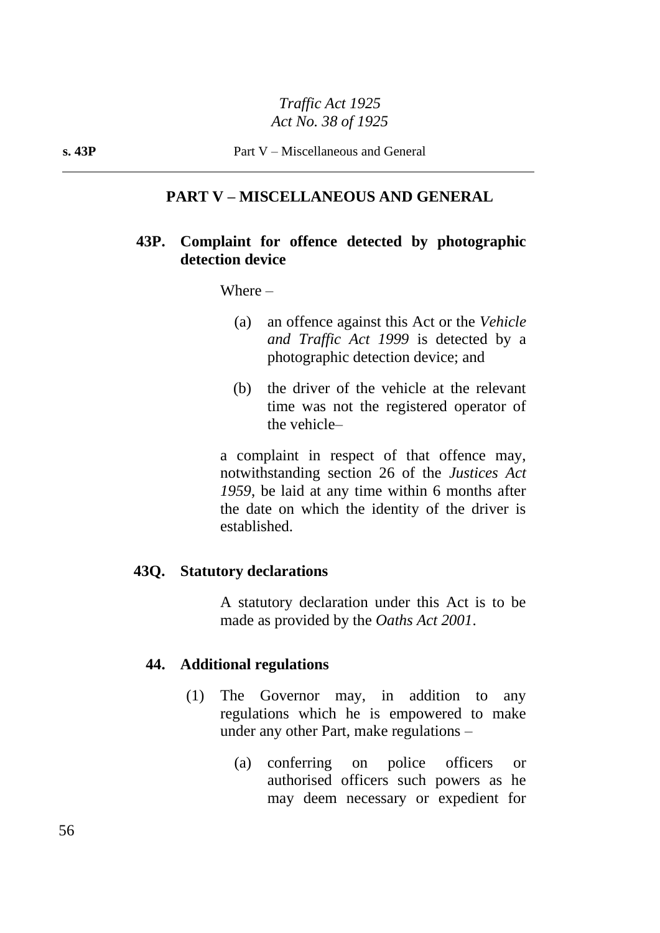## **PART V – MISCELLANEOUS AND GENERAL**

### **43P. Complaint for offence detected by photographic detection device**

Where –

- (a) an offence against this Act or the *Vehicle and Traffic Act 1999* is detected by a photographic detection device; and
- (b) the driver of the vehicle at the relevant time was not the registered operator of the vehicle–

a complaint in respect of that offence may, notwithstanding section 26 of the *Justices Act 1959*, be laid at any time within 6 months after the date on which the identity of the driver is established.

#### **43Q. Statutory declarations**

A statutory declaration under this Act is to be made as provided by the *Oaths Act 2001*.

#### **44. Additional regulations**

- (1) The Governor may, in addition to any regulations which he is empowered to make under any other Part, make regulations –
	- (a) conferring on police officers or authorised officers such powers as he may deem necessary or expedient for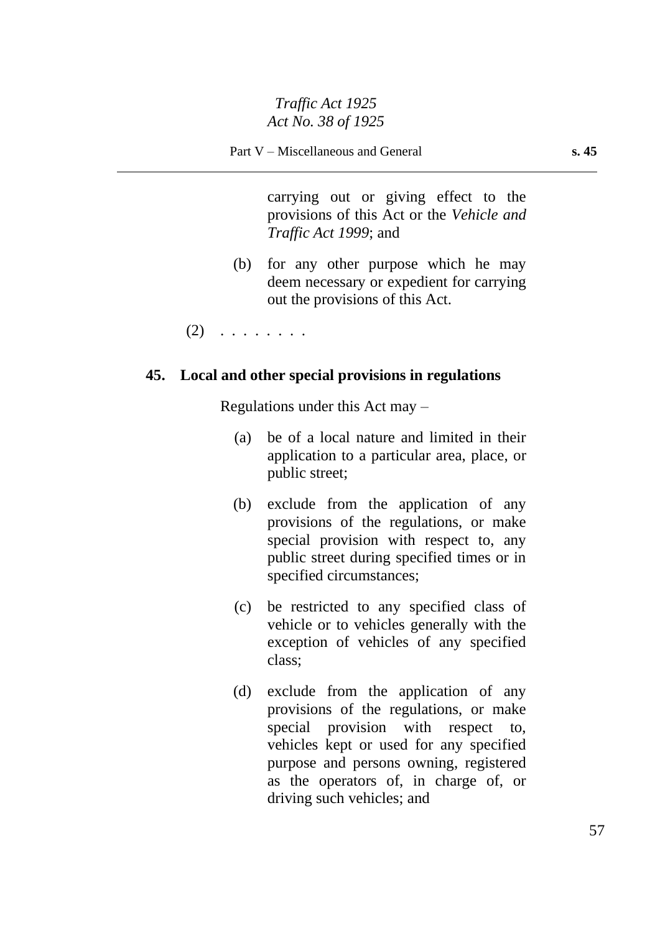carrying out or giving effect to the provisions of this Act or the *Vehicle and Traffic Act 1999*; and

(b) for any other purpose which he may deem necessary or expedient for carrying out the provisions of this Act.

 $(2)$  . . . . . . . .

### **45. Local and other special provisions in regulations**

Regulations under this Act may –

- (a) be of a local nature and limited in their application to a particular area, place, or public street;
- (b) exclude from the application of any provisions of the regulations, or make special provision with respect to, any public street during specified times or in specified circumstances;
- (c) be restricted to any specified class of vehicle or to vehicles generally with the exception of vehicles of any specified class;
- (d) exclude from the application of any provisions of the regulations, or make special provision with respect to, vehicles kept or used for any specified purpose and persons owning, registered as the operators of, in charge of, or driving such vehicles; and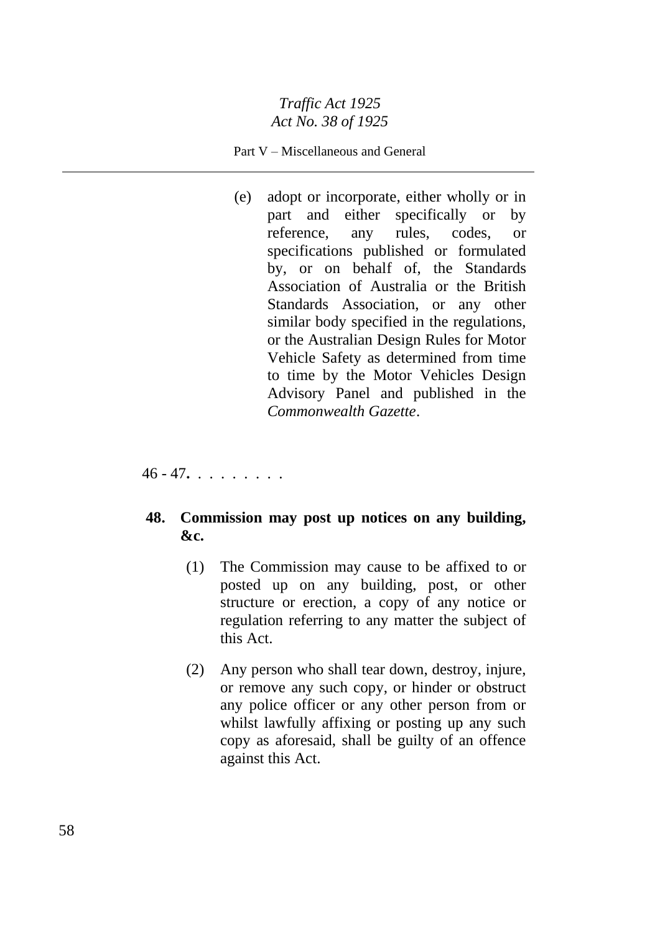#### Part V – Miscellaneous and General

(e) adopt or incorporate, either wholly or in part and either specifically or by reference, any rules, codes, or specifications published or formulated by, or on behalf of, the Standards Association of Australia or the British Standards Association, or any other similar body specified in the regulations, or the Australian Design Rules for Motor Vehicle Safety as determined from time to time by the Motor Vehicles Design Advisory Panel and published in the *Commonwealth Gazette*.

46 - 47**.** . . . . . . . .

# **48. Commission may post up notices on any building, &c.**

- (1) The Commission may cause to be affixed to or posted up on any building, post, or other structure or erection, a copy of any notice or regulation referring to any matter the subject of this Act.
- (2) Any person who shall tear down, destroy, injure, or remove any such copy, or hinder or obstruct any police officer or any other person from or whilst lawfully affixing or posting up any such copy as aforesaid, shall be guilty of an offence against this Act.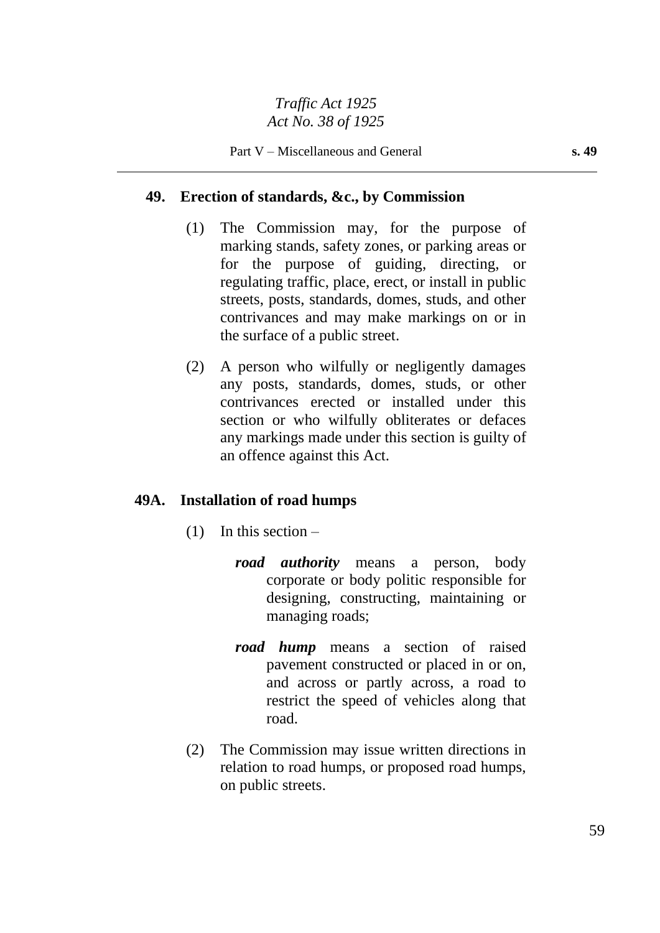# **49. Erection of standards, &c., by Commission**

- (1) The Commission may, for the purpose of marking stands, safety zones, or parking areas or for the purpose of guiding, directing, or regulating traffic, place, erect, or install in public streets, posts, standards, domes, studs, and other contrivances and may make markings on or in the surface of a public street.
- (2) A person who wilfully or negligently damages any posts, standards, domes, studs, or other contrivances erected or installed under this section or who wilfully obliterates or defaces any markings made under this section is guilty of an offence against this Act.

### **49A. Installation of road humps**

- $(1)$  In this section
	- *road authority* means a person, body corporate or body politic responsible for designing, constructing, maintaining or managing roads;
	- *road hump* means a section of raised pavement constructed or placed in or on, and across or partly across, a road to restrict the speed of vehicles along that road.
- (2) The Commission may issue written directions in relation to road humps, or proposed road humps, on public streets.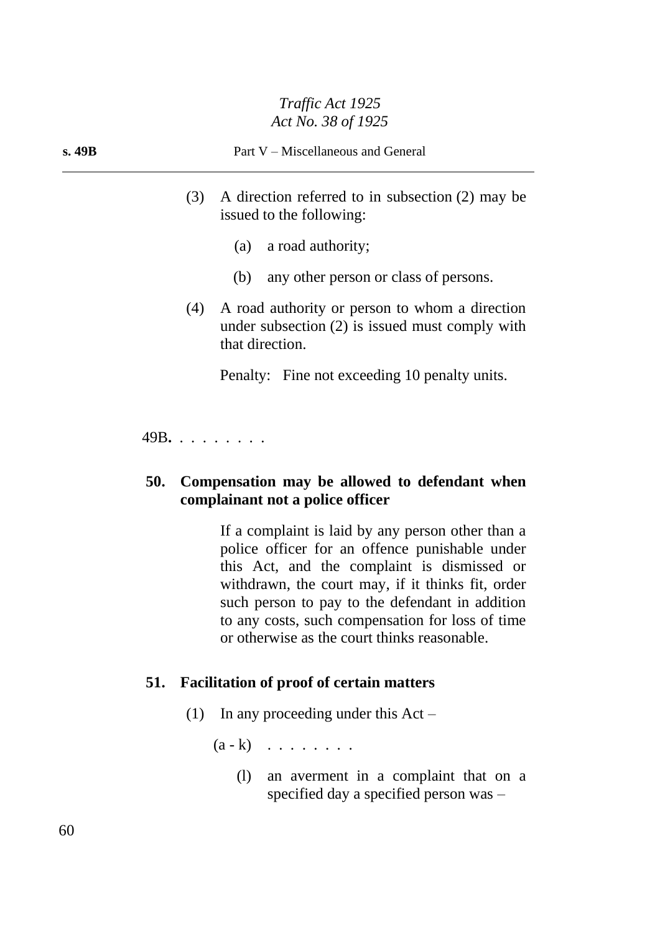# **s. 49B** Part V – Miscellaneous and General

- (3) A direction referred to in subsection (2) may be issued to the following:
	- (a) a road authority;
	- (b) any other person or class of persons.
- (4) A road authority or person to whom a direction under subsection (2) is issued must comply with that direction.

Penalty: Fine not exceeding 10 penalty units.

49B**.** . . . . . . . .

# **50. Compensation may be allowed to defendant when complainant not a police officer**

If a complaint is laid by any person other than a police officer for an offence punishable under this Act, and the complaint is dismissed or withdrawn, the court may, if it thinks fit, order such person to pay to the defendant in addition to any costs, such compensation for loss of time or otherwise as the court thinks reasonable.

### **51. Facilitation of proof of certain matters**

(1) In any proceeding under this Act –

 $(a - k)$  . . . . . . .

(l) an averment in a complaint that on a specified day a specified person was –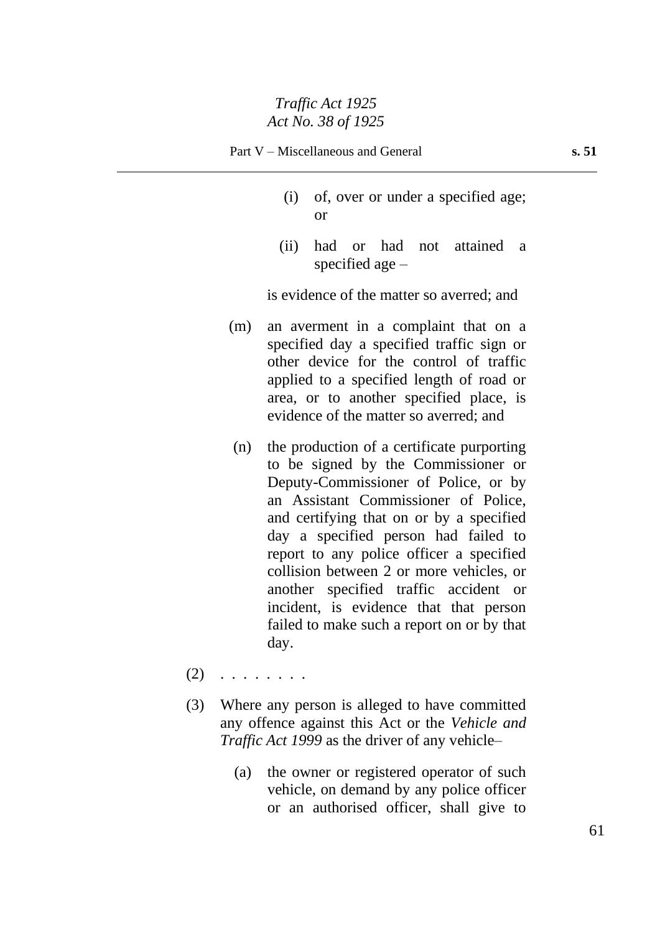- (i) of, over or under a specified age; or
- (ii) had or had not attained a specified age –

is evidence of the matter so averred; and

- (m) an averment in a complaint that on a specified day a specified traffic sign or other device for the control of traffic applied to a specified length of road or area, or to another specified place, is evidence of the matter so averred; and
- (n) the production of a certificate purporting to be signed by the Commissioner or Deputy-Commissioner of Police, or by an Assistant Commissioner of Police, and certifying that on or by a specified day a specified person had failed to report to any police officer a specified collision between 2 or more vehicles, or another specified traffic accident or incident, is evidence that that person failed to make such a report on or by that day.
- $(2)$  . . . . . . . .
- (3) Where any person is alleged to have committed any offence against this Act or the *Vehicle and Traffic Act 1999* as the driver of any vehicle–
	- (a) the owner or registered operator of such vehicle, on demand by any police officer or an authorised officer, shall give to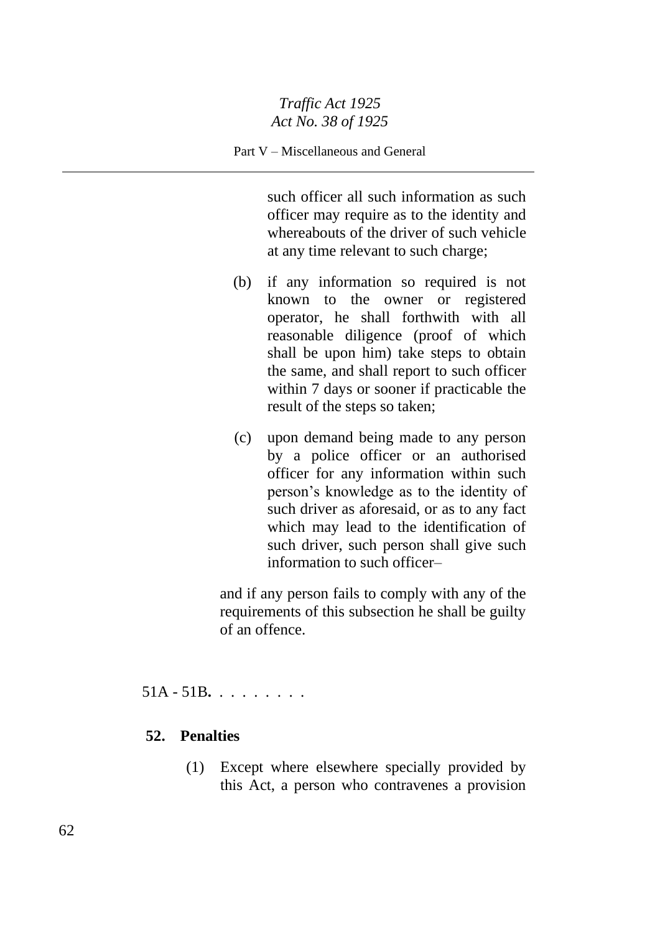#### Part V – Miscellaneous and General

such officer all such information as such officer may require as to the identity and whereabouts of the driver of such vehicle at any time relevant to such charge;

- (b) if any information so required is not known to the owner or registered operator, he shall forthwith with all reasonable diligence (proof of which shall be upon him) take steps to obtain the same, and shall report to such officer within 7 days or sooner if practicable the result of the steps so taken;
- (c) upon demand being made to any person by a police officer or an authorised officer for any information within such person's knowledge as to the identity of such driver as aforesaid, or as to any fact which may lead to the identification of such driver, such person shall give such information to such officer–

and if any person fails to comply with any of the requirements of this subsection he shall be guilty of an offence.

51A - 51B**.** . . . . . . . .

# **52. Penalties**

(1) Except where elsewhere specially provided by this Act, a person who contravenes a provision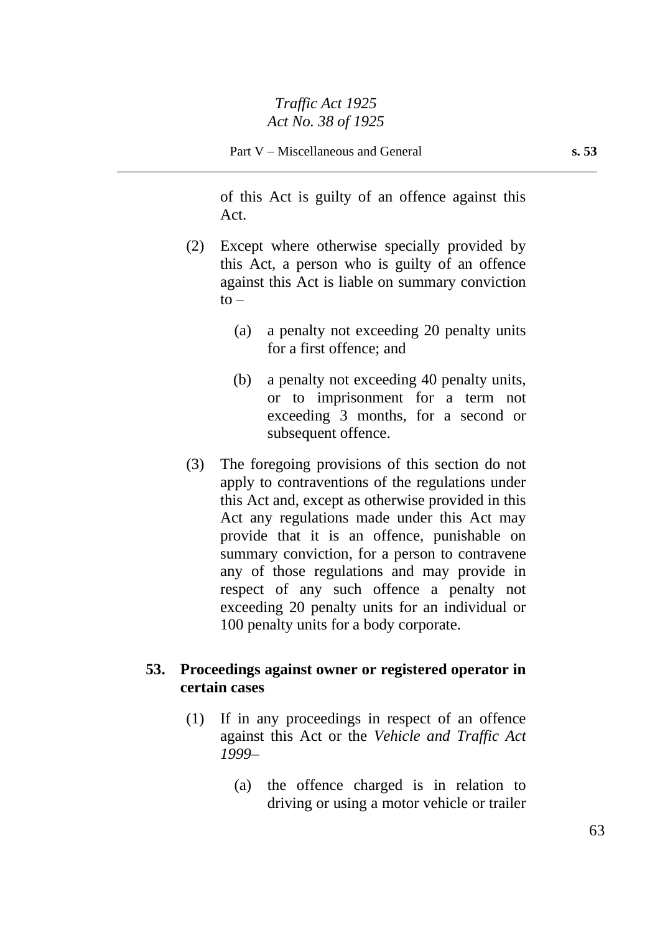of this Act is guilty of an offence against this Act.

- (2) Except where otherwise specially provided by this Act, a person who is guilty of an offence against this Act is liable on summary conviction  $to -$ 
	- (a) a penalty not exceeding 20 penalty units for a first offence; and
	- (b) a penalty not exceeding 40 penalty units, or to imprisonment for a term not exceeding 3 months, for a second or subsequent offence.
- (3) The foregoing provisions of this section do not apply to contraventions of the regulations under this Act and, except as otherwise provided in this Act any regulations made under this Act may provide that it is an offence, punishable on summary conviction, for a person to contravene any of those regulations and may provide in respect of any such offence a penalty not exceeding 20 penalty units for an individual or 100 penalty units for a body corporate.

### **53. Proceedings against owner or registered operator in certain cases**

- (1) If in any proceedings in respect of an offence against this Act or the *Vehicle and Traffic Act 1999*–
	- (a) the offence charged is in relation to driving or using a motor vehicle or trailer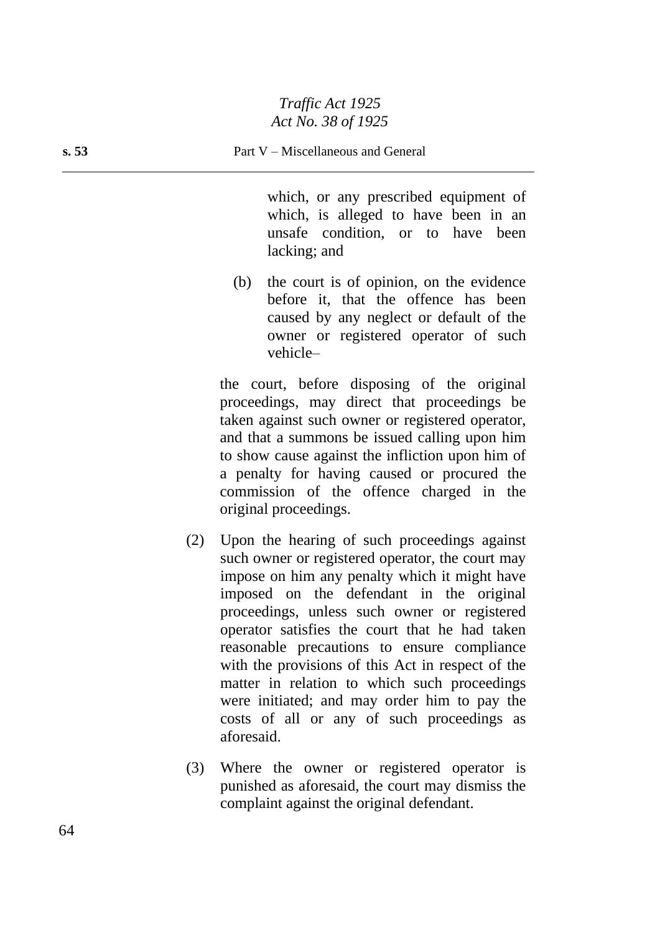which, or any prescribed equipment of which, is alleged to have been in an unsafe condition, or to have been lacking; and

(b) the court is of opinion, on the evidence before it, that the offence has been caused by any neglect or default of the owner or registered operator of such vehicle–

the court, before disposing of the original proceedings, may direct that proceedings be taken against such owner or registered operator, and that a summons be issued calling upon him to show cause against the infliction upon him of a penalty for having caused or procured the commission of the offence charged in the original proceedings.

- (2) Upon the hearing of such proceedings against such owner or registered operator, the court may impose on him any penalty which it might have imposed on the defendant in the original proceedings, unless such owner or registered operator satisfies the court that he had taken reasonable precautions to ensure compliance with the provisions of this Act in respect of the matter in relation to which such proceedings were initiated; and may order him to pay the costs of all or any of such proceedings as aforesaid.
- (3) Where the owner or registered operator is punished as aforesaid, the court may dismiss the complaint against the original defendant.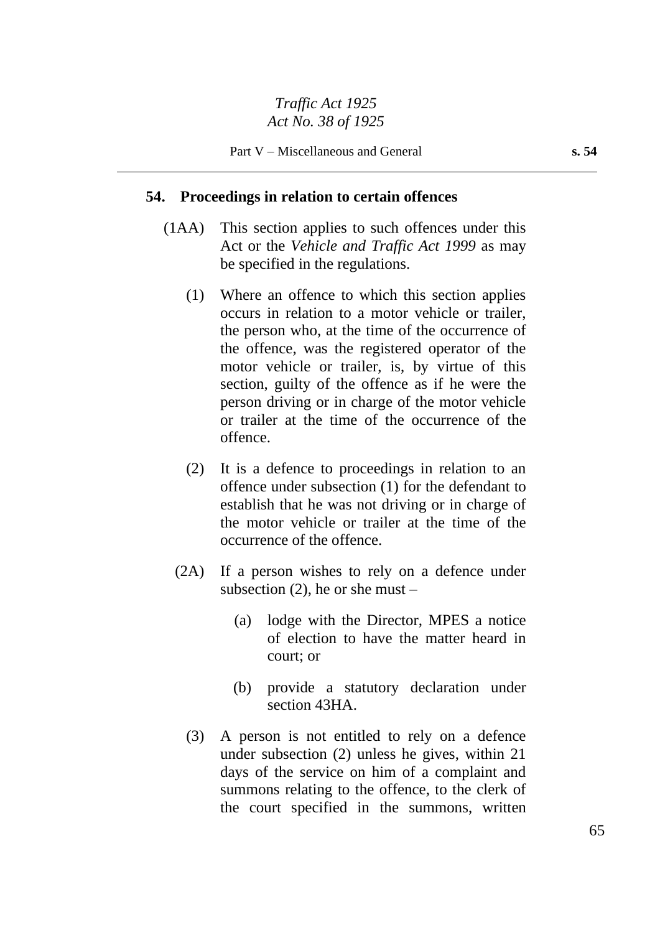#### **54. Proceedings in relation to certain offences**

- (1AA) This section applies to such offences under this Act or the *Vehicle and Traffic Act 1999* as may be specified in the regulations.
	- (1) Where an offence to which this section applies occurs in relation to a motor vehicle or trailer, the person who, at the time of the occurrence of the offence, was the registered operator of the motor vehicle or trailer, is, by virtue of this section, guilty of the offence as if he were the person driving or in charge of the motor vehicle or trailer at the time of the occurrence of the offence.
	- (2) It is a defence to proceedings in relation to an offence under subsection (1) for the defendant to establish that he was not driving or in charge of the motor vehicle or trailer at the time of the occurrence of the offence.
	- (2A) If a person wishes to rely on a defence under subsection  $(2)$ , he or she must –
		- (a) lodge with the Director, MPES a notice of election to have the matter heard in court; or
		- (b) provide a statutory declaration under section 43HA.
		- (3) A person is not entitled to rely on a defence under subsection (2) unless he gives, within 21 days of the service on him of a complaint and summons relating to the offence, to the clerk of the court specified in the summons, written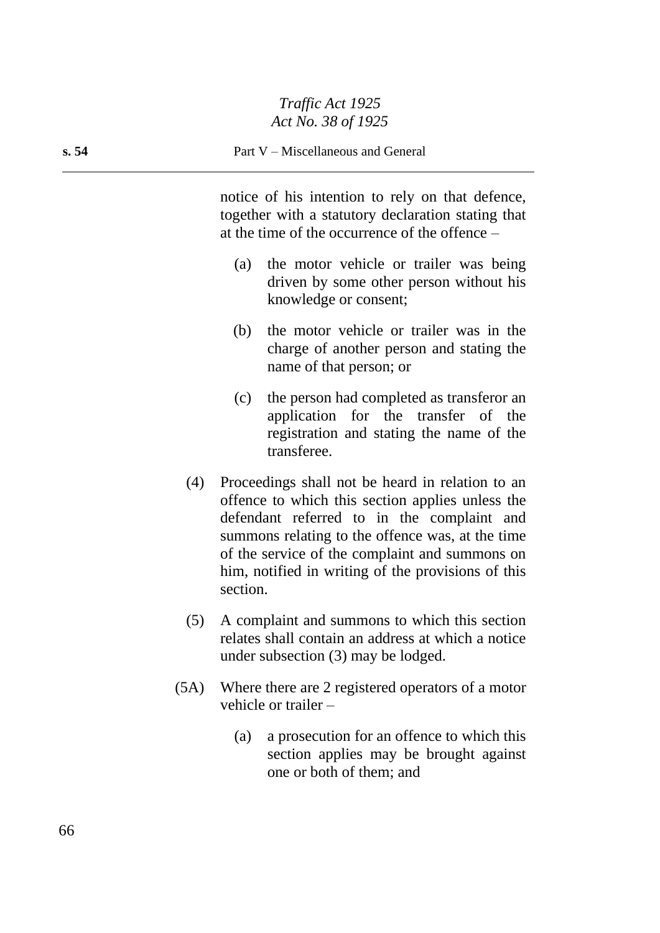notice of his intention to rely on that defence, together with a statutory declaration stating that at the time of the occurrence of the offence –

- (a) the motor vehicle or trailer was being driven by some other person without his knowledge or consent;
- (b) the motor vehicle or trailer was in the charge of another person and stating the name of that person; or
- (c) the person had completed as transferor an application for the transfer of the registration and stating the name of the transferee.
- (4) Proceedings shall not be heard in relation to an offence to which this section applies unless the defendant referred to in the complaint and summons relating to the offence was, at the time of the service of the complaint and summons on him, notified in writing of the provisions of this section.
- (5) A complaint and summons to which this section relates shall contain an address at which a notice under subsection (3) may be lodged.
- (5A) Where there are 2 registered operators of a motor vehicle or trailer –
	- (a) a prosecution for an offence to which this section applies may be brought against one or both of them; and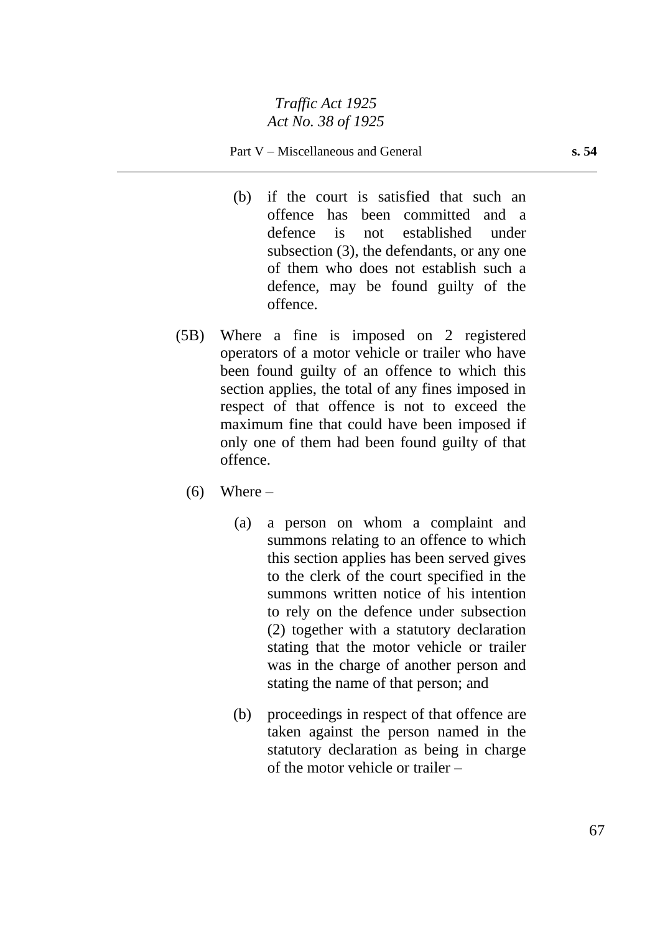#### Part V – Miscellaneous and General **s. 54**

- (b) if the court is satisfied that such an offence has been committed and a defence is not established under subsection (3), the defendants, or any one of them who does not establish such a defence, may be found guilty of the offence.
- (5B) Where a fine is imposed on 2 registered operators of a motor vehicle or trailer who have been found guilty of an offence to which this section applies, the total of any fines imposed in respect of that offence is not to exceed the maximum fine that could have been imposed if only one of them had been found guilty of that offence.
	- $(6)$  Where
		- (a) a person on whom a complaint and summons relating to an offence to which this section applies has been served gives to the clerk of the court specified in the summons written notice of his intention to rely on the defence under subsection (2) together with a statutory declaration stating that the motor vehicle or trailer was in the charge of another person and stating the name of that person; and
		- (b) proceedings in respect of that offence are taken against the person named in the statutory declaration as being in charge of the motor vehicle or trailer –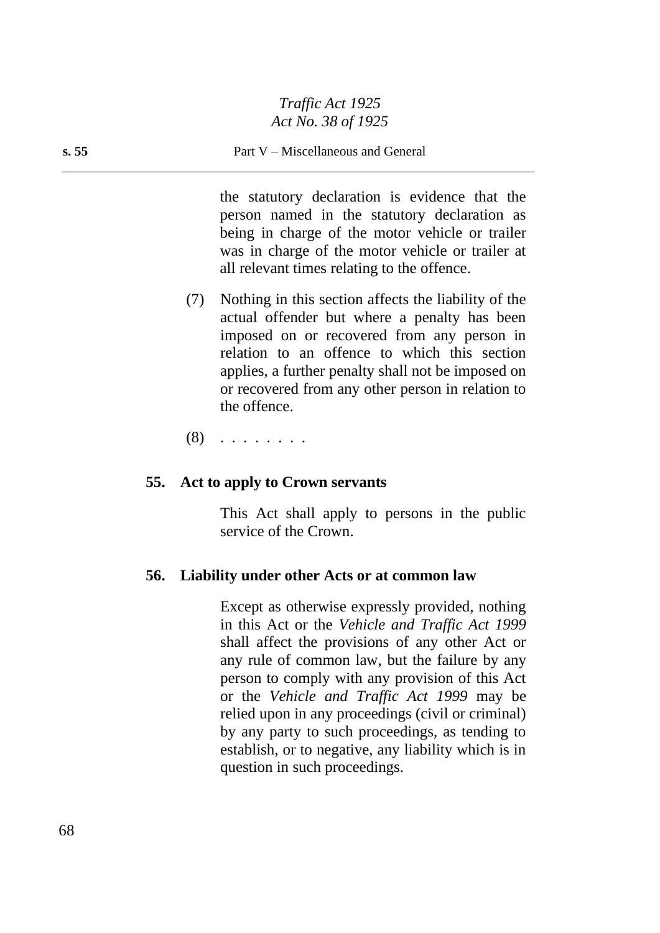#### **s. 55** Part V – Miscellaneous and General

the statutory declaration is evidence that the person named in the statutory declaration as being in charge of the motor vehicle or trailer was in charge of the motor vehicle or trailer at all relevant times relating to the offence.

(7) Nothing in this section affects the liability of the actual offender but where a penalty has been imposed on or recovered from any person in relation to an offence to which this section applies, a further penalty shall not be imposed on or recovered from any other person in relation to the offence.

(8) . . . . . . . .

#### **55. Act to apply to Crown servants**

This Act shall apply to persons in the public service of the Crown.

#### **56. Liability under other Acts or at common law**

Except as otherwise expressly provided, nothing in this Act or the *Vehicle and Traffic Act 1999* shall affect the provisions of any other Act or any rule of common law, but the failure by any person to comply with any provision of this Act or the *Vehicle and Traffic Act 1999* may be relied upon in any proceedings (civil or criminal) by any party to such proceedings, as tending to establish, or to negative, any liability which is in question in such proceedings.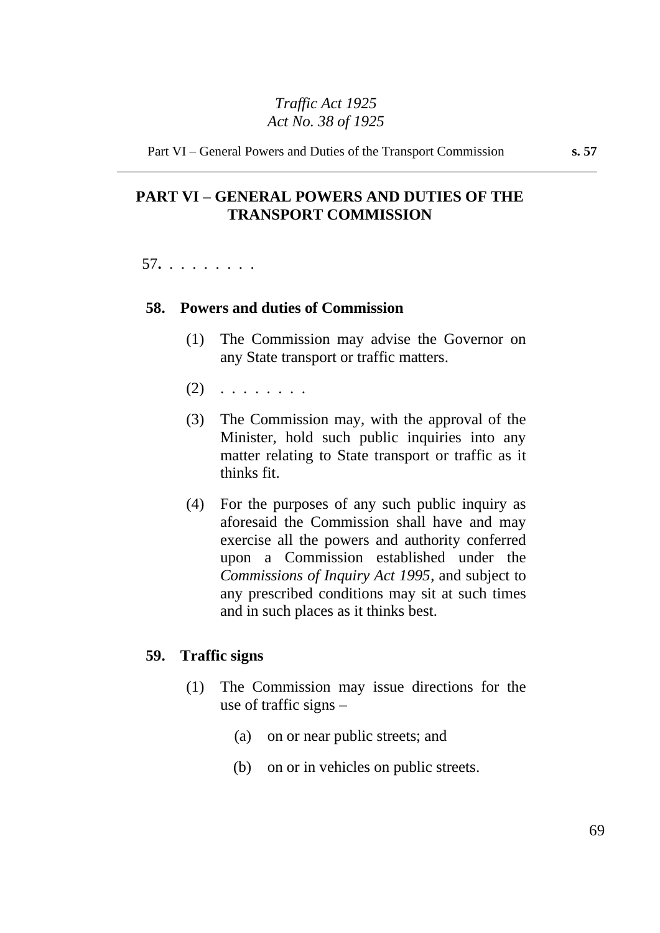Part VI – General Powers and Duties of the Transport Commission **s. 57**

# **PART VI – GENERAL POWERS AND DUTIES OF THE TRANSPORT COMMISSION**

57**.** . . . . . . . .

#### **58. Powers and duties of Commission**

- (1) The Commission may advise the Governor on any State transport or traffic matters.
- $(2)$  . . . . . . . .
- (3) The Commission may, with the approval of the Minister, hold such public inquiries into any matter relating to State transport or traffic as it thinks fit.
- (4) For the purposes of any such public inquiry as aforesaid the Commission shall have and may exercise all the powers and authority conferred upon a Commission established under the *Commissions of Inquiry Act 1995*, and subject to any prescribed conditions may sit at such times and in such places as it thinks best.

#### **59. Traffic signs**

- (1) The Commission may issue directions for the use of traffic signs –
	- (a) on or near public streets; and
	- (b) on or in vehicles on public streets.

69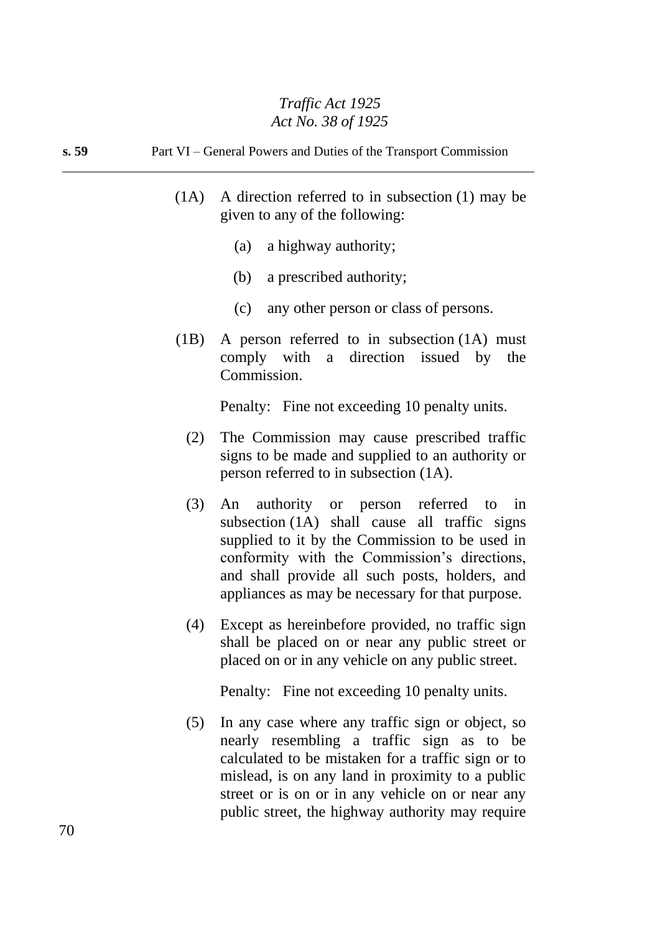**s. 59** Part VI – General Powers and Duties of the Transport Commission

- (1A) A direction referred to in subsection (1) may be given to any of the following:
	- (a) a highway authority;
	- (b) a prescribed authority;
	- (c) any other person or class of persons.
- (1B) A person referred to in subsection (1A) must comply with a direction issued by the Commission.

Penalty: Fine not exceeding 10 penalty units.

- (2) The Commission may cause prescribed traffic signs to be made and supplied to an authority or person referred to in subsection (1A).
- (3) An authority or person referred to in subsection (1A) shall cause all traffic signs supplied to it by the Commission to be used in conformity with the Commission's directions, and shall provide all such posts, holders, and appliances as may be necessary for that purpose.
- (4) Except as hereinbefore provided, no traffic sign shall be placed on or near any public street or placed on or in any vehicle on any public street.

Penalty: Fine not exceeding 10 penalty units.

(5) In any case where any traffic sign or object, so nearly resembling a traffic sign as to be calculated to be mistaken for a traffic sign or to mislead, is on any land in proximity to a public street or is on or in any vehicle on or near any public street, the highway authority may require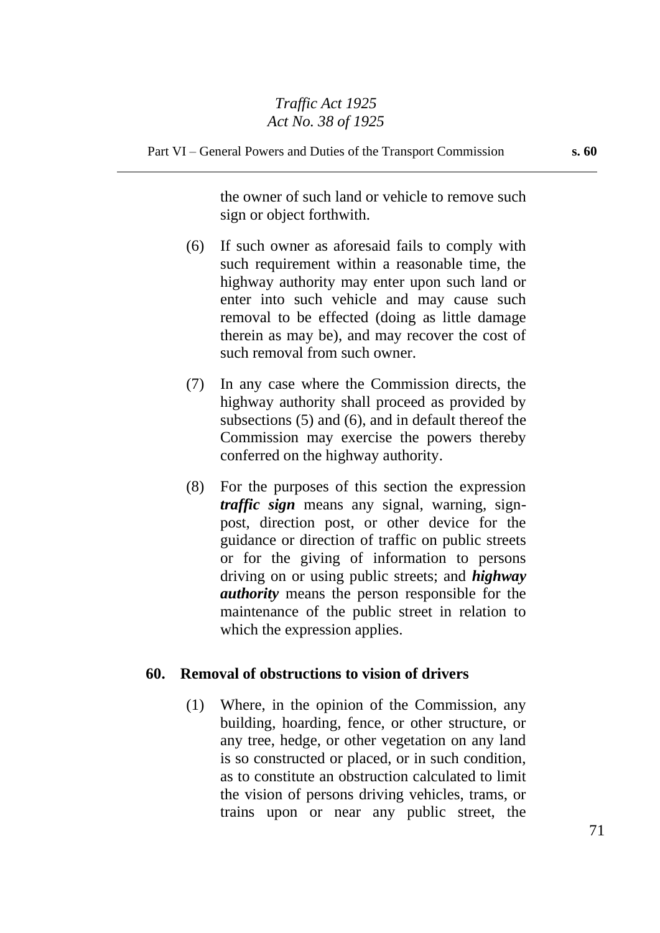Part VI – General Powers and Duties of the Transport Commission **s. 60**

the owner of such land or vehicle to remove such sign or object forthwith.

- (6) If such owner as aforesaid fails to comply with such requirement within a reasonable time, the highway authority may enter upon such land or enter into such vehicle and may cause such removal to be effected (doing as little damage therein as may be), and may recover the cost of such removal from such owner.
- (7) In any case where the Commission directs, the highway authority shall proceed as provided by subsections (5) and (6), and in default thereof the Commission may exercise the powers thereby conferred on the highway authority.
- (8) For the purposes of this section the expression *traffic sign* means any signal, warning, signpost, direction post, or other device for the guidance or direction of traffic on public streets or for the giving of information to persons driving on or using public streets; and *highway authority* means the person responsible for the maintenance of the public street in relation to which the expression applies.

### **60. Removal of obstructions to vision of drivers**

(1) Where, in the opinion of the Commission, any building, hoarding, fence, or other structure, or any tree, hedge, or other vegetation on any land is so constructed or placed, or in such condition, as to constitute an obstruction calculated to limit the vision of persons driving vehicles, trams, or trains upon or near any public street, the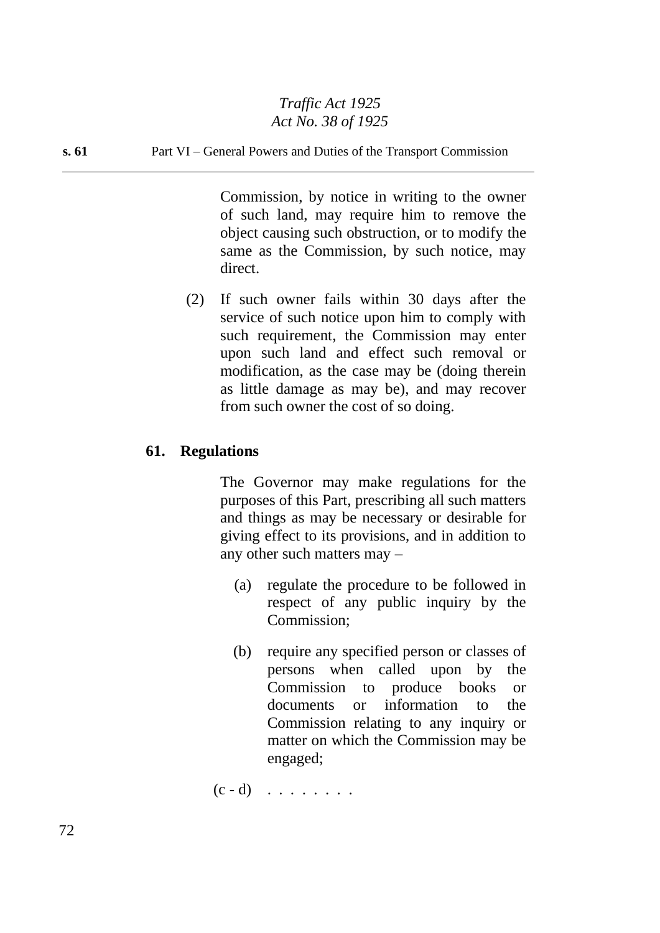#### **s. 61** Part VI – General Powers and Duties of the Transport Commission

Commission, by notice in writing to the owner of such land, may require him to remove the object causing such obstruction, or to modify the same as the Commission, by such notice, may direct.

(2) If such owner fails within 30 days after the service of such notice upon him to comply with such requirement, the Commission may enter upon such land and effect such removal or modification, as the case may be (doing therein as little damage as may be), and may recover from such owner the cost of so doing.

### **61. Regulations**

The Governor may make regulations for the purposes of this Part, prescribing all such matters and things as may be necessary or desirable for giving effect to its provisions, and in addition to any other such matters may –

- (a) regulate the procedure to be followed in respect of any public inquiry by the Commission;
- (b) require any specified person or classes of persons when called upon by the Commission to produce books or documents or information to the Commission relating to any inquiry or matter on which the Commission may be engaged;

 $(c - d)$  . . . . . . . .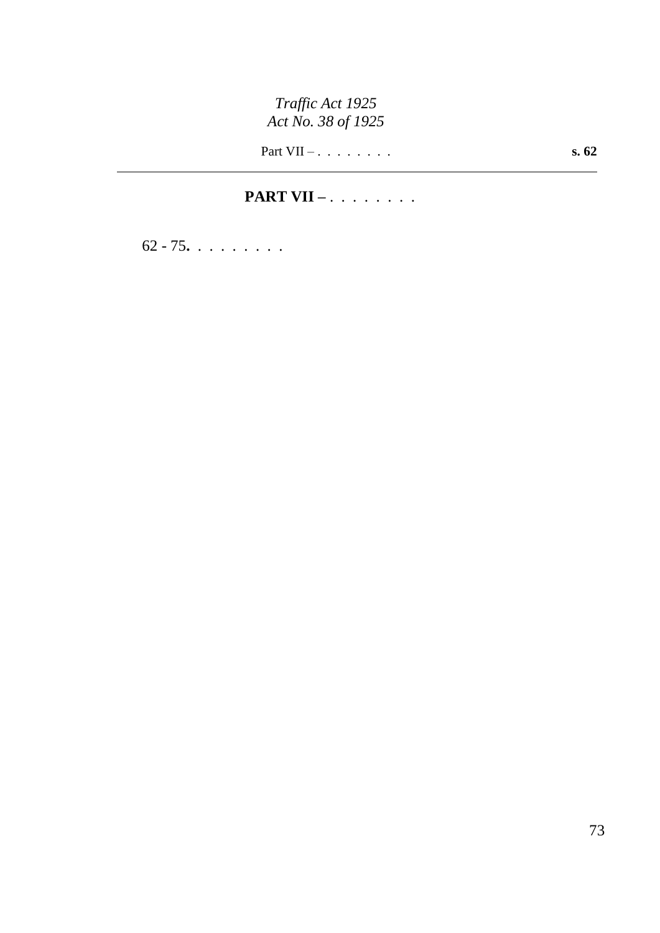Part VII – . . . . . . . . **s. 62**

# **PART VII –** . . . . . . . .

62 - 75**.** . . . . . . . .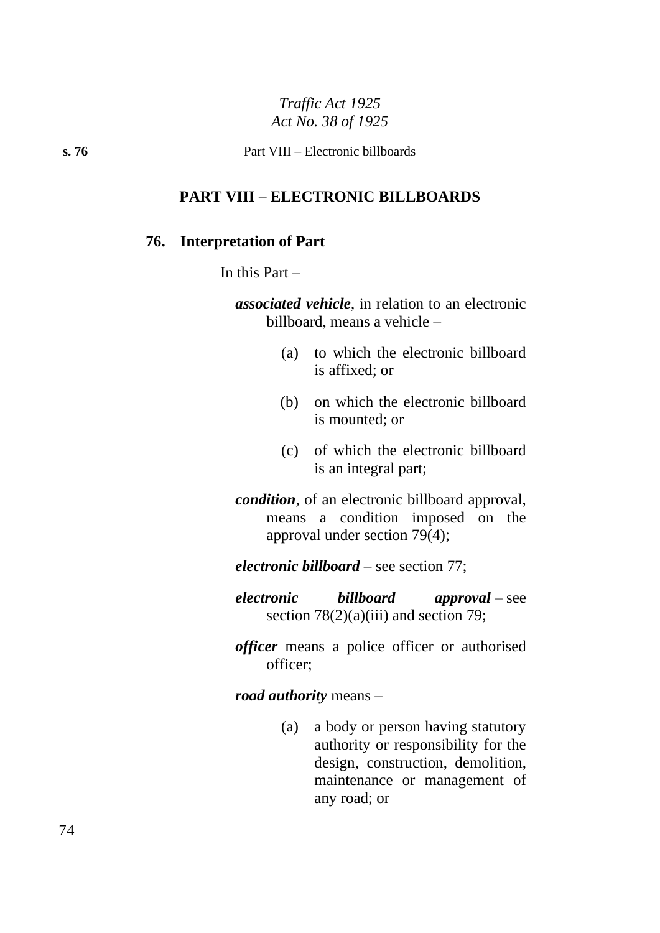#### **PART VIII – ELECTRONIC BILLBOARDS**

#### **76. Interpretation of Part**

In this Part  $-$ 

*associated vehicle*, in relation to an electronic billboard, means a vehicle –

- (a) to which the electronic billboard is affixed; or
- (b) on which the electronic billboard is mounted; or
- (c) of which the electronic billboard is an integral part;
- *condition*, of an electronic billboard approval, means a condition imposed on the approval under section 79(4);

*electronic billboard* – see section 77;

- *electronic billboard approval* see section  $78(2)(a)(iii)$  and section 79;
- *officer* means a police officer or authorised officer;

*road authority* means –

(a) a body or person having statutory authority or responsibility for the design, construction, demolition, maintenance or management of any road; or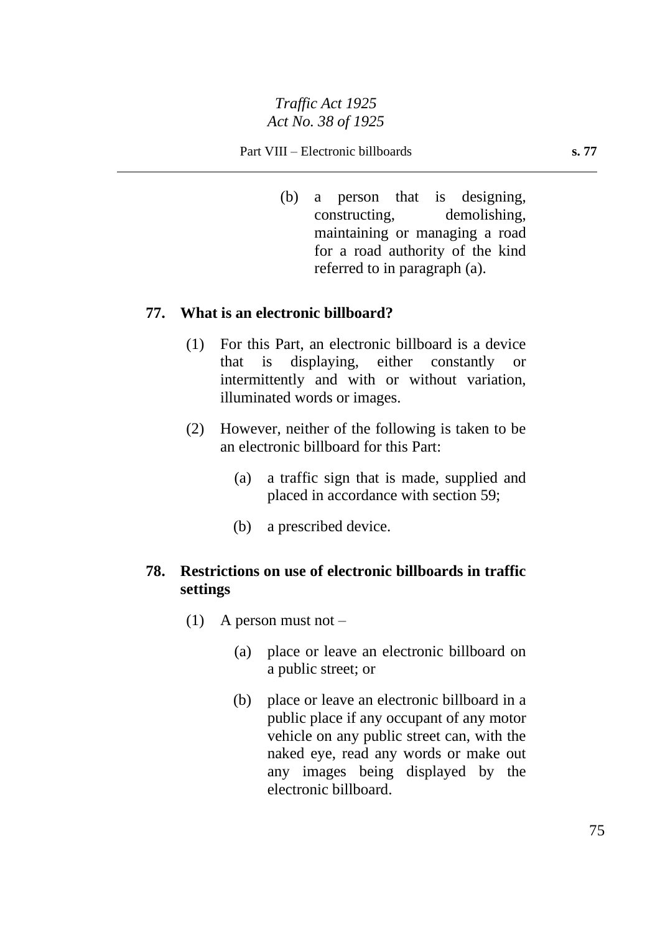(b) a person that is designing, constructing, demolishing, maintaining or managing a road for a road authority of the kind referred to in paragraph (a).

#### **77. What is an electronic billboard?**

- (1) For this Part, an electronic billboard is a device that is displaying, either constantly or intermittently and with or without variation, illuminated words or images.
- (2) However, neither of the following is taken to be an electronic billboard for this Part:
	- (a) a traffic sign that is made, supplied and placed in accordance with section 59;
	- (b) a prescribed device.

#### **78. Restrictions on use of electronic billboards in traffic settings**

- (1) A person must not  $-$ 
	- (a) place or leave an electronic billboard on a public street; or
	- (b) place or leave an electronic billboard in a public place if any occupant of any motor vehicle on any public street can, with the naked eye, read any words or make out any images being displayed by the electronic billboard.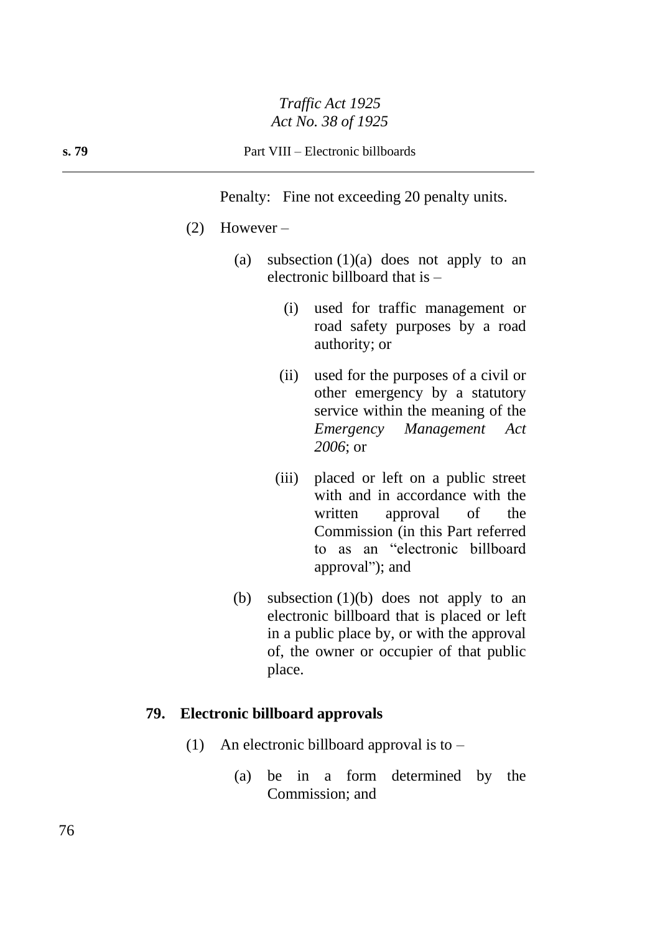#### **s. 79** Part VIII – Electronic billboards

Penalty: Fine not exceeding 20 penalty units.

- (2) However
	- (a) subsection  $(1)(a)$  does not apply to an electronic billboard that is –
		- (i) used for traffic management or road safety purposes by a road authority; or
		- (ii) used for the purposes of a civil or other emergency by a statutory service within the meaning of the *Emergency Management Act 2006*; or
		- (iii) placed or left on a public street with and in accordance with the written approval of the Commission (in this Part referred to as an "electronic billboard approval"); and
	- (b) subsection (1)(b) does not apply to an electronic billboard that is placed or left in a public place by, or with the approval of, the owner or occupier of that public place.

#### **79. Electronic billboard approvals**

- (1) An electronic billboard approval is to  $-$ 
	- (a) be in a form determined by the Commission; and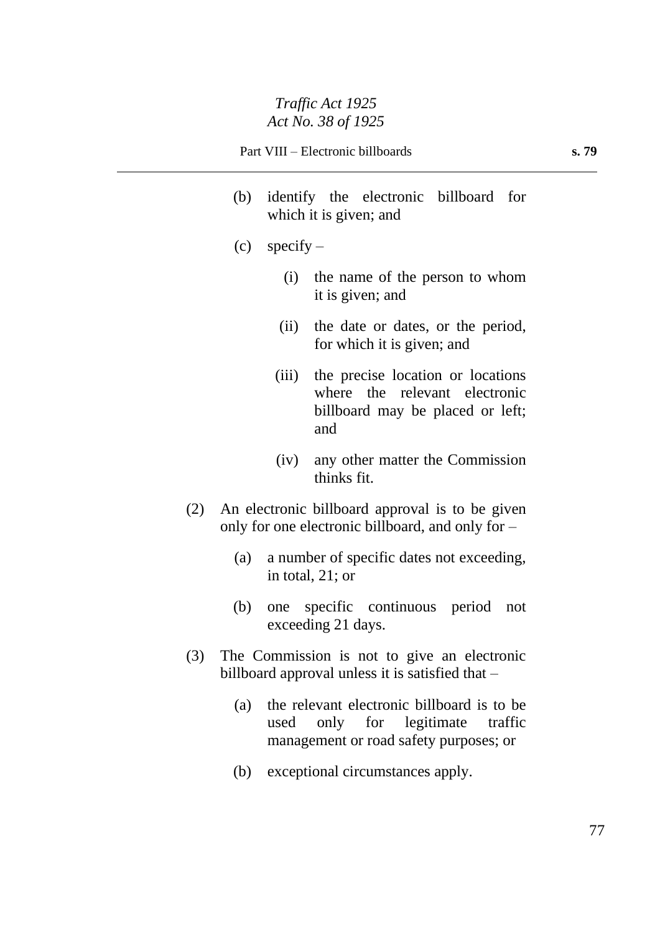- (b) identify the electronic billboard for which it is given; and
- $(c)$  specify
	- (i) the name of the person to whom it is given; and
	- (ii) the date or dates, or the period, for which it is given; and
	- (iii) the precise location or locations where the relevant electronic billboard may be placed or left; and
	- (iv) any other matter the Commission thinks fit.
- (2) An electronic billboard approval is to be given only for one electronic billboard, and only for –
	- (a) a number of specific dates not exceeding, in total, 21; or
	- (b) one specific continuous period not exceeding 21 days.
- (3) The Commission is not to give an electronic billboard approval unless it is satisfied that –
	- (a) the relevant electronic billboard is to be used only for legitimate traffic management or road safety purposes; or
	- (b) exceptional circumstances apply.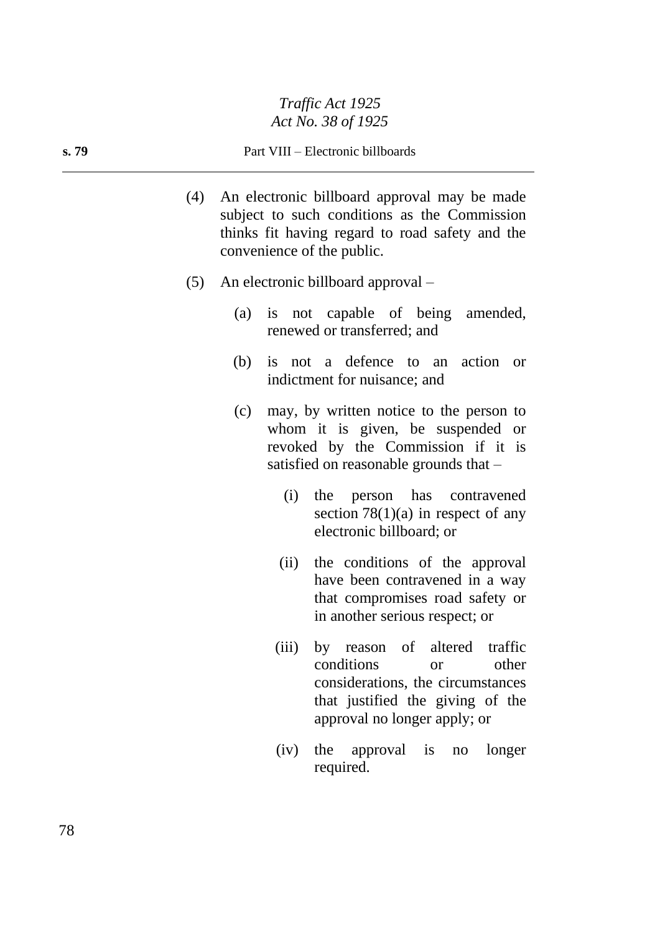#### **s. 79** Part VIII – Electronic billboards

- (4) An electronic billboard approval may be made subject to such conditions as the Commission thinks fit having regard to road safety and the convenience of the public.
- (5) An electronic billboard approval
	- (a) is not capable of being amended, renewed or transferred; and
	- (b) is not a defence to an action or indictment for nuisance; and
	- (c) may, by written notice to the person to whom it is given, be suspended or revoked by the Commission if it is satisfied on reasonable grounds that –
		- (i) the person has contravened section  $78(1)(a)$  in respect of any electronic billboard; or
		- (ii) the conditions of the approval have been contravened in a way that compromises road safety or in another serious respect; or
		- (iii) by reason of altered traffic conditions or other considerations, the circumstances that justified the giving of the approval no longer apply; or
		- (iv) the approval is no longer required.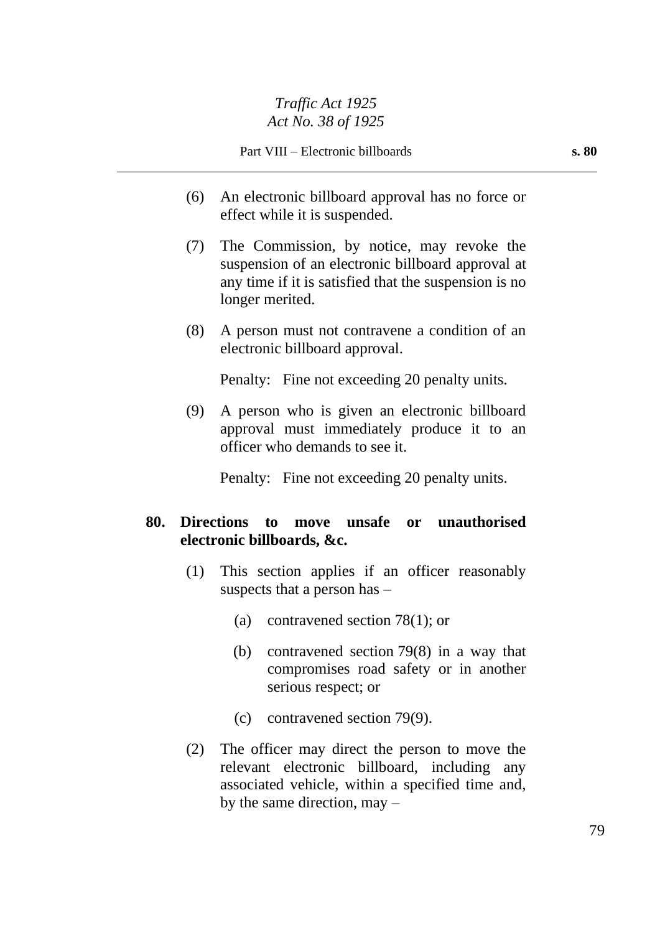- (6) An electronic billboard approval has no force or effect while it is suspended.
- (7) The Commission, by notice, may revoke the suspension of an electronic billboard approval at any time if it is satisfied that the suspension is no longer merited.
- (8) A person must not contravene a condition of an electronic billboard approval.

Penalty: Fine not exceeding 20 penalty units.

(9) A person who is given an electronic billboard approval must immediately produce it to an officer who demands to see it.

Penalty: Fine not exceeding 20 penalty units.

## **80. Directions to move unsafe or unauthorised electronic billboards, &c.**

- (1) This section applies if an officer reasonably suspects that a person has –
	- (a) contravened section 78(1); or
	- (b) contravened section 79(8) in a way that compromises road safety or in another serious respect; or
	- (c) contravened section 79(9).
- (2) The officer may direct the person to move the relevant electronic billboard, including any associated vehicle, within a specified time and, by the same direction, may –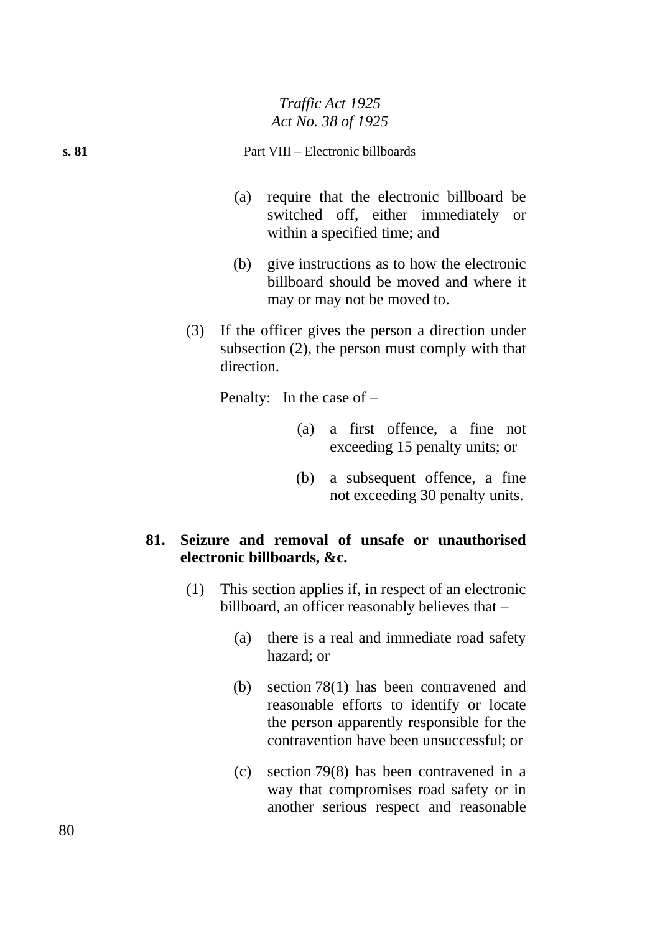| s. 81 | Part VIII – Electronic billboards |
|-------|-----------------------------------|
|       |                                   |

- (a) require that the electronic billboard be switched off, either immediately or within a specified time; and
- (b) give instructions as to how the electronic billboard should be moved and where it may or may not be moved to.
- (3) If the officer gives the person a direction under subsection (2), the person must comply with that direction.

Penalty: In the case of –

- (a) a first offence, a fine not exceeding 15 penalty units; or
- (b) a subsequent offence, a fine not exceeding 30 penalty units.

## **81. Seizure and removal of unsafe or unauthorised electronic billboards, &c.**

- (1) This section applies if, in respect of an electronic billboard, an officer reasonably believes that –
	- (a) there is a real and immediate road safety hazard; or
	- (b) section 78(1) has been contravened and reasonable efforts to identify or locate the person apparently responsible for the contravention have been unsuccessful; or
	- (c) section 79(8) has been contravened in a way that compromises road safety or in another serious respect and reasonable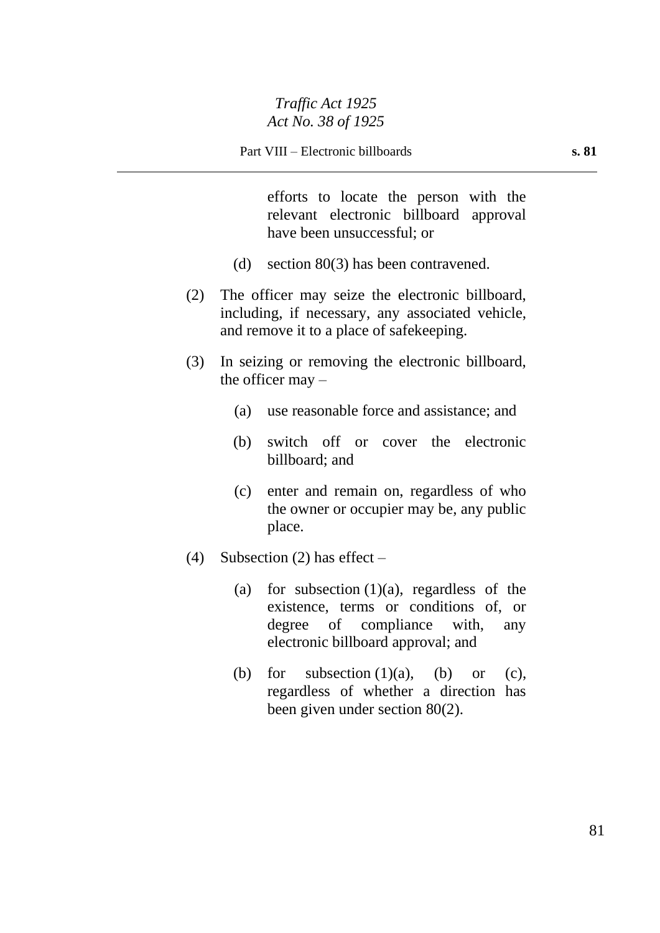efforts to locate the person with the relevant electronic billboard approval have been unsuccessful; or

- (d) section 80(3) has been contravened.
- (2) The officer may seize the electronic billboard, including, if necessary, any associated vehicle, and remove it to a place of safekeeping.
- (3) In seizing or removing the electronic billboard, the officer may  $-$ 
	- (a) use reasonable force and assistance; and
	- (b) switch off or cover the electronic billboard; and
	- (c) enter and remain on, regardless of who the owner or occupier may be, any public place.
- (4) Subsection (2) has effect  $-$ 
	- (a) for subsection  $(1)(a)$ , regardless of the existence, terms or conditions of, or degree of compliance with, any electronic billboard approval; and
	- (b) for subsection  $(1)(a)$ ,  $(b)$  or  $(c)$ , regardless of whether a direction has been given under section 80(2).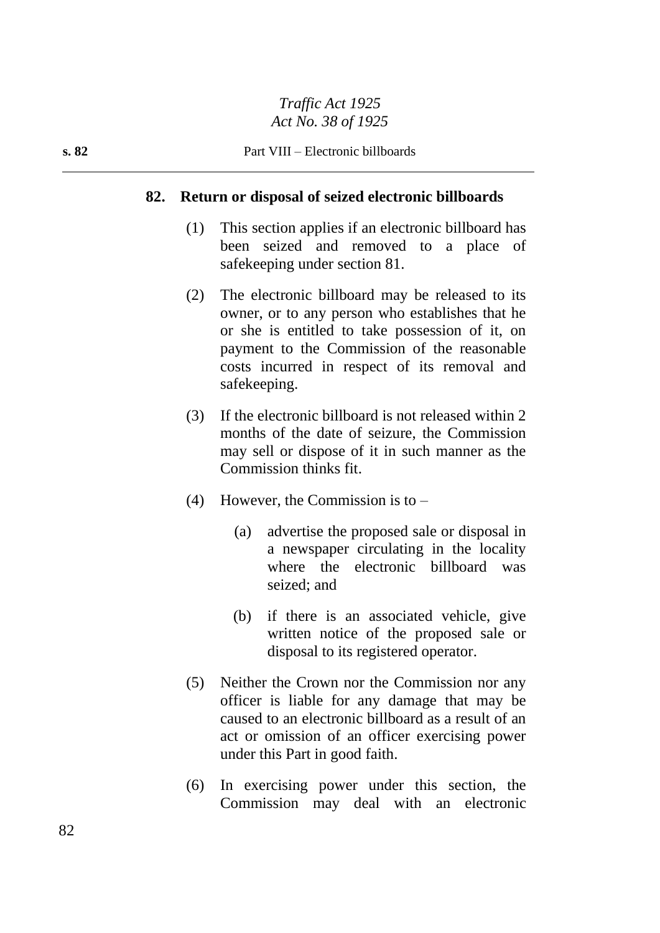#### **82. Return or disposal of seized electronic billboards**

- (1) This section applies if an electronic billboard has been seized and removed to a place of safekeeping under section 81.
- (2) The electronic billboard may be released to its owner, or to any person who establishes that he or she is entitled to take possession of it, on payment to the Commission of the reasonable costs incurred in respect of its removal and safekeeping.
- (3) If the electronic billboard is not released within 2 months of the date of seizure, the Commission may sell or dispose of it in such manner as the Commission thinks fit.
- (4) However, the Commission is to  $-$ 
	- (a) advertise the proposed sale or disposal in a newspaper circulating in the locality where the electronic billboard was seized; and
	- (b) if there is an associated vehicle, give written notice of the proposed sale or disposal to its registered operator.
- (5) Neither the Crown nor the Commission nor any officer is liable for any damage that may be caused to an electronic billboard as a result of an act or omission of an officer exercising power under this Part in good faith.
- (6) In exercising power under this section, the Commission may deal with an electronic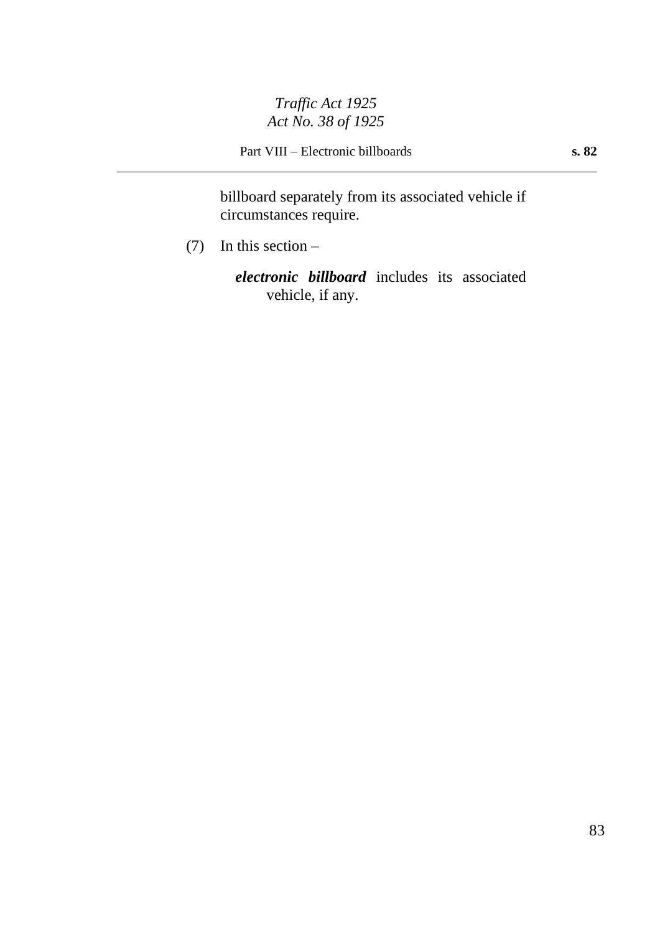Part VIII – Electronic billboards **s. 82**

billboard separately from its associated vehicle if circumstances require.

(7) In this section –

*electronic billboard* includes its associated vehicle, if any.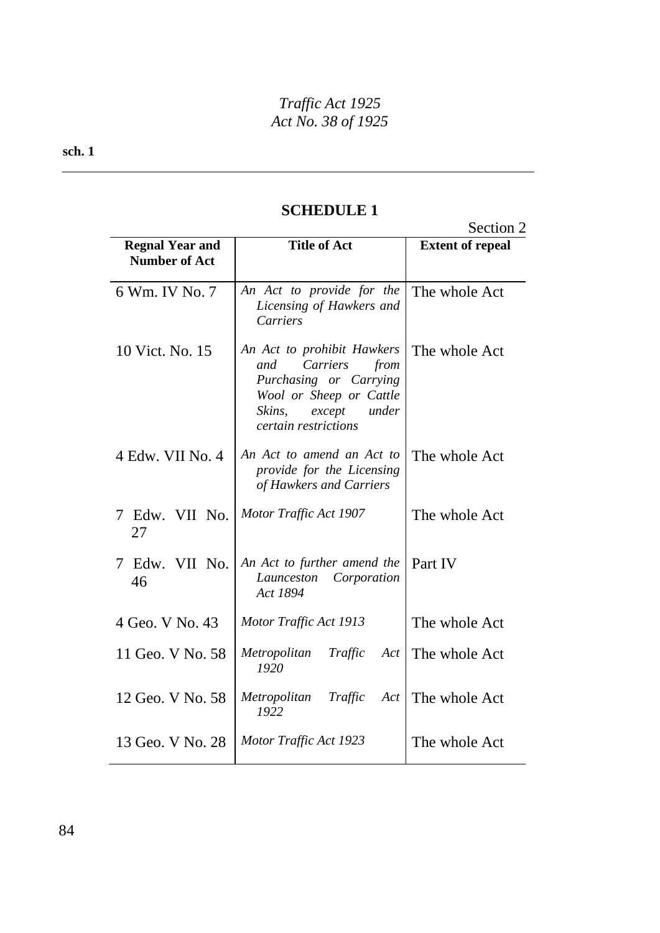**sch. 1**

|                                                |                                                                                                                                                                 | Section 2               |
|------------------------------------------------|-----------------------------------------------------------------------------------------------------------------------------------------------------------------|-------------------------|
| <b>Regnal Year and</b><br><b>Number of Act</b> | <b>Title of Act</b>                                                                                                                                             | <b>Extent of repeal</b> |
| 6 Wm. IV No. 7                                 | An Act to provide for the<br>Licensing of Hawkers and<br><b>Carriers</b>                                                                                        | The whole Act           |
| 10 Vict. No. 15                                | An Act to prohibit Hawkers<br>Carriers<br>and<br>from<br>Purchasing or Carrying<br>Wool or Sheep or Cattle<br>Skins,<br>except<br>under<br>certain restrictions | The whole Act           |
| 4 Edw. VII No. 4                               | An Act to amend an Act to<br>provide for the Licensing<br>of Hawkers and Carriers                                                                               | The whole Act           |
| Edw. VII No.<br>7<br>27                        | Motor Traffic Act 1907                                                                                                                                          | The whole Act           |
| Edw. VII No.<br>7<br>46                        | An Act to further amend the<br>Launceston<br>Corporation<br>Act 1894                                                                                            | Part IV                 |
| 4 Geo. V No. 43                                | Motor Traffic Act 1913                                                                                                                                          | The whole Act           |
| 11 Geo. V No. 58                               | Metropolitan<br>Traffic<br>Act<br>1920                                                                                                                          | The whole Act           |
| 12 Geo. V No. 58                               | Metropolitan<br>Traffic<br>Act<br>1922                                                                                                                          | The whole Act           |
| 13 Geo. V No. 28                               | Motor Traffic Act 1923                                                                                                                                          | The whole Act           |

## **SCHEDULE 1**

84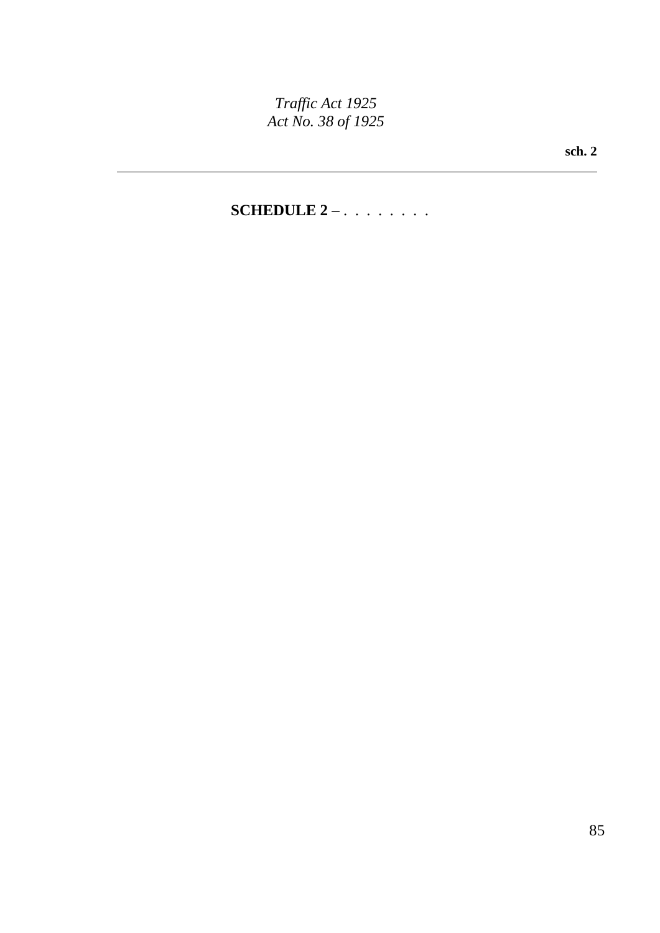**sch. 2**

## **SCHEDULE 2 –** . . . . . . . .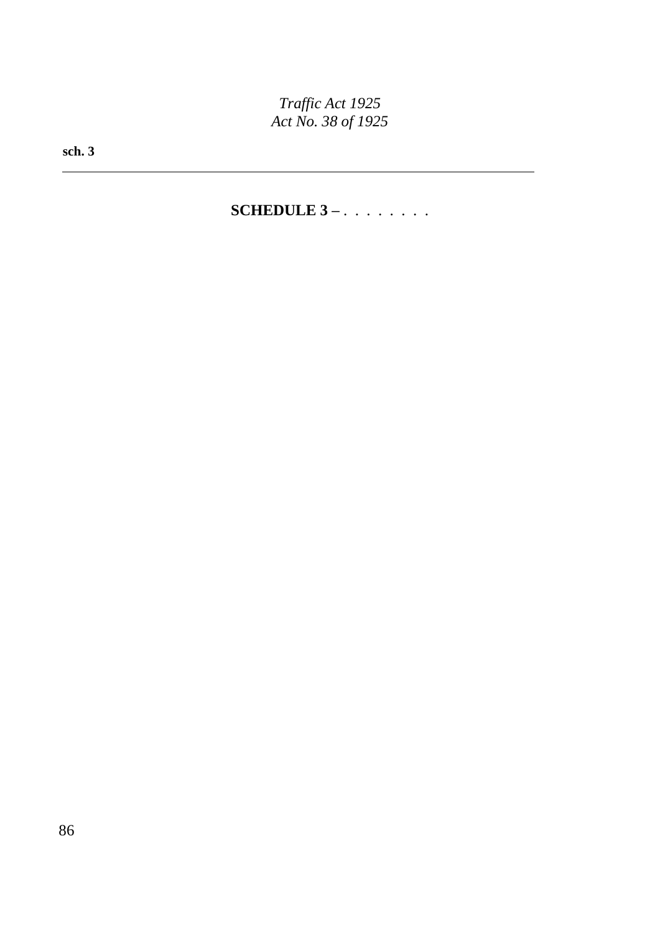**sch. 3**

**SCHEDULE 3 –** . . . . . . . .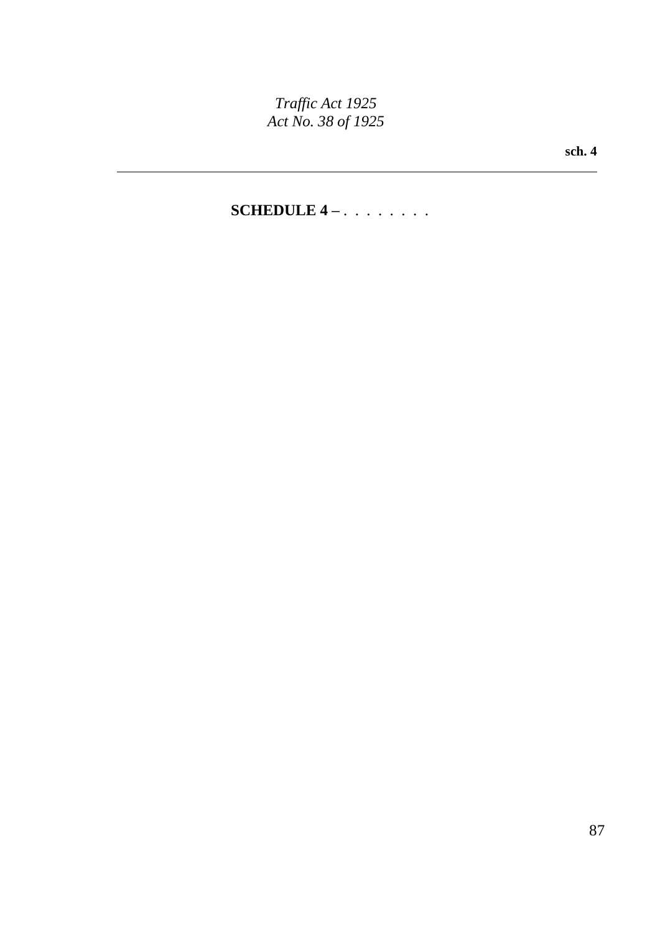**sch. 4**

# **SCHEDULE 4 –** . . . . . . . .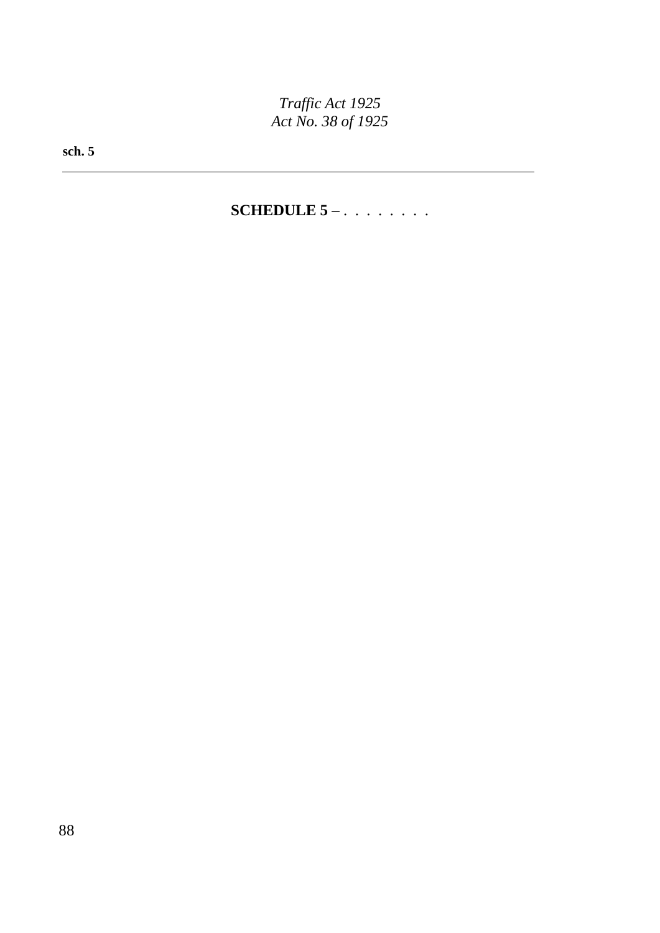**sch. 5**

**SCHEDULE 5 –** . . . . . . . .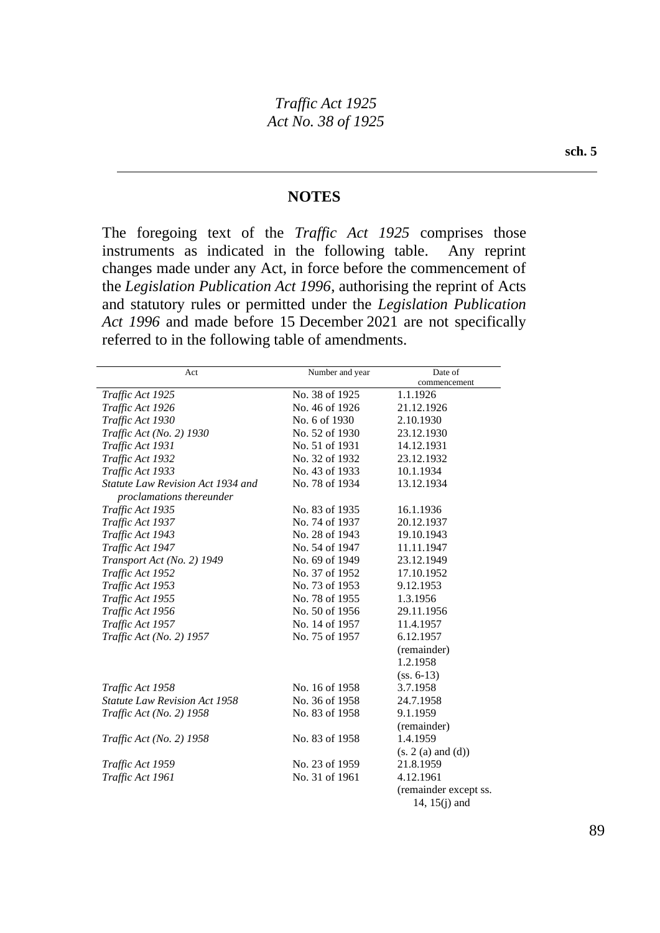#### **NOTES**

The foregoing text of the *Traffic Act 1925* comprises those instruments as indicated in the following table. Any reprint changes made under any Act, in force before the commencement of the *Legislation Publication Act 1996*, authorising the reprint of Acts and statutory rules or permitted under the *Legislation Publication Act 1996* and made before 15 December 2021 are not specifically referred to in the following table of amendments.

| Act                                                     | Number and year | Date of               |
|---------------------------------------------------------|-----------------|-----------------------|
|                                                         |                 | commencement          |
| Traffic Act 1925                                        | No. 38 of 1925  | 1.1.1926              |
| Traffic Act 1926                                        | No. 46 of 1926  | 21.12.1926            |
| Traffic Act 1930                                        | No. 6 of 1930   | 2.10.1930             |
| Traffic Act (No. 2) 1930                                | No. 52 of 1930  | 23.12.1930            |
| Traffic Act 1931                                        | No. 51 of 1931  | 14.12.1931            |
| Traffic Act 1932                                        | No. 32 of 1932  | 23.12.1932            |
| Traffic Act 1933                                        | No. 43 of 1933  | 10.1.1934             |
| Statute Law Revision Act 1934 and                       | No. 78 of 1934  | 13.12.1934            |
| proclamations thereunder                                |                 |                       |
| Traffic Act 1935                                        | No. 83 of 1935  | 16.1.1936             |
| Traffic Act 1937                                        | No. 74 of 1937  | 20.12.1937            |
| Traffic Act 1943                                        | No. 28 of 1943  | 19.10.1943            |
| Traffic Act 1947                                        | No. 54 of 1947  | 11.11.1947            |
| Transport Act (No. 2) 1949                              | No. 69 of 1949  | 23.12.1949            |
| Traffic Act 1952                                        | No. 37 of 1952  | 17.10.1952            |
| Traffic Act 1953                                        | No. 73 of 1953  | 9.12.1953             |
| Traffic Act 1955                                        | No. 78 of 1955  | 1.3.1956              |
| Traffic Act 1956                                        | No. 50 of 1956  | 29.11.1956            |
| Traffic Act 1957                                        | No. 14 of 1957  | 11.4.1957             |
| No. 75 of 1957<br>Traffic Act (No. 2) 1957<br>6.12.1957 |                 |                       |
|                                                         |                 | (remainder)           |
|                                                         |                 | 1.2.1958              |
|                                                         |                 | $(ss. 6-13)$          |
| Traffic Act 1958                                        | No. 16 of 1958  | 3.7.1958              |
| Statute Law Revision Act 1958                           | No. 36 of 1958  | 24.7.1958             |
| Traffic Act (No. 2) 1958                                | No. 83 of 1958  | 9.1.1959              |
|                                                         |                 | (remainder)           |
| Traffic Act (No. 2) 1958                                | No. 83 of 1958  | 1.4.1959              |
|                                                         |                 | (s. 2(a) and (d))     |
| Traffic Act 1959                                        | No. 23 of 1959  | 21.8.1959             |
| Traffic Act 1961                                        | No. 31 of 1961  | 4.12.1961             |
|                                                         |                 | (remainder except ss. |
|                                                         |                 | 14, $15(j)$ and       |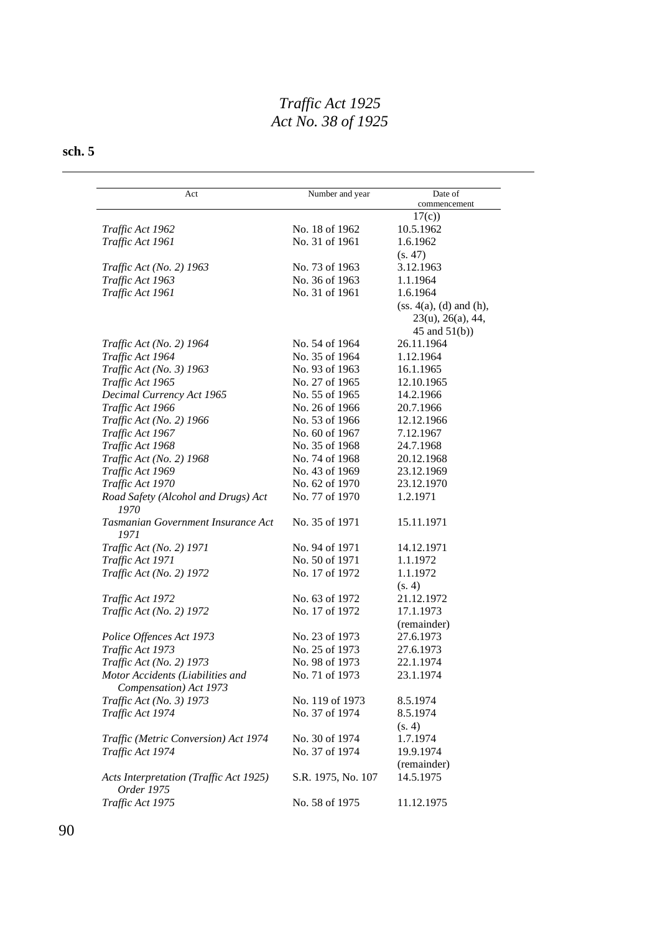| Act                                                        | Number and year    | Date of                    |
|------------------------------------------------------------|--------------------|----------------------------|
|                                                            |                    | commencement               |
|                                                            |                    | 17(c)                      |
| Traffic Act 1962                                           | No. 18 of 1962     | 10.5.1962                  |
| Traffic Act 1961                                           | No. 31 of 1961     | 1.6.1962                   |
|                                                            |                    | (s. 47)                    |
| Traffic Act (No. 2) 1963                                   | No. 73 of 1963     | 3.12.1963                  |
| Traffic Act 1963                                           | No. 36 of 1963     | 1.1.1964                   |
| Traffic Act 1961                                           | No. 31 of 1961     | 1.6.1964                   |
|                                                            |                    | (ss. 4(a), (d) and (h),    |
|                                                            |                    | $23(u)$ , $26(a)$ , $44$ , |
|                                                            |                    | 45 and $51(b)$ )           |
| Traffic Act (No. 2) 1964                                   | No. 54 of 1964     | 26.11.1964                 |
| Traffic Act 1964                                           | No. 35 of 1964     | 1.12.1964                  |
| Traffic Act (No. 3) 1963                                   | No. 93 of 1963     | 16.1.1965                  |
| Traffic Act 1965                                           | No. 27 of 1965     | 12.10.1965                 |
| Decimal Currency Act 1965                                  | No. 55 of 1965     | 14.2.1966                  |
| Traffic Act 1966                                           | No. 26 of 1966     | 20.7.1966                  |
| Traffic Act (No. 2) 1966                                   | No. 53 of 1966     | 12.12.1966                 |
| Traffic Act 1967                                           | No. 60 of 1967     | 7.12.1967                  |
| Traffic Act 1968                                           | No. 35 of 1968     | 24.7.1968                  |
| Traffic Act (No. 2) 1968                                   | No. 74 of 1968     | 20.12.1968                 |
| Traffic Act 1969                                           | No. 43 of 1969     | 23.12.1969                 |
| Traffic Act 1970                                           | No. 62 of 1970     | 23.12.1970                 |
| Road Safety (Alcohol and Drugs) Act<br>1970                | No. 77 of 1970     | 1.2.1971                   |
| Tasmanian Government Insurance Act<br>1971                 | No. 35 of 1971     | 15.11.1971                 |
| Traffic Act (No. 2) 1971                                   | No. 94 of 1971     | 14.12.1971                 |
| Traffic Act 1971                                           | No. 50 of 1971     | 1.1.1972                   |
| Traffic Act (No. 2) 1972                                   | No. 17 of 1972     | 1.1.1972                   |
|                                                            |                    | (s. 4)                     |
| Traffic Act 1972                                           | No. 63 of 1972     | 21.12.1972                 |
| Traffic Act (No. 2) 1972                                   | No. 17 of 1972     | 17.1.1973                  |
|                                                            |                    | (remainder)                |
| Police Offences Act 1973                                   | No. 23 of 1973     | 27.6.1973                  |
| Traffic Act 1973                                           | No. 25 of 1973     | 27.6.1973                  |
| Traffic Act (No. 2) 1973                                   | No. 98 of 1973     | 22.1.1974                  |
| Motor Accidents (Liabilities and<br>Compensation) Act 1973 | No. 71 of 1973     | 23.1.1974                  |
| Traffic Act (No. 3) 1973                                   | No. 119 of 1973    | 8.5.1974                   |
| Traffic Act 1974                                           | No. 37 of 1974     | 8.5.1974                   |
|                                                            |                    | (s. 4)                     |
|                                                            |                    |                            |
| Traffic (Metric Conversion) Act 1974                       | No. 30 of 1974     | 1.7.1974                   |
| Traffic Act 1974                                           | No. 37 of 1974     | 19.9.1974                  |
| Acts Interpretation (Traffic Act 1925)<br>Order 1975       | S.R. 1975, No. 107 | (remainder)<br>14.5.1975   |
| Traffic Act 1975                                           |                    |                            |
|                                                            | No. 58 of 1975     | 11.12.1975                 |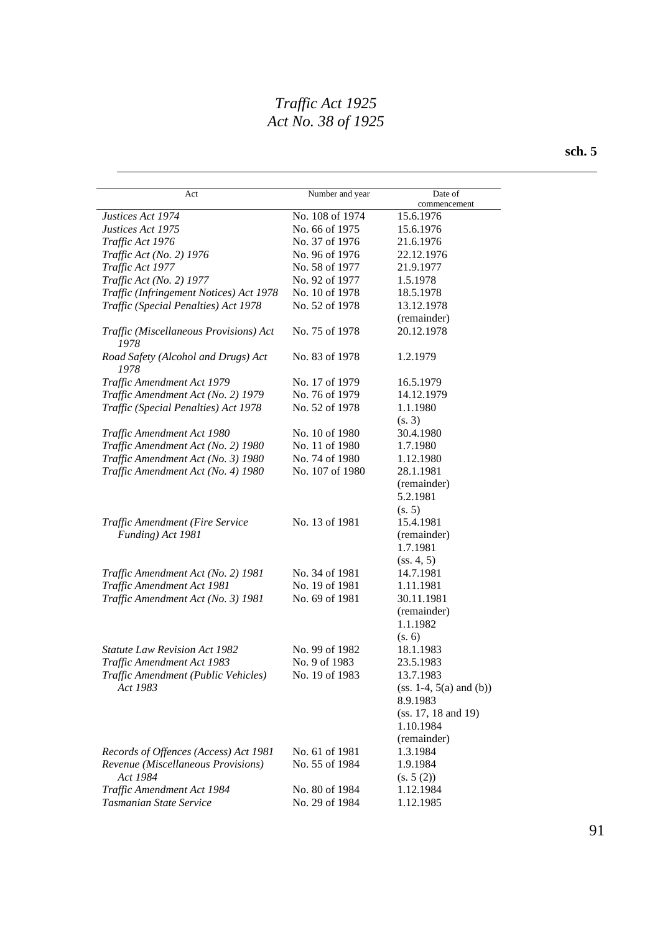| Act                                                  | Number and year | Date of                                            |
|------------------------------------------------------|-----------------|----------------------------------------------------|
| Justices Act 1974                                    | No. 108 of 1974 | commencement<br>15.6.1976                          |
| Justices Act 1975                                    | No. 66 of 1975  | 15.6.1976                                          |
| Traffic Act 1976                                     | No. 37 of 1976  | 21.6.1976                                          |
| Traffic Act (No. 2) 1976                             | No. 96 of 1976  | 22.12.1976                                         |
| Traffic Act 1977                                     | No. 58 of 1977  | 21.9.1977                                          |
| Traffic Act (No. 2) 1977                             | No. 92 of 1977  | 1.5.1978                                           |
| Traffic (Infringement Notices) Act 1978              | No. 10 of 1978  | 18.5.1978                                          |
| Traffic (Special Penalties) Act 1978                 | No. 52 of 1978  | 13.12.1978                                         |
|                                                      |                 | (remainder)                                        |
| Traffic (Miscellaneous Provisions) Act<br>1978       | No. 75 of 1978  | 20.12.1978                                         |
| Road Safety (Alcohol and Drugs) Act<br>1978          | No. 83 of 1978  | 1.2.1979                                           |
| Traffic Amendment Act 1979                           | No. 17 of 1979  | 16.5.1979                                          |
| Traffic Amendment Act (No. 2) 1979                   | No. 76 of 1979  | 14.12.1979                                         |
| Traffic (Special Penalties) Act 1978                 | No. 52 of 1978  | 1.1.1980                                           |
|                                                      |                 | (s. 3)                                             |
| Traffic Amendment Act 1980                           | No. 10 of 1980  | 30.4.1980                                          |
| Traffic Amendment Act (No. 2) 1980                   | No. 11 of 1980  | 1.7.1980                                           |
| Traffic Amendment Act (No. 3) 1980                   | No. 74 of 1980  | 1.12.1980                                          |
| Traffic Amendment Act (No. 4) 1980                   | No. 107 of 1980 | 28.1.1981                                          |
|                                                      |                 | (remainder)<br>5.2.1981<br>(s. 5)                  |
| Traffic Amendment (Fire Service<br>Funding) Act 1981 | No. 13 of 1981  | 15.4.1981<br>(remainder)<br>1.7.1981<br>(ss. 4, 5) |
| Traffic Amendment Act (No. 2) 1981                   | No. 34 of 1981  | 14.7.1981                                          |
| Traffic Amendment Act 1981                           | No. 19 of 1981  | 1.11.1981                                          |
| Traffic Amendment Act (No. 3) 1981                   | No. 69 of 1981  | 30.11.1981<br>(remainder)<br>1.1.1982              |
|                                                      |                 | (s. 6)                                             |
| <b>Statute Law Revision Act 1982</b>                 | No. 99 of 1982  | 18.1.1983                                          |
| Traffic Amendment Act 1983                           | No. 9 of 1983   | 23.5.1983                                          |
| Traffic Amendment (Public Vehicles)<br>Act 1983      | No. 19 of 1983  | 13.7.1983<br>$(ss. 1-4, 5(a) and (b))$<br>8.9.1983 |
|                                                      |                 | $(ss. 17, 18 \text{ and } 19)$<br>1.10.1984        |
|                                                      |                 | (remainder)                                        |
| Records of Offences (Access) Act 1981                | No. 61 of 1981  | 1.3.1984                                           |
| Revenue (Miscellaneous Provisions)<br>Act 1984       | No. 55 of 1984  | 1.9.1984<br>(s. 5(2))                              |
| Traffic Amendment Act 1984                           | No. 80 of 1984  | 1.12.1984                                          |
| Tasmanian State Service                              | No. 29 of 1984  | 1.12.1985                                          |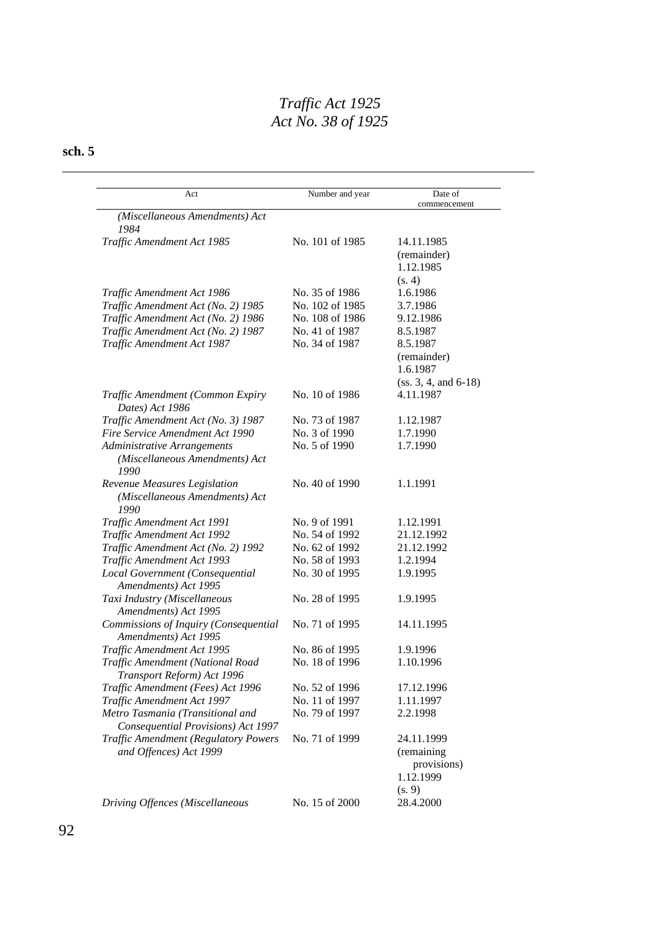| Act                                         | Number and year | Date of<br>commencement |
|---------------------------------------------|-----------------|-------------------------|
| (Miscellaneous Amendments) Act              |                 |                         |
| 1984                                        |                 |                         |
| Traffic Amendment Act 1985                  | No. 101 of 1985 | 14.11.1985              |
|                                             |                 | (remainder)             |
|                                             |                 | 1.12.1985               |
|                                             |                 | (s. 4)                  |
| Traffic Amendment Act 1986                  | No. 35 of 1986  | 1.6.1986                |
| Traffic Amendment Act (No. 2) 1985          | No. 102 of 1985 | 3.7.1986                |
| Traffic Amendment Act (No. 2) 1986          | No. 108 of 1986 | 9.12.1986               |
| Traffic Amendment Act (No. 2) 1987          | No. 41 of 1987  | 8.5.1987                |
| Traffic Amendment Act 1987                  | No. 34 of 1987  | 8.5.1987                |
|                                             |                 | (remainder)             |
|                                             |                 | 1.6.1987                |
|                                             |                 | $(ss. 3, 4, and 6-18)$  |
| Traffic Amendment (Common Expiry            | No. 10 of 1986  | 4.11.1987               |
| Dates) Act 1986                             |                 |                         |
| Traffic Amendment Act (No. 3) 1987          | No. 73 of 1987  | 1.12.1987               |
| Fire Service Amendment Act 1990             | No. 3 of 1990   | 1.7.1990                |
| Administrative Arrangements                 | No. 5 of 1990   | 1.7.1990                |
| (Miscellaneous Amendments) Act              |                 |                         |
| 1990                                        |                 |                         |
| Revenue Measures Legislation                | No. 40 of 1990  | 1.1.1991                |
| (Miscellaneous Amendments) Act              |                 |                         |
| 1990                                        |                 |                         |
| Traffic Amendment Act 1991                  | No. 9 of 1991   | 1.12.1991               |
| Traffic Amendment Act 1992                  | No. 54 of 1992  | 21.12.1992              |
| Traffic Amendment Act (No. 2) 1992          | No. 62 of 1992  | 21.12.1992              |
| Traffic Amendment Act 1993                  | No. 58 of 1993  | 1.2.1994                |
| Local Government (Consequential             | No. 30 of 1995  | 1.9.1995                |
| Amendments) Act 1995                        |                 |                         |
| Taxi Industry (Miscellaneous                | No. 28 of 1995  | 1.9.1995                |
| Amendments) Act 1995                        |                 |                         |
| Commissions of Inquiry (Consequential       | No. 71 of 1995  | 14.11.1995              |
| Amendments) Act 1995                        |                 |                         |
| Traffic Amendment Act 1995                  | No. 86 of 1995  | 1.9.1996                |
| Traffic Amendment (National Road            | No. 18 of 1996  | 1.10.1996               |
| Transport Reform) Act 1996                  |                 |                         |
| Traffic Amendment (Fees) Act 1996           | No. 52 of 1996  | 17.12.1996              |
| Traffic Amendment Act 1997                  | No. 11 of 1997  | 1.11.1997               |
| Metro Tasmania (Transitional and            | No. 79 of 1997  | 2.2.1998                |
| Consequential Provisions) Act 1997          |                 |                         |
| <b>Traffic Amendment (Regulatory Powers</b> | No. 71 of 1999  | 24.11.1999              |
| and Offences) Act 1999                      |                 | (remaining              |
|                                             |                 | provisions)             |
|                                             |                 | 1.12.1999               |
|                                             |                 | (s. 9)                  |
| Driving Offences (Miscellaneous             | No. 15 of 2000  | 28.4.2000               |
|                                             |                 |                         |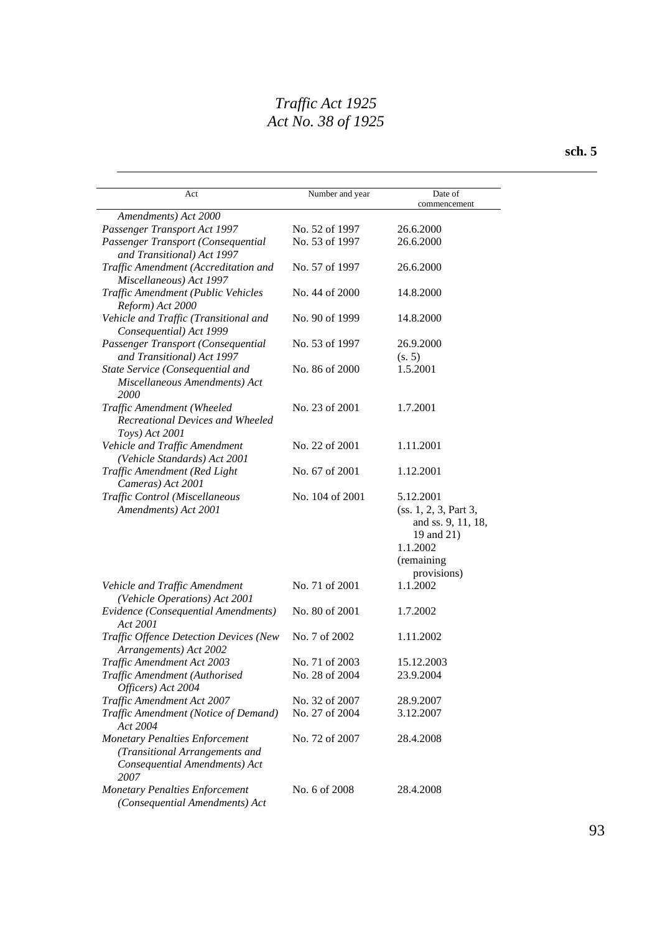| Act                                                                                                              | Number and year | Date of                                                                                          |
|------------------------------------------------------------------------------------------------------------------|-----------------|--------------------------------------------------------------------------------------------------|
|                                                                                                                  |                 | commencement                                                                                     |
| Amendments) Act 2000                                                                                             |                 |                                                                                                  |
| Passenger Transport Act 1997                                                                                     | No. 52 of 1997  | 26.6.2000                                                                                        |
| Passenger Transport (Consequential<br>and Transitional) Act 1997                                                 | No. 53 of 1997  | 26.6.2000                                                                                        |
| Traffic Amendment (Accreditation and<br>Miscellaneous) Act 1997                                                  | No. 57 of 1997  | 26.6.2000                                                                                        |
| Traffic Amendment (Public Vehicles<br>Reform) Act 2000                                                           | No. 44 of 2000  | 14.8.2000                                                                                        |
| Vehicle and Traffic (Transitional and<br>Consequential) Act 1999                                                 | No. 90 of 1999  | 14.8.2000                                                                                        |
| Passenger Transport (Consequential<br>and Transitional) Act 1997                                                 | No. 53 of 1997  | 26.9.2000<br>(s. 5)                                                                              |
| State Service (Consequential and                                                                                 | No. 86 of 2000  | 1.5.2001                                                                                         |
| Miscellaneous Amendments) Act<br>2000                                                                            |                 |                                                                                                  |
| Traffic Amendment (Wheeled<br>Recreational Devices and Wheeled<br>Toys) Act 2001                                 | No. 23 of 2001  | 1.7.2001                                                                                         |
| Vehicle and Traffic Amendment<br>(Vehicle Standards) Act 2001                                                    | No. 22 of 2001  | 1.11.2001                                                                                        |
| Traffic Amendment (Red Light<br>Cameras) Act 2001                                                                | No. 67 of 2001  | 1.12.2001                                                                                        |
| Traffic Control (Miscellaneous<br>Amendments) Act 2001                                                           | No. 104 of 2001 | 5.12.2001<br>(ss. 1, 2, 3, Part 3,<br>and ss. 9, 11, 18,<br>19 and 21)<br>1.1.2002<br>(remaining |
| Vehicle and Traffic Amendment<br>(Vehicle Operations) Act 2001                                                   | No. 71 of 2001  | provisions)<br>1.1.2002                                                                          |
| Evidence (Consequential Amendments)<br>Act 2001                                                                  | No. 80 of 2001  | 1.7.2002                                                                                         |
| <b>Traffic Offence Detection Devices (New</b><br>Arrangements) Act 2002                                          | No. 7 of 2002   | 1.11.2002                                                                                        |
| Traffic Amendment Act 2003                                                                                       | No. 71 of 2003  | 15.12.2003                                                                                       |
| Traffic Amendment (Authorised<br>Officers) Act 2004                                                              | No. 28 of 2004  | 23.9.2004                                                                                        |
| Traffic Amendment Act 2007                                                                                       | No. 32 of 2007  | 28.9.2007                                                                                        |
| Traffic Amendment (Notice of Demand)<br>Act 2004                                                                 | No. 27 of 2004  | 3.12.2007                                                                                        |
| <b>Monetary Penalties Enforcement</b><br>(Transitional Arrangements and<br>Consequential Amendments) Act<br>2007 | No. 72 of 2007  | 28.4.2008                                                                                        |
| <b>Monetary Penalties Enforcement</b><br>(Consequential Amendments) Act                                          | No. 6 of 2008   | 28.4.2008                                                                                        |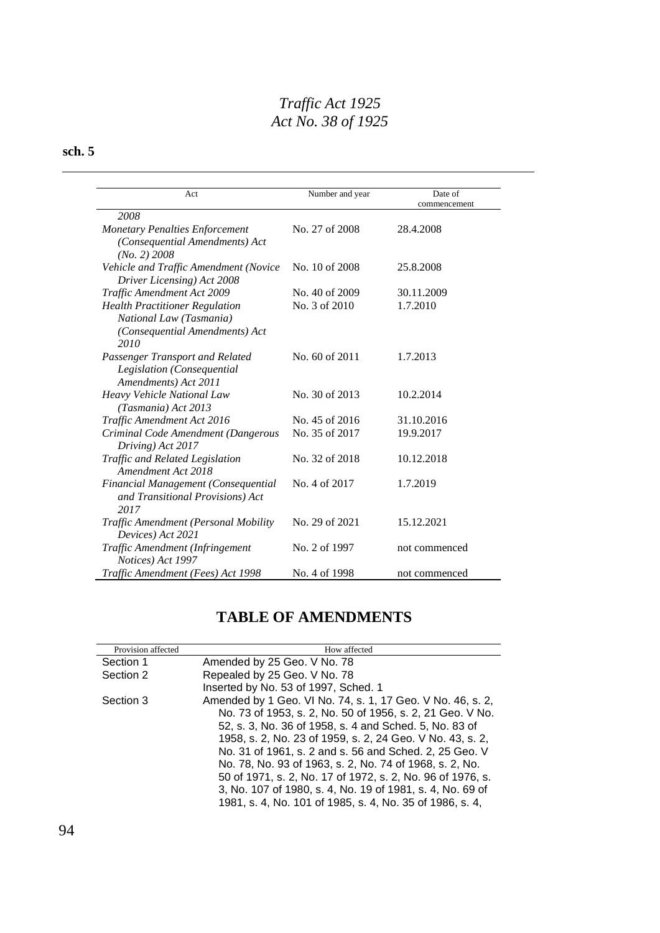#### **sch. 5**

| Act                                                                                                        | Number and year | Date of<br>commencement |  |
|------------------------------------------------------------------------------------------------------------|-----------------|-------------------------|--|
| 2008                                                                                                       |                 |                         |  |
| <b>Monetary Penalties Enforcement</b><br>(Consequential Amendments) Act<br>$(No. 2)$ 2008                  | No. 27 of 2008  | 28.4.2008               |  |
| Vehicle and Traffic Amendment (Novice<br>Driver Licensing) Act 2008                                        | No. 10 of 2008  | 25.8.2008               |  |
| Traffic Amendment Act 2009                                                                                 | No. 40 of 2009  | 30.11.2009              |  |
| <b>Health Practitioner Regulation</b><br>National Law (Tasmania)<br>(Consequential Amendments) Act<br>2010 | No. 3 of 2010   | 1.7.2010                |  |
| Passenger Transport and Related<br>Legislation (Consequential<br>Amendments) Act 2011                      | No. 60 of 2011  | 1.7.2013                |  |
| Heavy Vehicle National Law<br>(Tasmania) Act 2013                                                          | No. 30 of 2013  | 10.2.2014               |  |
| Traffic Amendment Act 2016                                                                                 | No. 45 of 2016  | 31.10.2016              |  |
| Criminal Code Amendment (Dangerous<br>Driving) Act 2017                                                    | No. 35 of 2017  | 19.9.2017               |  |
| Traffic and Related Legislation<br>Amendment Act 2018                                                      | No. 32 of 2018  | 10.12.2018              |  |
| Financial Management (Consequential<br>and Transitional Provisions) Act<br>2017                            | No. 4 of 2017   | 1.7.2019                |  |
| Traffic Amendment (Personal Mobility<br>Devices) Act 2021                                                  | No. 29 of 2021  | 15.12.2021              |  |
| Traffic Amendment (Infringement<br>Notices) Act 1997                                                       | No. 2 of 1997   | not commenced           |  |
| Traffic Amendment (Fees) Act 1998                                                                          | No. 4 of 1998   | not commenced           |  |

# **TABLE OF AMENDMENTS**

| Provision affected | How affected                                               |
|--------------------|------------------------------------------------------------|
| Section 1          | Amended by 25 Geo. V No. 78                                |
| Section 2          | Repealed by 25 Geo. V No. 78                               |
|                    | Inserted by No. 53 of 1997, Sched. 1                       |
| Section 3          | Amended by 1 Geo. VI No. 74, s. 1, 17 Geo. V No. 46, s. 2, |
|                    | No. 73 of 1953, s. 2, No. 50 of 1956, s. 2, 21 Geo. V No.  |
|                    | 52, s. 3, No. 36 of 1958, s. 4 and Sched. 5, No. 83 of     |
|                    | 1958, s. 2, No. 23 of 1959, s. 2, 24 Geo. V No. 43, s. 2,  |
|                    | No. 31 of 1961, s. 2 and s. 56 and Sched. 2, 25 Geo. V     |
|                    | No. 78, No. 93 of 1963, s. 2, No. 74 of 1968, s. 2, No.    |
|                    | 50 of 1971, s. 2, No. 17 of 1972, s. 2, No. 96 of 1976, s. |
|                    | 3, No. 107 of 1980, s. 4, No. 19 of 1981, s. 4, No. 69 of  |
|                    | 1981, s. 4, No. 101 of 1985, s. 4, No. 35 of 1986, s. 4,   |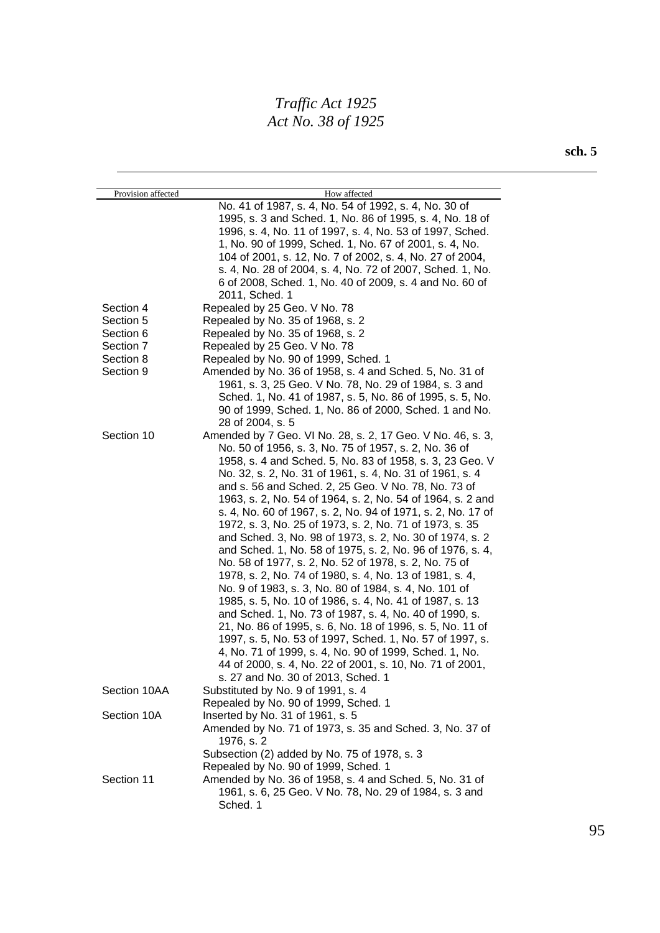| Provision affected | How affected                                                |
|--------------------|-------------------------------------------------------------|
|                    | No. 41 of 1987, s. 4, No. 54 of 1992, s. 4, No. 30 of       |
|                    | 1995, s. 3 and Sched. 1, No. 86 of 1995, s. 4, No. 18 of    |
|                    | 1996, s. 4, No. 11 of 1997, s. 4, No. 53 of 1997, Sched.    |
|                    | 1, No. 90 of 1999, Sched. 1, No. 67 of 2001, s. 4, No.      |
|                    | 104 of 2001, s. 12, No. 7 of 2002, s. 4, No. 27 of 2004,    |
|                    | s. 4, No. 28 of 2004, s. 4, No. 72 of 2007, Sched. 1, No.   |
|                    | 6 of 2008, Sched. 1, No. 40 of 2009, s. 4 and No. 60 of     |
|                    | 2011, Sched. 1                                              |
| Section 4          | Repealed by 25 Geo. V No. 78                                |
| Section 5          | Repealed by No. 35 of 1968, s. 2                            |
| Section 6          | Repealed by No. 35 of 1968, s. 2                            |
| Section 7          | Repealed by 25 Geo. V No. 78                                |
| Section 8          | Repealed by No. 90 of 1999, Sched. 1                        |
| Section 9          | Amended by No. 36 of 1958, s. 4 and Sched. 5, No. 31 of     |
|                    | 1961, s. 3, 25 Geo. V No. 78, No. 29 of 1984, s. 3 and      |
|                    | Sched. 1, No. 41 of 1987, s. 5, No. 86 of 1995, s. 5, No.   |
|                    | 90 of 1999, Sched. 1, No. 86 of 2000, Sched. 1 and No.      |
|                    | 28 of 2004, s. 5                                            |
| Section 10         | Amended by 7 Geo. VI No. 28, s. 2, 17 Geo. V No. 46, s. 3,  |
|                    | No. 50 of 1956, s. 3, No. 75 of 1957, s. 2, No. 36 of       |
|                    | 1958, s. 4 and Sched. 5, No. 83 of 1958, s. 3, 23 Geo. V    |
|                    | No. 32, s. 2, No. 31 of 1961, s. 4, No. 31 of 1961, s. 4    |
|                    |                                                             |
|                    | and s. 56 and Sched. 2, 25 Geo. V No. 78, No. 73 of         |
|                    | 1963, s. 2, No. 54 of 1964, s. 2, No. 54 of 1964, s. 2 and  |
|                    | s. 4, No. 60 of 1967, s. 2, No. 94 of 1971, s. 2, No. 17 of |
|                    | 1972, s. 3, No. 25 of 1973, s. 2, No. 71 of 1973, s. 35     |
|                    | and Sched. 3, No. 98 of 1973, s. 2, No. 30 of 1974, s. 2    |
|                    | and Sched. 1, No. 58 of 1975, s. 2, No. 96 of 1976, s. 4,   |
|                    | No. 58 of 1977, s. 2, No. 52 of 1978, s. 2, No. 75 of       |
|                    | 1978, s. 2, No. 74 of 1980, s. 4, No. 13 of 1981, s. 4,     |
|                    | No. 9 of 1983, s. 3, No. 80 of 1984, s. 4, No. 101 of       |
|                    | 1985, s. 5, No. 10 of 1986, s. 4, No. 41 of 1987, s. 13     |
|                    | and Sched. 1, No. 73 of 1987, s. 4, No. 40 of 1990, s.      |
|                    | 21, No. 86 of 1995, s. 6, No. 18 of 1996, s. 5, No. 11 of   |
|                    | 1997, s. 5, No. 53 of 1997, Sched. 1, No. 57 of 1997, s.    |
|                    | 4, No. 71 of 1999, s. 4, No. 90 of 1999, Sched. 1, No.      |
|                    | 44 of 2000, s. 4, No. 22 of 2001, s. 10, No. 71 of 2001,    |
|                    | s. 27 and No. 30 of 2013, Sched. 1                          |
| Section 10AA       | Substituted by No. 9 of 1991, s. 4                          |
|                    | Repealed by No. 90 of 1999, Sched. 1                        |
| Section 10A        | Inserted by No. 31 of 1961, s. 5                            |
|                    | Amended by No. 71 of 1973, s. 35 and Sched. 3, No. 37 of    |
|                    | 1976, s. 2                                                  |
|                    | Subsection (2) added by No. 75 of 1978, s. 3                |
|                    | Repealed by No. 90 of 1999, Sched. 1                        |
| Section 11         | Amended by No. 36 of 1958, s. 4 and Sched. 5, No. 31 of     |
|                    | 1961, s. 6, 25 Geo. V No. 78, No. 29 of 1984, s. 3 and      |
|                    | Sched. 1                                                    |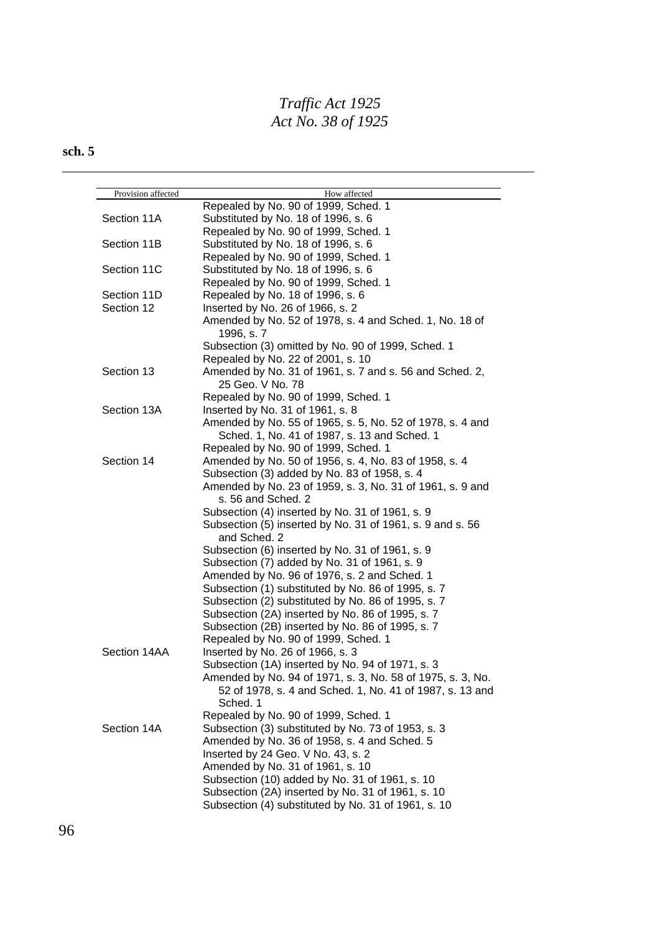| Provision affected | How affected                                                                                                                                                                                                                       |
|--------------------|------------------------------------------------------------------------------------------------------------------------------------------------------------------------------------------------------------------------------------|
|                    | Repealed by No. 90 of 1999, Sched. 1                                                                                                                                                                                               |
| Section 11A        | Substituted by No. 18 of 1996, s. 6                                                                                                                                                                                                |
|                    | Repealed by No. 90 of 1999, Sched. 1                                                                                                                                                                                               |
| Section 11B        | Substituted by No. 18 of 1996, s. 6                                                                                                                                                                                                |
|                    | Repealed by No. 90 of 1999, Sched. 1                                                                                                                                                                                               |
| Section 11C        | Substituted by No. 18 of 1996, s. 6                                                                                                                                                                                                |
|                    | Repealed by No. 90 of 1999, Sched. 1                                                                                                                                                                                               |
| Section 11D        | Repealed by No. 18 of 1996, s. 6                                                                                                                                                                                                   |
| Section 12         | Inserted by No. 26 of 1966, s. 2                                                                                                                                                                                                   |
|                    | Amended by No. 52 of 1978, s. 4 and Sched. 1, No. 18 of<br>1996, s. 7                                                                                                                                                              |
|                    | Subsection (3) omitted by No. 90 of 1999, Sched. 1                                                                                                                                                                                 |
|                    | Repealed by No. 22 of 2001, s. 10                                                                                                                                                                                                  |
| Section 13         | Amended by No. 31 of 1961, s. 7 and s. 56 and Sched. 2,<br>25 Geo. V No. 78                                                                                                                                                        |
|                    | Repealed by No. 90 of 1999, Sched. 1                                                                                                                                                                                               |
| Section 13A        | Inserted by No. 31 of 1961, s. 8                                                                                                                                                                                                   |
|                    | Amended by No. 55 of 1965, s. 5, No. 52 of 1978, s. 4 and                                                                                                                                                                          |
|                    | Sched. 1, No. 41 of 1987, s. 13 and Sched. 1                                                                                                                                                                                       |
|                    | Repealed by No. 90 of 1999, Sched. 1                                                                                                                                                                                               |
| Section 14         | Amended by No. 50 of 1956, s. 4, No. 83 of 1958, s. 4                                                                                                                                                                              |
|                    | Subsection (3) added by No. 83 of 1958, s. 4                                                                                                                                                                                       |
|                    | Amended by No. 23 of 1959, s. 3, No. 31 of 1961, s. 9 and                                                                                                                                                                          |
|                    | s. 56 and Sched. 2                                                                                                                                                                                                                 |
|                    | Subsection (4) inserted by No. 31 of 1961, s. 9                                                                                                                                                                                    |
|                    | Subsection (5) inserted by No. 31 of 1961, s. 9 and s. 56                                                                                                                                                                          |
|                    | and Sched. 2                                                                                                                                                                                                                       |
|                    | Subsection (6) inserted by No. 31 of 1961, s. 9                                                                                                                                                                                    |
|                    | Subsection (7) added by No. 31 of 1961, s. 9                                                                                                                                                                                       |
|                    | Amended by No. 96 of 1976, s. 2 and Sched. 1                                                                                                                                                                                       |
|                    | Subsection (1) substituted by No. 86 of 1995, s. 7                                                                                                                                                                                 |
|                    | Subsection (2) substituted by No. 86 of 1995, s. 7                                                                                                                                                                                 |
|                    | Subsection (2A) inserted by No. 86 of 1995, s. 7                                                                                                                                                                                   |
|                    | Subsection (2B) inserted by No. 86 of 1995, s. 7                                                                                                                                                                                   |
|                    | Repealed by No. 90 of 1999, Sched. 1                                                                                                                                                                                               |
| Section 14AA       | Inserted by No. 26 of 1966, s. 3                                                                                                                                                                                                   |
|                    |                                                                                                                                                                                                                                    |
|                    | Amended by No. 94 of 1971, s. 3, No. 58 of 1975, s. 3, No.                                                                                                                                                                         |
|                    | 52 of 1978, s. 4 and Sched. 1, No. 41 of 1987, s. 13 and                                                                                                                                                                           |
|                    | Sched. 1                                                                                                                                                                                                                           |
|                    |                                                                                                                                                                                                                                    |
| Section 14A        |                                                                                                                                                                                                                                    |
|                    |                                                                                                                                                                                                                                    |
|                    | Inserted by 24 Geo. V No. 43, s. 2                                                                                                                                                                                                 |
|                    |                                                                                                                                                                                                                                    |
|                    | Subsection (10) added by No. 31 of 1961, s. 10                                                                                                                                                                                     |
|                    | Subsection (2A) inserted by No. 31 of 1961, s. 10                                                                                                                                                                                  |
|                    | Subsection (4) substituted by No. 31 of 1961, s. 10                                                                                                                                                                                |
|                    | Subsection (1A) inserted by No. 94 of 1971, s. 3<br>Repealed by No. 90 of 1999, Sched. 1<br>Subsection (3) substituted by No. 73 of 1953, s. 3<br>Amended by No. 36 of 1958, s. 4 and Sched. 5<br>Amended by No. 31 of 1961, s. 10 |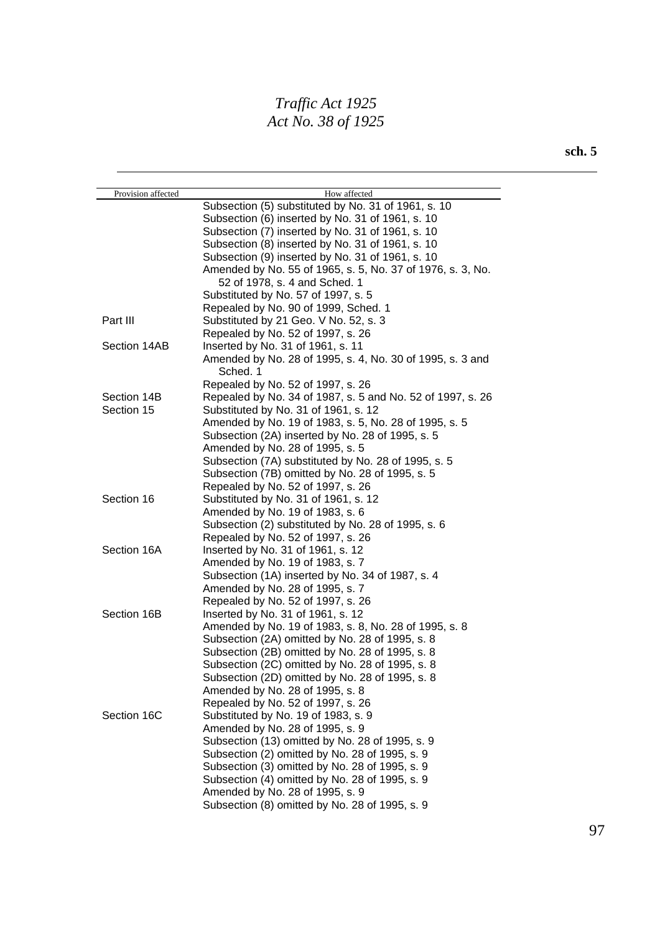| Provision affected | How affected                                                          |
|--------------------|-----------------------------------------------------------------------|
|                    | Subsection (5) substituted by No. 31 of 1961, s. 10                   |
|                    | Subsection (6) inserted by No. 31 of 1961, s. 10                      |
|                    | Subsection (7) inserted by No. 31 of 1961, s. 10                      |
|                    | Subsection (8) inserted by No. 31 of 1961, s. 10                      |
|                    | Subsection (9) inserted by No. 31 of 1961, s. 10                      |
|                    | Amended by No. 55 of 1965, s. 5, No. 37 of 1976, s. 3, No.            |
|                    | 52 of 1978, s. 4 and Sched. 1                                         |
|                    | Substituted by No. 57 of 1997, s. 5                                   |
|                    | Repealed by No. 90 of 1999, Sched. 1                                  |
| Part III           | Substituted by 21 Geo. V No. 52, s. 3                                 |
|                    | Repealed by No. 52 of 1997, s. 26                                     |
| Section 14AB       | Inserted by No. 31 of 1961, s. 11                                     |
|                    | Amended by No. 28 of 1995, s. 4, No. 30 of 1995, s. 3 and<br>Sched. 1 |
|                    | Repealed by No. 52 of 1997, s. 26                                     |
| Section 14B        | Repealed by No. 34 of 1987, s. 5 and No. 52 of 1997, s. 26            |
| Section 15         | Substituted by No. 31 of 1961, s. 12                                  |
|                    | Amended by No. 19 of 1983, s. 5, No. 28 of 1995, s. 5                 |
|                    | Subsection (2A) inserted by No. 28 of 1995, s. 5                      |
|                    | Amended by No. 28 of 1995, s. 5                                       |
|                    | Subsection (7A) substituted by No. 28 of 1995, s. 5                   |
|                    | Subsection (7B) omitted by No. 28 of 1995, s. 5                       |
|                    | Repealed by No. 52 of 1997, s. 26                                     |
| Section 16         | Substituted by No. 31 of 1961, s. 12                                  |
|                    | Amended by No. 19 of 1983, s. 6                                       |
|                    | Subsection (2) substituted by No. 28 of 1995, s. 6                    |
|                    | Repealed by No. 52 of 1997, s. 26                                     |
| Section 16A        | Inserted by No. 31 of 1961, s. 12                                     |
|                    | Amended by No. 19 of 1983, s. 7                                       |
|                    | Subsection (1A) inserted by No. 34 of 1987, s. 4                      |
|                    | Amended by No. 28 of 1995, s. 7                                       |
|                    | Repealed by No. 52 of 1997, s. 26                                     |
| Section 16B        | Inserted by No. 31 of 1961, s. 12                                     |
|                    | Amended by No. 19 of 1983, s. 8, No. 28 of 1995, s. 8                 |
|                    | Subsection (2A) omitted by No. 28 of 1995, s. 8                       |
|                    | Subsection (2B) omitted by No. 28 of 1995, s. 8                       |
|                    | Subsection (2C) omitted by No. 28 of 1995, s. 8                       |
|                    | Subsection (2D) omitted by No. 28 of 1995, s. 8                       |
|                    | Amended by No. 28 of 1995, s. 8                                       |
|                    | Repealed by No. 52 of 1997, s. 26                                     |
| Section 16C        | Substituted by No. 19 of 1983, s. 9                                   |
|                    | Amended by No. 28 of 1995, s. 9                                       |
|                    | Subsection (13) omitted by No. 28 of 1995, s. 9                       |
|                    | Subsection (2) omitted by No. 28 of 1995, s. 9                        |
|                    | Subsection (3) omitted by No. 28 of 1995, s. 9                        |
|                    | Subsection (4) omitted by No. 28 of 1995, s. 9                        |
|                    | Amended by No. 28 of 1995, s. 9                                       |
|                    | Subsection (8) omitted by No. 28 of 1995, s. 9                        |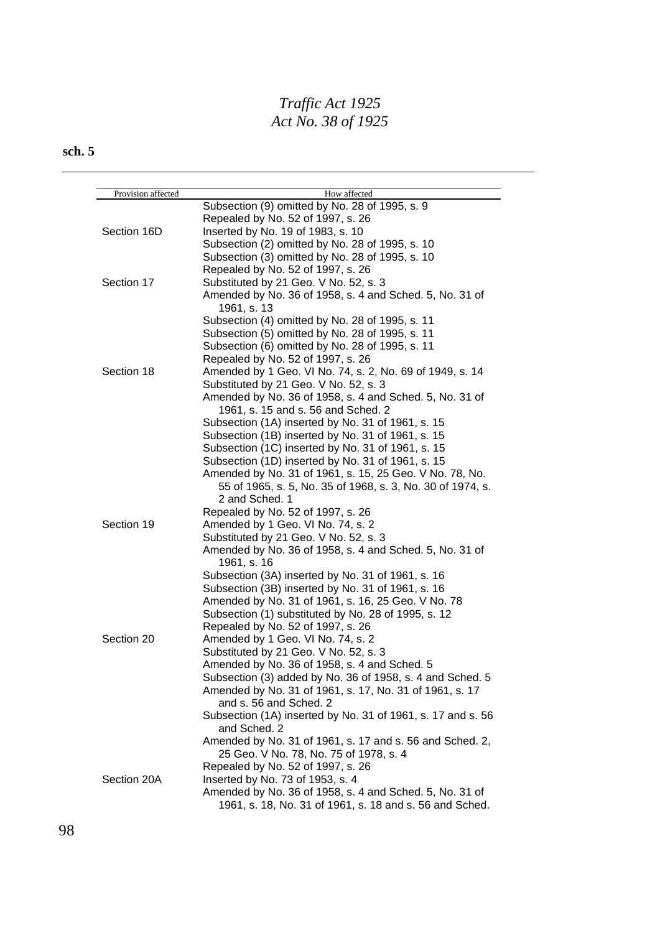| Provision affected | How affected                                                                |
|--------------------|-----------------------------------------------------------------------------|
|                    | Subsection (9) omitted by No. 28 of 1995, s. 9                              |
|                    | Repealed by No. 52 of 1997, s. 26                                           |
| Section 16D        | Inserted by No. 19 of 1983, s. 10                                           |
|                    | Subsection (2) omitted by No. 28 of 1995, s. 10                             |
|                    | Subsection (3) omitted by No. 28 of 1995, s. 10                             |
|                    | Repealed by No. 52 of 1997, s. 26                                           |
| Section 17         | Substituted by 21 Geo. V No. 52, s. 3                                       |
|                    | Amended by No. 36 of 1958, s. 4 and Sched. 5, No. 31 of                     |
|                    | 1961, s. 13                                                                 |
|                    | Subsection (4) omitted by No. 28 of 1995, s. 11                             |
|                    | Subsection (5) omitted by No. 28 of 1995, s. 11                             |
|                    | Subsection (6) omitted by No. 28 of 1995, s. 11                             |
|                    | Repealed by No. 52 of 1997, s. 26                                           |
| Section 18         | Amended by 1 Geo. VI No. 74, s. 2, No. 69 of 1949, s. 14                    |
|                    | Substituted by 21 Geo. V No. 52, s. 3                                       |
|                    | Amended by No. 36 of 1958, s. 4 and Sched. 5, No. 31 of                     |
|                    | 1961, s. 15 and s. 56 and Sched. 2                                          |
|                    | Subsection (1A) inserted by No. 31 of 1961, s. 15                           |
|                    | Subsection (1B) inserted by No. 31 of 1961, s. 15                           |
|                    | Subsection (1C) inserted by No. 31 of 1961, s. 15                           |
|                    | Subsection (1D) inserted by No. 31 of 1961, s. 15                           |
|                    | Amended by No. 31 of 1961, s. 15, 25 Geo. V No. 78, No.                     |
|                    | 55 of 1965, s. 5, No. 35 of 1968, s. 3, No. 30 of 1974, s.                  |
|                    | 2 and Sched. 1                                                              |
|                    | Repealed by No. 52 of 1997, s. 26                                           |
| Section 19         | Amended by 1 Geo. VI No. 74, s. 2                                           |
|                    | Substituted by 21 Geo. V No. 52, s. 3                                       |
|                    | Amended by No. 36 of 1958, s. 4 and Sched. 5, No. 31 of                     |
|                    | 1961, s. 16                                                                 |
|                    | Subsection (3A) inserted by No. 31 of 1961, s. 16                           |
|                    | Subsection (3B) inserted by No. 31 of 1961, s. 16                           |
|                    |                                                                             |
|                    | Amended by No. 31 of 1961, s. 16, 25 Geo. V No. 78                          |
|                    | Subsection (1) substituted by No. 28 of 1995, s. 12                         |
|                    | Repealed by No. 52 of 1997, s. 26                                           |
| Section 20         | Amended by 1 Geo. VI No. 74, s. 2                                           |
|                    | Substituted by 21 Geo. V No. 52, s. 3                                       |
|                    | Amended by No. 36 of 1958, s. 4 and Sched. 5                                |
|                    | Subsection (3) added by No. 36 of 1958, s. 4 and Sched. 5                   |
|                    | Amended by No. 31 of 1961, s. 17, No. 31 of 1961, s. 17                     |
|                    | and s. 56 and Sched. 2                                                      |
|                    | Subsection (1A) inserted by No. 31 of 1961, s. 17 and s. 56<br>and Sched. 2 |
|                    | Amended by No. 31 of 1961, s. 17 and s. 56 and Sched. 2,                    |
|                    | 25 Geo. V No. 78, No. 75 of 1978, s. 4                                      |
|                    | Repealed by No. 52 of 1997, s. 26                                           |
| Section 20A        | Inserted by No. 73 of 1953, s. 4                                            |
|                    | Amended by No. 36 of 1958, s. 4 and Sched. 5, No. 31 of                     |
|                    | 1961, s. 18, No. 31 of 1961, s. 18 and s. 56 and Sched.                     |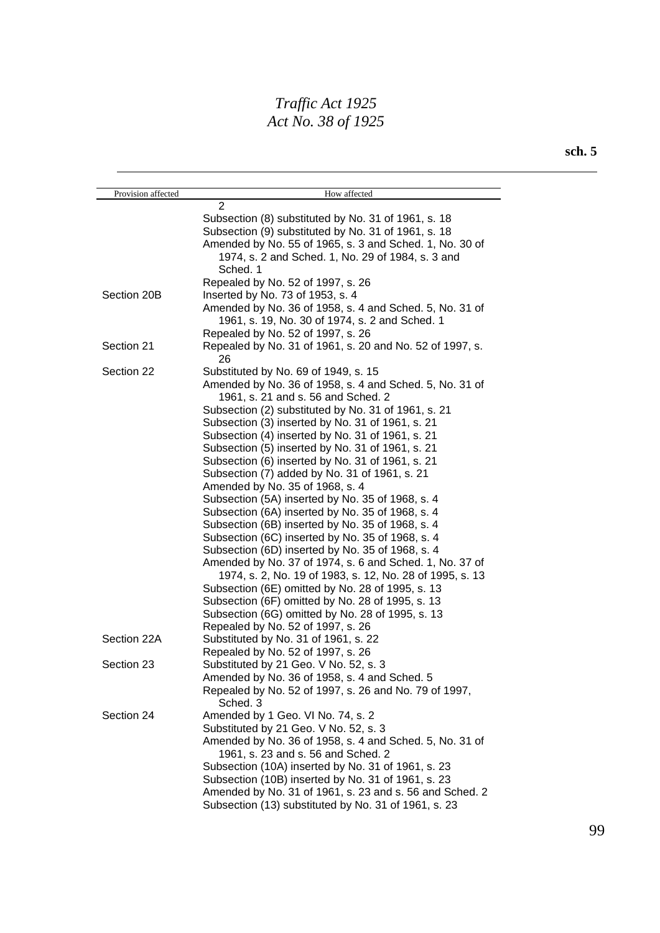| Provision affected | How affected                                                                                         |
|--------------------|------------------------------------------------------------------------------------------------------|
|                    | $\overline{2}$                                                                                       |
|                    | Subsection (8) substituted by No. 31 of 1961, s. 18                                                  |
|                    | Subsection (9) substituted by No. 31 of 1961, s. 18                                                  |
|                    | Amended by No. 55 of 1965, s. 3 and Sched. 1, No. 30 of                                              |
|                    | 1974, s. 2 and Sched. 1, No. 29 of 1984, s. 3 and<br>Sched. 1                                        |
|                    | Repealed by No. 52 of 1997, s. 26                                                                    |
| Section 20B        | Inserted by No. 73 of 1953, s. 4                                                                     |
|                    | Amended by No. 36 of 1958, s. 4 and Sched. 5, No. 31 of                                              |
|                    | 1961, s. 19, No. 30 of 1974, s. 2 and Sched. 1                                                       |
|                    | Repealed by No. 52 of 1997, s. 26                                                                    |
| Section 21         | Repealed by No. 31 of 1961, s. 20 and No. 52 of 1997, s.<br>26                                       |
| Section 22         | Substituted by No. 69 of 1949, s. 15                                                                 |
|                    | Amended by No. 36 of 1958, s. 4 and Sched. 5, No. 31 of<br>1961, s. 21 and s. 56 and Sched. 2        |
|                    | Subsection (2) substituted by No. 31 of 1961, s. 21                                                  |
|                    | Subsection (3) inserted by No. 31 of 1961, s. 21                                                     |
|                    | Subsection (4) inserted by No. 31 of 1961, s. 21                                                     |
|                    | Subsection (5) inserted by No. 31 of 1961, s. 21                                                     |
|                    | Subsection (6) inserted by No. 31 of 1961, s. 21                                                     |
|                    | Subsection (7) added by No. 31 of 1961, s. 21                                                        |
|                    | Amended by No. 35 of 1968, s. 4                                                                      |
|                    | Subsection (5A) inserted by No. 35 of 1968, s. 4                                                     |
|                    | Subsection (6A) inserted by No. 35 of 1968, s. 4                                                     |
|                    | Subsection (6B) inserted by No. 35 of 1968, s. 4                                                     |
|                    | Subsection (6C) inserted by No. 35 of 1968, s. 4                                                     |
|                    | Subsection (6D) inserted by No. 35 of 1968, s. 4                                                     |
|                    | Amended by No. 37 of 1974, s. 6 and Sched. 1, No. 37 of                                              |
|                    | 1974, s. 2, No. 19 of 1983, s. 12, No. 28 of 1995, s. 13                                             |
|                    | Subsection (6E) omitted by No. 28 of 1995, s. 13<br>Subsection (6F) omitted by No. 28 of 1995, s. 13 |
|                    | Subsection (6G) omitted by No. 28 of 1995, s. 13                                                     |
|                    | Repealed by No. 52 of 1997, s. 26                                                                    |
| Section 22A        | Substituted by No. 31 of 1961, s. 22                                                                 |
|                    | Repealed by No. 52 of 1997, s. 26                                                                    |
| Section 23         | Substituted by 21 Geo. V No. 52, s. 3                                                                |
|                    | Amended by No. 36 of 1958, s. 4 and Sched. 5                                                         |
|                    | Repealed by No. 52 of 1997, s. 26 and No. 79 of 1997,<br>Sched. 3                                    |
| Section 24         | Amended by 1 Geo. VI No. 74, s. 2                                                                    |
|                    | Substituted by 21 Geo. V No. 52, s. 3                                                                |
|                    | Amended by No. 36 of 1958, s. 4 and Sched. 5, No. 31 of<br>1961, s. 23 and s. 56 and Sched. 2        |
|                    | Subsection (10A) inserted by No. 31 of 1961, s. 23                                                   |
|                    | Subsection (10B) inserted by No. 31 of 1961, s. 23                                                   |
|                    | Amended by No. 31 of 1961, s. 23 and s. 56 and Sched. 2                                              |
|                    | Subsection (13) substituted by No. 31 of 1961, s. 23                                                 |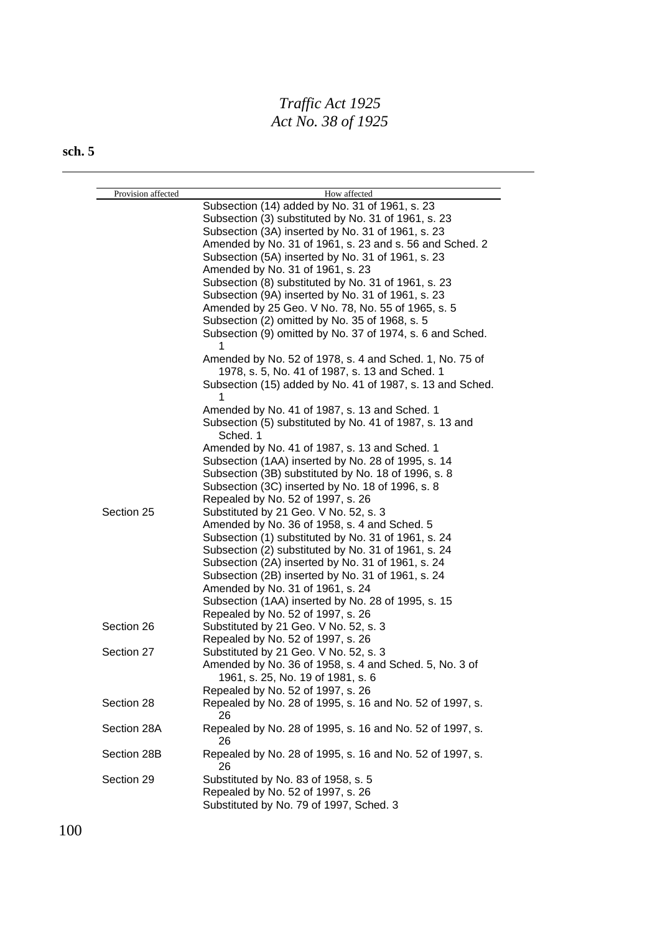| Provision affected | How affected                                              |
|--------------------|-----------------------------------------------------------|
|                    | Subsection (14) added by No. 31 of 1961, s. 23            |
|                    | Subsection (3) substituted by No. 31 of 1961, s. 23       |
|                    | Subsection (3A) inserted by No. 31 of 1961, s. 23         |
|                    | Amended by No. 31 of 1961, s. 23 and s. 56 and Sched. 2   |
|                    | Subsection (5A) inserted by No. 31 of 1961, s. 23         |
|                    | Amended by No. 31 of 1961, s. 23                          |
|                    | Subsection (8) substituted by No. 31 of 1961, s. 23       |
|                    | Subsection (9A) inserted by No. 31 of 1961, s. 23         |
|                    | Amended by 25 Geo. V No. 78, No. 55 of 1965, s. 5         |
|                    | Subsection (2) omitted by No. 35 of 1968, s. 5            |
|                    | Subsection (9) omitted by No. 37 of 1974, s. 6 and Sched. |
|                    |                                                           |
|                    | Amended by No. 52 of 1978, s. 4 and Sched. 1, No. 75 of   |
|                    | 1978, s. 5, No. 41 of 1987, s. 13 and Sched. 1            |
|                    | Subsection (15) added by No. 41 of 1987, s. 13 and Sched. |
|                    | 1                                                         |
|                    | Amended by No. 41 of 1987, s. 13 and Sched. 1             |
|                    | Subsection (5) substituted by No. 41 of 1987, s. 13 and   |
|                    | Sched. 1                                                  |
|                    | Amended by No. 41 of 1987, s. 13 and Sched. 1             |
|                    | Subsection (1AA) inserted by No. 28 of 1995, s. 14        |
|                    | Subsection (3B) substituted by No. 18 of 1996, s. 8       |
|                    | Subsection (3C) inserted by No. 18 of 1996, s. 8          |
|                    | Repealed by No. 52 of 1997, s. 26                         |
| Section 25         | Substituted by 21 Geo. V No. 52, s. 3                     |
|                    | Amended by No. 36 of 1958, s. 4 and Sched. 5              |
|                    | Subsection (1) substituted by No. 31 of 1961, s. 24       |
|                    | Subsection (2) substituted by No. 31 of 1961, s. 24       |
|                    | Subsection (2A) inserted by No. 31 of 1961, s. 24         |
|                    | Subsection (2B) inserted by No. 31 of 1961, s. 24         |
|                    | Amended by No. 31 of 1961, s. 24                          |
|                    | Subsection (1AA) inserted by No. 28 of 1995, s. 15        |
|                    | Repealed by No. 52 of 1997, s. 26                         |
| Section 26         | Substituted by 21 Geo. V No. 52, s. 3                     |
|                    | Repealed by No. 52 of 1997, s. 26                         |
| Section 27         | Substituted by 21 Geo. V No. 52, s. 3                     |
|                    | Amended by No. 36 of 1958, s. 4 and Sched. 5, No. 3 of    |
|                    | 1961, s. 25, No. 19 of 1981, s. 6                         |
|                    | Repealed by No. 52 of 1997, s. 26                         |
| Section 28         | Repealed by No. 28 of 1995, s. 16 and No. 52 of 1997, s.  |
|                    | 26                                                        |
| Section 28A        | Repealed by No. 28 of 1995, s. 16 and No. 52 of 1997, s.  |
|                    | 26                                                        |
| Section 28B        | Repealed by No. 28 of 1995, s. 16 and No. 52 of 1997, s.  |
|                    | 26                                                        |
| Section 29         | Substituted by No. 83 of 1958, s. 5                       |
|                    | Repealed by No. 52 of 1997, s. 26                         |
|                    | Substituted by No. 79 of 1997, Sched. 3                   |
|                    |                                                           |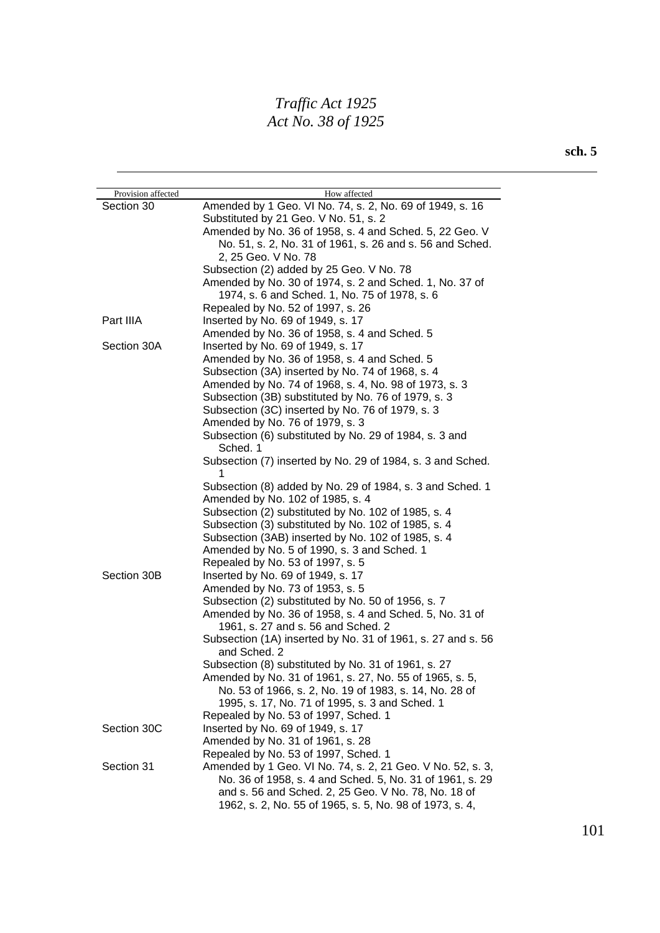| Amended by 1 Geo. VI No. 74, s. 2, No. 69 of 1949, s. 16<br>Section 30<br>Substituted by 21 Geo. V No. 51, s. 2<br>Amended by No. 36 of 1958, s. 4 and Sched. 5, 22 Geo. V<br>No. 51, s. 2, No. 31 of 1961, s. 26 and s. 56 and Sched.<br>2, 25 Geo. V No. 78<br>Subsection (2) added by 25 Geo. V No. 78<br>Amended by No. 30 of 1974, s. 2 and Sched. 1, No. 37 of<br>1974, s. 6 and Sched. 1, No. 75 of 1978, s. 6<br>Repealed by No. 52 of 1997, s. 26<br>Part IIIA<br>Inserted by No. 69 of 1949, s. 17<br>Amended by No. 36 of 1958, s. 4 and Sched. 5<br>Section 30A<br>Inserted by No. 69 of 1949, s. 17<br>Amended by No. 36 of 1958, s. 4 and Sched. 5<br>Subsection (3A) inserted by No. 74 of 1968, s. 4<br>Amended by No. 74 of 1968, s. 4, No. 98 of 1973, s. 3<br>Subsection (3B) substituted by No. 76 of 1979, s. 3<br>Subsection (3C) inserted by No. 76 of 1979, s. 3<br>Amended by No. 76 of 1979, s. 3<br>Subsection (6) substituted by No. 29 of 1984, s. 3 and<br>Sched. 1<br>Subsection (7) inserted by No. 29 of 1984, s. 3 and Sched.<br>1<br>Subsection (8) added by No. 29 of 1984, s. 3 and Sched. 1<br>Amended by No. 102 of 1985, s. 4<br>Subsection (2) substituted by No. 102 of 1985, s. 4<br>Subsection (3) substituted by No. 102 of 1985, s. 4<br>Subsection (3AB) inserted by No. 102 of 1985, s. 4<br>Amended by No. 5 of 1990, s. 3 and Sched. 1<br>Repealed by No. 53 of 1997, s. 5<br>Section 30B<br>Inserted by No. 69 of 1949, s. 17<br>Amended by No. 73 of 1953, s. 5<br>Subsection (2) substituted by No. 50 of 1956, s. 7<br>Amended by No. 36 of 1958, s. 4 and Sched. 5, No. 31 of<br>1961, s. 27 and s. 56 and Sched. 2<br>Subsection (1A) inserted by No. 31 of 1961, s. 27 and s. 56<br>and Sched. 2<br>Subsection (8) substituted by No. 31 of 1961, s. 27<br>Amended by No. 31 of 1961, s. 27, No. 55 of 1965, s. 5,<br>No. 53 of 1966, s. 2, No. 19 of 1983, s. 14, No. 28 of<br>1995, s. 17, No. 71 of 1995, s. 3 and Sched. 1<br>Repealed by No. 53 of 1997, Sched. 1<br>Section 30C<br>Inserted by No. 69 of 1949, s. 17<br>Amended by No. 31 of 1961, s. 28<br>Repealed by No. 53 of 1997, Sched. 1<br>Section 31<br>Amended by 1 Geo. VI No. 74, s. 2, 21 Geo. V No. 52, s. 3, | Provision affected | How affected |
|---------------------------------------------------------------------------------------------------------------------------------------------------------------------------------------------------------------------------------------------------------------------------------------------------------------------------------------------------------------------------------------------------------------------------------------------------------------------------------------------------------------------------------------------------------------------------------------------------------------------------------------------------------------------------------------------------------------------------------------------------------------------------------------------------------------------------------------------------------------------------------------------------------------------------------------------------------------------------------------------------------------------------------------------------------------------------------------------------------------------------------------------------------------------------------------------------------------------------------------------------------------------------------------------------------------------------------------------------------------------------------------------------------------------------------------------------------------------------------------------------------------------------------------------------------------------------------------------------------------------------------------------------------------------------------------------------------------------------------------------------------------------------------------------------------------------------------------------------------------------------------------------------------------------------------------------------------------------------------------------------------------------------------------------------------------------------------------------------------------------------------------------------------------------------------------------------------------------------------------------|--------------------|--------------|
|                                                                                                                                                                                                                                                                                                                                                                                                                                                                                                                                                                                                                                                                                                                                                                                                                                                                                                                                                                                                                                                                                                                                                                                                                                                                                                                                                                                                                                                                                                                                                                                                                                                                                                                                                                                                                                                                                                                                                                                                                                                                                                                                                                                                                                             |                    |              |
|                                                                                                                                                                                                                                                                                                                                                                                                                                                                                                                                                                                                                                                                                                                                                                                                                                                                                                                                                                                                                                                                                                                                                                                                                                                                                                                                                                                                                                                                                                                                                                                                                                                                                                                                                                                                                                                                                                                                                                                                                                                                                                                                                                                                                                             |                    |              |
|                                                                                                                                                                                                                                                                                                                                                                                                                                                                                                                                                                                                                                                                                                                                                                                                                                                                                                                                                                                                                                                                                                                                                                                                                                                                                                                                                                                                                                                                                                                                                                                                                                                                                                                                                                                                                                                                                                                                                                                                                                                                                                                                                                                                                                             |                    |              |
|                                                                                                                                                                                                                                                                                                                                                                                                                                                                                                                                                                                                                                                                                                                                                                                                                                                                                                                                                                                                                                                                                                                                                                                                                                                                                                                                                                                                                                                                                                                                                                                                                                                                                                                                                                                                                                                                                                                                                                                                                                                                                                                                                                                                                                             |                    |              |
|                                                                                                                                                                                                                                                                                                                                                                                                                                                                                                                                                                                                                                                                                                                                                                                                                                                                                                                                                                                                                                                                                                                                                                                                                                                                                                                                                                                                                                                                                                                                                                                                                                                                                                                                                                                                                                                                                                                                                                                                                                                                                                                                                                                                                                             |                    |              |
|                                                                                                                                                                                                                                                                                                                                                                                                                                                                                                                                                                                                                                                                                                                                                                                                                                                                                                                                                                                                                                                                                                                                                                                                                                                                                                                                                                                                                                                                                                                                                                                                                                                                                                                                                                                                                                                                                                                                                                                                                                                                                                                                                                                                                                             |                    |              |
|                                                                                                                                                                                                                                                                                                                                                                                                                                                                                                                                                                                                                                                                                                                                                                                                                                                                                                                                                                                                                                                                                                                                                                                                                                                                                                                                                                                                                                                                                                                                                                                                                                                                                                                                                                                                                                                                                                                                                                                                                                                                                                                                                                                                                                             |                    |              |
|                                                                                                                                                                                                                                                                                                                                                                                                                                                                                                                                                                                                                                                                                                                                                                                                                                                                                                                                                                                                                                                                                                                                                                                                                                                                                                                                                                                                                                                                                                                                                                                                                                                                                                                                                                                                                                                                                                                                                                                                                                                                                                                                                                                                                                             |                    |              |
|                                                                                                                                                                                                                                                                                                                                                                                                                                                                                                                                                                                                                                                                                                                                                                                                                                                                                                                                                                                                                                                                                                                                                                                                                                                                                                                                                                                                                                                                                                                                                                                                                                                                                                                                                                                                                                                                                                                                                                                                                                                                                                                                                                                                                                             |                    |              |
|                                                                                                                                                                                                                                                                                                                                                                                                                                                                                                                                                                                                                                                                                                                                                                                                                                                                                                                                                                                                                                                                                                                                                                                                                                                                                                                                                                                                                                                                                                                                                                                                                                                                                                                                                                                                                                                                                                                                                                                                                                                                                                                                                                                                                                             |                    |              |
|                                                                                                                                                                                                                                                                                                                                                                                                                                                                                                                                                                                                                                                                                                                                                                                                                                                                                                                                                                                                                                                                                                                                                                                                                                                                                                                                                                                                                                                                                                                                                                                                                                                                                                                                                                                                                                                                                                                                                                                                                                                                                                                                                                                                                                             |                    |              |
|                                                                                                                                                                                                                                                                                                                                                                                                                                                                                                                                                                                                                                                                                                                                                                                                                                                                                                                                                                                                                                                                                                                                                                                                                                                                                                                                                                                                                                                                                                                                                                                                                                                                                                                                                                                                                                                                                                                                                                                                                                                                                                                                                                                                                                             |                    |              |
|                                                                                                                                                                                                                                                                                                                                                                                                                                                                                                                                                                                                                                                                                                                                                                                                                                                                                                                                                                                                                                                                                                                                                                                                                                                                                                                                                                                                                                                                                                                                                                                                                                                                                                                                                                                                                                                                                                                                                                                                                                                                                                                                                                                                                                             |                    |              |
|                                                                                                                                                                                                                                                                                                                                                                                                                                                                                                                                                                                                                                                                                                                                                                                                                                                                                                                                                                                                                                                                                                                                                                                                                                                                                                                                                                                                                                                                                                                                                                                                                                                                                                                                                                                                                                                                                                                                                                                                                                                                                                                                                                                                                                             |                    |              |
|                                                                                                                                                                                                                                                                                                                                                                                                                                                                                                                                                                                                                                                                                                                                                                                                                                                                                                                                                                                                                                                                                                                                                                                                                                                                                                                                                                                                                                                                                                                                                                                                                                                                                                                                                                                                                                                                                                                                                                                                                                                                                                                                                                                                                                             |                    |              |
|                                                                                                                                                                                                                                                                                                                                                                                                                                                                                                                                                                                                                                                                                                                                                                                                                                                                                                                                                                                                                                                                                                                                                                                                                                                                                                                                                                                                                                                                                                                                                                                                                                                                                                                                                                                                                                                                                                                                                                                                                                                                                                                                                                                                                                             |                    |              |
|                                                                                                                                                                                                                                                                                                                                                                                                                                                                                                                                                                                                                                                                                                                                                                                                                                                                                                                                                                                                                                                                                                                                                                                                                                                                                                                                                                                                                                                                                                                                                                                                                                                                                                                                                                                                                                                                                                                                                                                                                                                                                                                                                                                                                                             |                    |              |
|                                                                                                                                                                                                                                                                                                                                                                                                                                                                                                                                                                                                                                                                                                                                                                                                                                                                                                                                                                                                                                                                                                                                                                                                                                                                                                                                                                                                                                                                                                                                                                                                                                                                                                                                                                                                                                                                                                                                                                                                                                                                                                                                                                                                                                             |                    |              |
|                                                                                                                                                                                                                                                                                                                                                                                                                                                                                                                                                                                                                                                                                                                                                                                                                                                                                                                                                                                                                                                                                                                                                                                                                                                                                                                                                                                                                                                                                                                                                                                                                                                                                                                                                                                                                                                                                                                                                                                                                                                                                                                                                                                                                                             |                    |              |
|                                                                                                                                                                                                                                                                                                                                                                                                                                                                                                                                                                                                                                                                                                                                                                                                                                                                                                                                                                                                                                                                                                                                                                                                                                                                                                                                                                                                                                                                                                                                                                                                                                                                                                                                                                                                                                                                                                                                                                                                                                                                                                                                                                                                                                             |                    |              |
|                                                                                                                                                                                                                                                                                                                                                                                                                                                                                                                                                                                                                                                                                                                                                                                                                                                                                                                                                                                                                                                                                                                                                                                                                                                                                                                                                                                                                                                                                                                                                                                                                                                                                                                                                                                                                                                                                                                                                                                                                                                                                                                                                                                                                                             |                    |              |
|                                                                                                                                                                                                                                                                                                                                                                                                                                                                                                                                                                                                                                                                                                                                                                                                                                                                                                                                                                                                                                                                                                                                                                                                                                                                                                                                                                                                                                                                                                                                                                                                                                                                                                                                                                                                                                                                                                                                                                                                                                                                                                                                                                                                                                             |                    |              |
|                                                                                                                                                                                                                                                                                                                                                                                                                                                                                                                                                                                                                                                                                                                                                                                                                                                                                                                                                                                                                                                                                                                                                                                                                                                                                                                                                                                                                                                                                                                                                                                                                                                                                                                                                                                                                                                                                                                                                                                                                                                                                                                                                                                                                                             |                    |              |
|                                                                                                                                                                                                                                                                                                                                                                                                                                                                                                                                                                                                                                                                                                                                                                                                                                                                                                                                                                                                                                                                                                                                                                                                                                                                                                                                                                                                                                                                                                                                                                                                                                                                                                                                                                                                                                                                                                                                                                                                                                                                                                                                                                                                                                             |                    |              |
|                                                                                                                                                                                                                                                                                                                                                                                                                                                                                                                                                                                                                                                                                                                                                                                                                                                                                                                                                                                                                                                                                                                                                                                                                                                                                                                                                                                                                                                                                                                                                                                                                                                                                                                                                                                                                                                                                                                                                                                                                                                                                                                                                                                                                                             |                    |              |
|                                                                                                                                                                                                                                                                                                                                                                                                                                                                                                                                                                                                                                                                                                                                                                                                                                                                                                                                                                                                                                                                                                                                                                                                                                                                                                                                                                                                                                                                                                                                                                                                                                                                                                                                                                                                                                                                                                                                                                                                                                                                                                                                                                                                                                             |                    |              |
|                                                                                                                                                                                                                                                                                                                                                                                                                                                                                                                                                                                                                                                                                                                                                                                                                                                                                                                                                                                                                                                                                                                                                                                                                                                                                                                                                                                                                                                                                                                                                                                                                                                                                                                                                                                                                                                                                                                                                                                                                                                                                                                                                                                                                                             |                    |              |
|                                                                                                                                                                                                                                                                                                                                                                                                                                                                                                                                                                                                                                                                                                                                                                                                                                                                                                                                                                                                                                                                                                                                                                                                                                                                                                                                                                                                                                                                                                                                                                                                                                                                                                                                                                                                                                                                                                                                                                                                                                                                                                                                                                                                                                             |                    |              |
|                                                                                                                                                                                                                                                                                                                                                                                                                                                                                                                                                                                                                                                                                                                                                                                                                                                                                                                                                                                                                                                                                                                                                                                                                                                                                                                                                                                                                                                                                                                                                                                                                                                                                                                                                                                                                                                                                                                                                                                                                                                                                                                                                                                                                                             |                    |              |
|                                                                                                                                                                                                                                                                                                                                                                                                                                                                                                                                                                                                                                                                                                                                                                                                                                                                                                                                                                                                                                                                                                                                                                                                                                                                                                                                                                                                                                                                                                                                                                                                                                                                                                                                                                                                                                                                                                                                                                                                                                                                                                                                                                                                                                             |                    |              |
|                                                                                                                                                                                                                                                                                                                                                                                                                                                                                                                                                                                                                                                                                                                                                                                                                                                                                                                                                                                                                                                                                                                                                                                                                                                                                                                                                                                                                                                                                                                                                                                                                                                                                                                                                                                                                                                                                                                                                                                                                                                                                                                                                                                                                                             |                    |              |
|                                                                                                                                                                                                                                                                                                                                                                                                                                                                                                                                                                                                                                                                                                                                                                                                                                                                                                                                                                                                                                                                                                                                                                                                                                                                                                                                                                                                                                                                                                                                                                                                                                                                                                                                                                                                                                                                                                                                                                                                                                                                                                                                                                                                                                             |                    |              |
|                                                                                                                                                                                                                                                                                                                                                                                                                                                                                                                                                                                                                                                                                                                                                                                                                                                                                                                                                                                                                                                                                                                                                                                                                                                                                                                                                                                                                                                                                                                                                                                                                                                                                                                                                                                                                                                                                                                                                                                                                                                                                                                                                                                                                                             |                    |              |
|                                                                                                                                                                                                                                                                                                                                                                                                                                                                                                                                                                                                                                                                                                                                                                                                                                                                                                                                                                                                                                                                                                                                                                                                                                                                                                                                                                                                                                                                                                                                                                                                                                                                                                                                                                                                                                                                                                                                                                                                                                                                                                                                                                                                                                             |                    |              |
|                                                                                                                                                                                                                                                                                                                                                                                                                                                                                                                                                                                                                                                                                                                                                                                                                                                                                                                                                                                                                                                                                                                                                                                                                                                                                                                                                                                                                                                                                                                                                                                                                                                                                                                                                                                                                                                                                                                                                                                                                                                                                                                                                                                                                                             |                    |              |
|                                                                                                                                                                                                                                                                                                                                                                                                                                                                                                                                                                                                                                                                                                                                                                                                                                                                                                                                                                                                                                                                                                                                                                                                                                                                                                                                                                                                                                                                                                                                                                                                                                                                                                                                                                                                                                                                                                                                                                                                                                                                                                                                                                                                                                             |                    |              |
|                                                                                                                                                                                                                                                                                                                                                                                                                                                                                                                                                                                                                                                                                                                                                                                                                                                                                                                                                                                                                                                                                                                                                                                                                                                                                                                                                                                                                                                                                                                                                                                                                                                                                                                                                                                                                                                                                                                                                                                                                                                                                                                                                                                                                                             |                    |              |
|                                                                                                                                                                                                                                                                                                                                                                                                                                                                                                                                                                                                                                                                                                                                                                                                                                                                                                                                                                                                                                                                                                                                                                                                                                                                                                                                                                                                                                                                                                                                                                                                                                                                                                                                                                                                                                                                                                                                                                                                                                                                                                                                                                                                                                             |                    |              |
|                                                                                                                                                                                                                                                                                                                                                                                                                                                                                                                                                                                                                                                                                                                                                                                                                                                                                                                                                                                                                                                                                                                                                                                                                                                                                                                                                                                                                                                                                                                                                                                                                                                                                                                                                                                                                                                                                                                                                                                                                                                                                                                                                                                                                                             |                    |              |
|                                                                                                                                                                                                                                                                                                                                                                                                                                                                                                                                                                                                                                                                                                                                                                                                                                                                                                                                                                                                                                                                                                                                                                                                                                                                                                                                                                                                                                                                                                                                                                                                                                                                                                                                                                                                                                                                                                                                                                                                                                                                                                                                                                                                                                             |                    |              |
|                                                                                                                                                                                                                                                                                                                                                                                                                                                                                                                                                                                                                                                                                                                                                                                                                                                                                                                                                                                                                                                                                                                                                                                                                                                                                                                                                                                                                                                                                                                                                                                                                                                                                                                                                                                                                                                                                                                                                                                                                                                                                                                                                                                                                                             |                    |              |
|                                                                                                                                                                                                                                                                                                                                                                                                                                                                                                                                                                                                                                                                                                                                                                                                                                                                                                                                                                                                                                                                                                                                                                                                                                                                                                                                                                                                                                                                                                                                                                                                                                                                                                                                                                                                                                                                                                                                                                                                                                                                                                                                                                                                                                             |                    |              |
|                                                                                                                                                                                                                                                                                                                                                                                                                                                                                                                                                                                                                                                                                                                                                                                                                                                                                                                                                                                                                                                                                                                                                                                                                                                                                                                                                                                                                                                                                                                                                                                                                                                                                                                                                                                                                                                                                                                                                                                                                                                                                                                                                                                                                                             |                    |              |
|                                                                                                                                                                                                                                                                                                                                                                                                                                                                                                                                                                                                                                                                                                                                                                                                                                                                                                                                                                                                                                                                                                                                                                                                                                                                                                                                                                                                                                                                                                                                                                                                                                                                                                                                                                                                                                                                                                                                                                                                                                                                                                                                                                                                                                             |                    |              |
|                                                                                                                                                                                                                                                                                                                                                                                                                                                                                                                                                                                                                                                                                                                                                                                                                                                                                                                                                                                                                                                                                                                                                                                                                                                                                                                                                                                                                                                                                                                                                                                                                                                                                                                                                                                                                                                                                                                                                                                                                                                                                                                                                                                                                                             |                    |              |
| No. 36 of 1958, s. 4 and Sched. 5, No. 31 of 1961, s. 29                                                                                                                                                                                                                                                                                                                                                                                                                                                                                                                                                                                                                                                                                                                                                                                                                                                                                                                                                                                                                                                                                                                                                                                                                                                                                                                                                                                                                                                                                                                                                                                                                                                                                                                                                                                                                                                                                                                                                                                                                                                                                                                                                                                    |                    |              |
| and s. 56 and Sched. 2, 25 Geo. V No. 78, No. 18 of                                                                                                                                                                                                                                                                                                                                                                                                                                                                                                                                                                                                                                                                                                                                                                                                                                                                                                                                                                                                                                                                                                                                                                                                                                                                                                                                                                                                                                                                                                                                                                                                                                                                                                                                                                                                                                                                                                                                                                                                                                                                                                                                                                                         |                    |              |
| 1962, s. 2, No. 55 of 1965, s. 5, No. 98 of 1973, s. 4,                                                                                                                                                                                                                                                                                                                                                                                                                                                                                                                                                                                                                                                                                                                                                                                                                                                                                                                                                                                                                                                                                                                                                                                                                                                                                                                                                                                                                                                                                                                                                                                                                                                                                                                                                                                                                                                                                                                                                                                                                                                                                                                                                                                     |                    |              |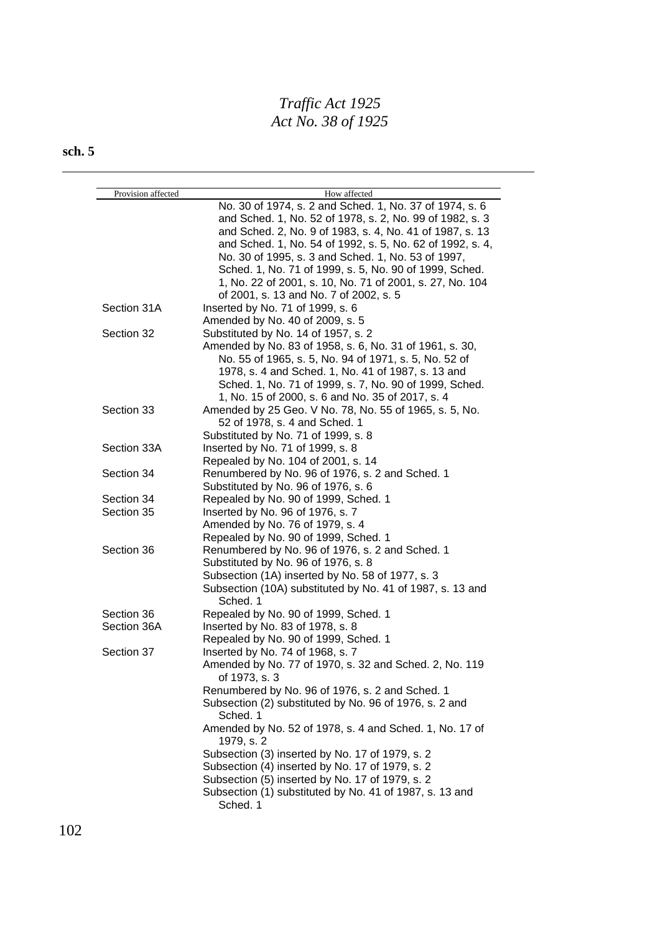| Provision affected | How affected                                                            |
|--------------------|-------------------------------------------------------------------------|
|                    | No. 30 of 1974, s. 2 and Sched. 1, No. 37 of 1974, s. 6                 |
|                    | and Sched. 1, No. 52 of 1978, s. 2, No. 99 of 1982, s. 3                |
|                    | and Sched. 2, No. 9 of 1983, s. 4, No. 41 of 1987, s. 13                |
|                    | and Sched. 1, No. 54 of 1992, s. 5, No. 62 of 1992, s. 4,               |
|                    | No. 30 of 1995, s. 3 and Sched. 1, No. 53 of 1997,                      |
|                    | Sched. 1, No. 71 of 1999, s. 5, No. 90 of 1999, Sched.                  |
|                    | 1, No. 22 of 2001, s. 10, No. 71 of 2001, s. 27, No. 104                |
|                    | of 2001, s. 13 and No. 7 of 2002, s. 5                                  |
| Section 31A        | Inserted by No. 71 of 1999, s. 6                                        |
|                    | Amended by No. 40 of 2009, s. 5                                         |
| Section 32         |                                                                         |
|                    | Substituted by No. 14 of 1957, s. 2                                     |
|                    | Amended by No. 83 of 1958, s. 6, No. 31 of 1961, s. 30,                 |
|                    | No. 55 of 1965, s. 5, No. 94 of 1971, s. 5, No. 52 of                   |
|                    | 1978, s. 4 and Sched. 1, No. 41 of 1987, s. 13 and                      |
|                    | Sched. 1, No. 71 of 1999, s. 7, No. 90 of 1999, Sched.                  |
|                    | 1, No. 15 of 2000, s. 6 and No. 35 of 2017, s. 4                        |
| Section 33         | Amended by 25 Geo. V No. 78, No. 55 of 1965, s. 5, No.                  |
|                    | 52 of 1978, s. 4 and Sched. 1                                           |
|                    | Substituted by No. 71 of 1999, s. 8                                     |
| Section 33A        | Inserted by No. 71 of 1999, s. 8                                        |
|                    | Repealed by No. 104 of 2001, s. 14                                      |
| Section 34         | Renumbered by No. 96 of 1976, s. 2 and Sched. 1                         |
|                    | Substituted by No. 96 of 1976, s. 6                                     |
| Section 34         | Repealed by No. 90 of 1999, Sched. 1                                    |
| Section 35         | Inserted by No. 96 of 1976, s. 7                                        |
|                    | Amended by No. 76 of 1979, s. 4                                         |
|                    | Repealed by No. 90 of 1999, Sched. 1                                    |
| Section 36         | Renumbered by No. 96 of 1976, s. 2 and Sched. 1                         |
|                    | Substituted by No. 96 of 1976, s. 8                                     |
|                    | Subsection (1A) inserted by No. 58 of 1977, s. 3                        |
|                    | Subsection (10A) substituted by No. 41 of 1987, s. 13 and               |
|                    | Sched. 1                                                                |
| Section 36         | Repealed by No. 90 of 1999, Sched. 1                                    |
| Section 36A        | Inserted by No. 83 of 1978, s. 8                                        |
|                    | Repealed by No. 90 of 1999, Sched. 1                                    |
| Section 37         | Inserted by No. 74 of 1968, s. 7                                        |
|                    | Amended by No. 77 of 1970, s. 32 and Sched. 2, No. 119<br>of 1973, s. 3 |
|                    | Renumbered by No. 96 of 1976, s. 2 and Sched. 1                         |
|                    | Subsection (2) substituted by No. 96 of 1976, s. 2 and<br>Sched. 1      |
|                    | Amended by No. 52 of 1978, s. 4 and Sched. 1, No. 17 of<br>1979, s. 2   |
|                    | Subsection (3) inserted by No. 17 of 1979, s. 2                         |
|                    | Subsection (4) inserted by No. 17 of 1979, s. 2                         |
|                    | Subsection (5) inserted by No. 17 of 1979, s. 2                         |
|                    | Subsection (1) substituted by No. 41 of 1987, s. 13 and                 |
|                    | Sched. 1                                                                |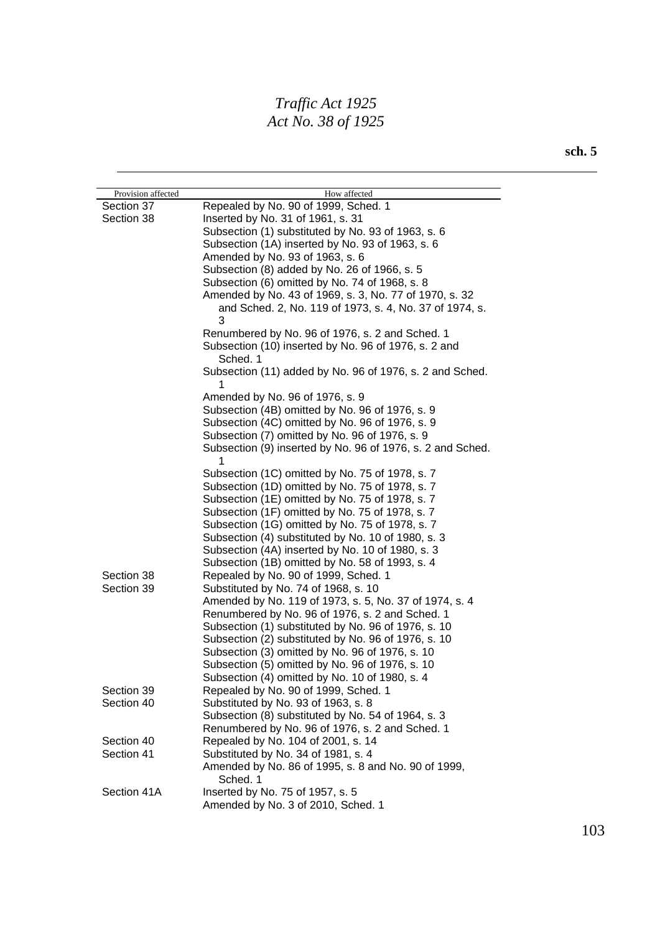| Provision affected | How affected                                                     |
|--------------------|------------------------------------------------------------------|
| Section 37         | Repealed by No. 90 of 1999, Sched. 1                             |
| Section 38         | Inserted by No. 31 of 1961, s. 31                                |
|                    | Subsection (1) substituted by No. 93 of 1963, s. 6               |
|                    | Subsection (1A) inserted by No. 93 of 1963, s. 6                 |
|                    | Amended by No. 93 of 1963, s. 6                                  |
|                    | Subsection (8) added by No. 26 of 1966, s. 5                     |
|                    | Subsection (6) omitted by No. 74 of 1968, s. 8                   |
|                    | Amended by No. 43 of 1969, s. 3, No. 77 of 1970, s. 32           |
|                    | and Sched. 2, No. 119 of 1973, s. 4, No. 37 of 1974, s.<br>3     |
|                    | Renumbered by No. 96 of 1976, s. 2 and Sched. 1                  |
|                    | Subsection (10) inserted by No. 96 of 1976, s. 2 and<br>Sched. 1 |
|                    | Subsection (11) added by No. 96 of 1976, s. 2 and Sched.<br>1    |
|                    | Amended by No. 96 of 1976, s. 9                                  |
|                    | Subsection (4B) omitted by No. 96 of 1976, s. 9                  |
|                    | Subsection (4C) omitted by No. 96 of 1976, s. 9                  |
|                    | Subsection (7) omitted by No. 96 of 1976, s. 9                   |
|                    | Subsection (9) inserted by No. 96 of 1976, s. 2 and Sched.<br>1  |
|                    | Subsection (1C) omitted by No. 75 of 1978, s. 7                  |
|                    | Subsection (1D) omitted by No. 75 of 1978, s. 7                  |
|                    | Subsection (1E) omitted by No. 75 of 1978, s. 7                  |
|                    | Subsection (1F) omitted by No. 75 of 1978, s. 7                  |
|                    | Subsection (1G) omitted by No. 75 of 1978, s. 7                  |
|                    | Subsection (4) substituted by No. 10 of 1980, s. 3               |
|                    | Subsection (4A) inserted by No. 10 of 1980, s. 3                 |
|                    | Subsection (1B) omitted by No. 58 of 1993, s. 4                  |
| Section 38         | Repealed by No. 90 of 1999, Sched. 1                             |
| Section 39         | Substituted by No. 74 of 1968, s. 10                             |
|                    | Amended by No. 119 of 1973, s. 5, No. 37 of 1974, s. 4           |
|                    | Renumbered by No. 96 of 1976, s. 2 and Sched. 1                  |
|                    | Subsection (1) substituted by No. 96 of 1976, s. 10              |
|                    | Subsection (2) substituted by No. 96 of 1976, s. 10              |
|                    | Subsection (3) omitted by No. 96 of 1976, s. 10                  |
|                    | Subsection (5) omitted by No. 96 of 1976, s. 10                  |
|                    | Subsection (4) omitted by No. 10 of 1980, s. 4                   |
| Section 39         | Repealed by No. 90 of 1999, Sched. 1                             |
| Section 40         | Substituted by No. 93 of 1963, s. 8                              |
|                    | Subsection (8) substituted by No. 54 of 1964, s. 3               |
|                    | Renumbered by No. 96 of 1976, s. 2 and Sched. 1                  |
| Section 40         | Repealed by No. 104 of 2001, s. 14                               |
| Section 41         | Substituted by No. 34 of 1981, s. 4                              |
|                    | Amended by No. 86 of 1995, s. 8 and No. 90 of 1999,<br>Sched. 1  |
| Section 41A        | Inserted by No. 75 of 1957, s. 5                                 |
|                    | Amended by No. 3 of 2010, Sched. 1                               |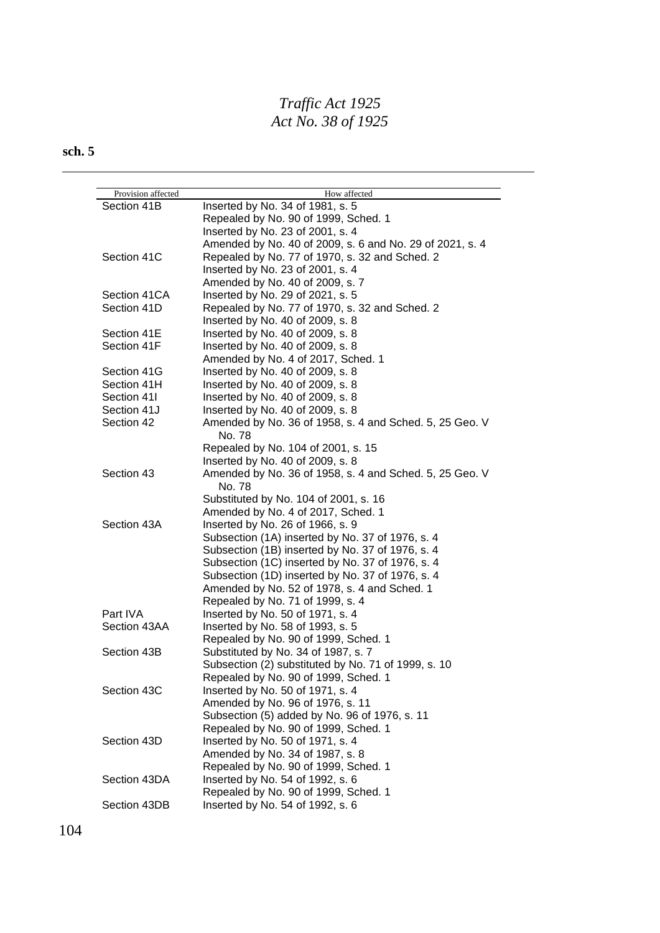## **sch. 5**

| Provision affected<br>Section 41B | How affected<br>Inserted by No. 34 of 1981, s. 5         |
|-----------------------------------|----------------------------------------------------------|
|                                   |                                                          |
|                                   | Repealed by No. 90 of 1999, Sched. 1                     |
|                                   | Inserted by No. 23 of 2001, s. 4                         |
|                                   | Amended by No. 40 of 2009, s. 6 and No. 29 of 2021, s. 4 |
| Section 41C                       | Repealed by No. 77 of 1970, s. 32 and Sched. 2           |
|                                   | Inserted by No. 23 of 2001, s. 4                         |
|                                   | Amended by No. 40 of 2009, s. 7                          |
| Section 41CA                      | Inserted by No. 29 of 2021, s. 5                         |
| Section 41D                       | Repealed by No. 77 of 1970, s. 32 and Sched. 2           |
|                                   | Inserted by No. 40 of 2009, s. 8                         |
| Section 41E                       | Inserted by No. 40 of 2009, s. 8                         |
| Section 41F                       | Inserted by No. 40 of 2009, s. 8                         |
|                                   | Amended by No. 4 of 2017, Sched. 1                       |
| Section 41G                       | Inserted by No. 40 of 2009, s. 8                         |
| Section 41H                       | Inserted by No. 40 of 2009, s. 8                         |
| Section 41I                       | Inserted by No. 40 of 2009, s. 8                         |
| Section 41J                       | Inserted by No. 40 of 2009, s. 8                         |
| Section 42                        | Amended by No. 36 of 1958, s. 4 and Sched. 5, 25 Geo. V  |
|                                   | No. 78                                                   |
|                                   | Repealed by No. 104 of 2001, s. 15                       |
|                                   | Inserted by No. 40 of 2009, s. 8                         |
| Section 43                        | Amended by No. 36 of 1958, s. 4 and Sched. 5, 25 Geo. V  |
|                                   | No. 78                                                   |
|                                   | Substituted by No. 104 of 2001, s. 16                    |
|                                   | Amended by No. 4 of 2017, Sched. 1                       |
| Section 43A                       | Inserted by No. 26 of 1966, s. 9                         |
|                                   | Subsection (1A) inserted by No. 37 of 1976, s. 4         |
|                                   | Subsection (1B) inserted by No. 37 of 1976, s. 4         |
|                                   | Subsection (1C) inserted by No. 37 of 1976, s. 4         |
|                                   | Subsection (1D) inserted by No. 37 of 1976, s. 4         |
|                                   | Amended by No. 52 of 1978, s. 4 and Sched. 1             |
|                                   | Repealed by No. 71 of 1999, s. 4                         |
| Part IVA                          | Inserted by No. 50 of 1971, s. 4                         |
| Section 43AA                      | Inserted by No. 58 of 1993, s. 5                         |
|                                   | Repealed by No. 90 of 1999, Sched. 1                     |
| Section 43B                       | Substituted by No. 34 of 1987, s. 7                      |
|                                   | Subsection (2) substituted by No. 71 of 1999, s. 10      |
|                                   | Repealed by No. 90 of 1999, Sched. 1                     |
| Section 43C                       | Inserted by No. 50 of 1971, s. 4                         |
|                                   | Amended by No. 96 of 1976, s. 11                         |
|                                   | Subsection (5) added by No. 96 of 1976, s. 11            |
|                                   | Repealed by No. 90 of 1999, Sched. 1                     |
| Section 43D                       |                                                          |
|                                   | Inserted by No. 50 of 1971, s. 4                         |
|                                   | Amended by No. 34 of 1987, s. 8                          |
|                                   | Repealed by No. 90 of 1999, Sched. 1                     |
| Section 43DA                      | Inserted by No. 54 of 1992, s. 6                         |
|                                   | Repealed by No. 90 of 1999, Sched. 1                     |
| Section 43DB                      | Inserted by No. 54 of 1992, s. 6                         |

104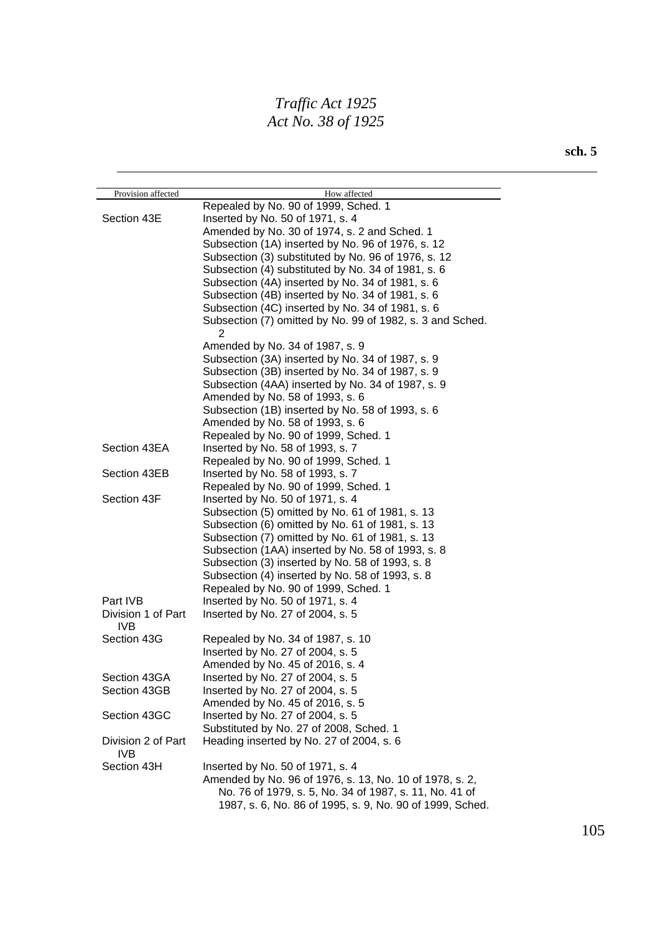| Provision affected               | How affected                                                   |
|----------------------------------|----------------------------------------------------------------|
|                                  | Repealed by No. 90 of 1999, Sched. 1                           |
| Section 43E                      | Inserted by No. 50 of 1971, s. 4                               |
|                                  | Amended by No. 30 of 1974, s. 2 and Sched. 1                   |
|                                  | Subsection (1A) inserted by No. 96 of 1976, s. 12              |
|                                  | Subsection (3) substituted by No. 96 of 1976, s. 12            |
|                                  | Subsection (4) substituted by No. 34 of 1981, s. 6             |
|                                  | Subsection (4A) inserted by No. 34 of 1981, s. 6               |
|                                  | Subsection (4B) inserted by No. 34 of 1981, s. 6               |
|                                  | Subsection (4C) inserted by No. 34 of 1981, s. 6               |
|                                  | Subsection (7) omitted by No. 99 of 1982, s. 3 and Sched.<br>2 |
|                                  | Amended by No. 34 of 1987, s. 9                                |
|                                  | Subsection (3A) inserted by No. 34 of 1987, s. 9               |
|                                  | Subsection (3B) inserted by No. 34 of 1987, s. 9               |
|                                  | Subsection (4AA) inserted by No. 34 of 1987, s. 9              |
|                                  | Amended by No. 58 of 1993, s. 6                                |
|                                  | Subsection (1B) inserted by No. 58 of 1993, s. 6               |
|                                  | Amended by No. 58 of 1993, s. 6                                |
|                                  | Repealed by No. 90 of 1999, Sched. 1                           |
| Section 43EA                     | Inserted by No. 58 of 1993, s. 7                               |
|                                  | Repealed by No. 90 of 1999, Sched. 1                           |
| Section 43EB                     | Inserted by No. 58 of 1993, s. 7                               |
|                                  | Repealed by No. 90 of 1999, Sched. 1                           |
| Section 43F                      | Inserted by No. 50 of 1971, s. 4                               |
|                                  | Subsection (5) omitted by No. 61 of 1981, s. 13                |
|                                  | Subsection (6) omitted by No. 61 of 1981, s. 13                |
|                                  | Subsection (7) omitted by No. 61 of 1981, s. 13                |
|                                  | Subsection (1AA) inserted by No. 58 of 1993, s. 8              |
|                                  | Subsection (3) inserted by No. 58 of 1993, s. 8                |
|                                  | Subsection (4) inserted by No. 58 of 1993, s. 8                |
|                                  | Repealed by No. 90 of 1999, Sched. 1                           |
| Part IVB                         | Inserted by No. 50 of 1971, s. 4                               |
| Division 1 of Part<br><b>IVB</b> | Inserted by No. 27 of 2004, s. 5                               |
| Section 43G                      | Repealed by No. 34 of 1987, s. 10                              |
|                                  | Inserted by No. 27 of 2004, s. 5                               |
|                                  | Amended by No. 45 of 2016, s. 4                                |
| Section 43GA                     | Inserted by No. 27 of 2004, s. 5                               |
| Section 43GB                     | Inserted by No. 27 of 2004, s. 5                               |
|                                  | Amended by No. 45 of 2016, s. 5                                |
| Section 43GC                     | Inserted by No. 27 of 2004, s. 5                               |
|                                  | Substituted by No. 27 of 2008, Sched. 1                        |
| Division 2 of Part<br>IVB.       | Heading inserted by No. 27 of 2004, s. 6                       |
| Section 43H                      | Inserted by No. 50 of 1971, s. 4                               |
|                                  | Amended by No. 96 of 1976, s. 13, No. 10 of 1978, s. 2,        |
|                                  | No. 76 of 1979, s. 5, No. 34 of 1987, s. 11, No. 41 of         |
|                                  | 1987, s. 6, No. 86 of 1995, s. 9, No. 90 of 1999, Sched.       |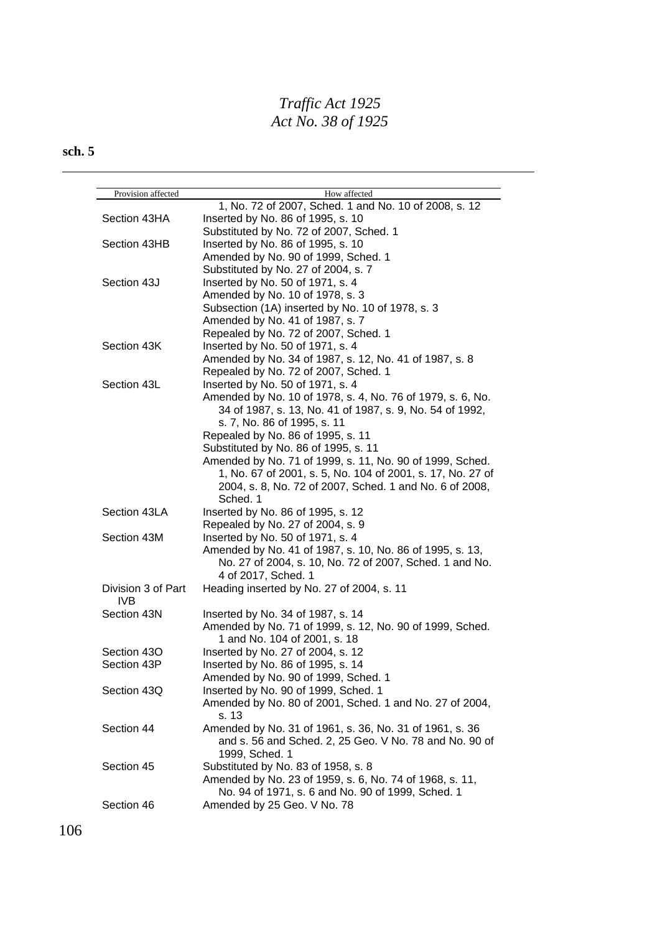| Provision affected | How affected                                               |
|--------------------|------------------------------------------------------------|
|                    | 1, No. 72 of 2007, Sched. 1 and No. 10 of 2008, s. 12      |
| Section 43HA       | Inserted by No. 86 of 1995, s. 10                          |
|                    | Substituted by No. 72 of 2007, Sched. 1                    |
| Section 43HB       | Inserted by No. 86 of 1995, s. 10                          |
|                    | Amended by No. 90 of 1999, Sched. 1                        |
|                    | Substituted by No. 27 of 2004, s. 7                        |
| Section 43J        | Inserted by No. 50 of 1971, s. 4                           |
|                    | Amended by No. 10 of 1978, s. 3                            |
|                    | Subsection (1A) inserted by No. 10 of 1978, s. 3           |
|                    | Amended by No. 41 of 1987, s. 7                            |
|                    | Repealed by No. 72 of 2007, Sched. 1                       |
| Section 43K        | Inserted by No. 50 of 1971, s. 4                           |
|                    | Amended by No. 34 of 1987, s. 12, No. 41 of 1987, s. 8     |
|                    | Repealed by No. 72 of 2007, Sched. 1                       |
| Section 43L        | Inserted by No. 50 of 1971, s. 4                           |
|                    | Amended by No. 10 of 1978, s. 4, No. 76 of 1979, s. 6, No. |
|                    | 34 of 1987, s. 13, No. 41 of 1987, s. 9, No. 54 of 1992,   |
|                    | s. 7, No. 86 of 1995, s. 11                                |
|                    | Repealed by No. 86 of 1995, s. 11                          |
|                    | Substituted by No. 86 of 1995, s. 11                       |
|                    | Amended by No. 71 of 1999, s. 11, No. 90 of 1999, Sched.   |
|                    | 1, No. 67 of 2001, s. 5, No. 104 of 2001, s. 17, No. 27 of |
|                    | 2004, s. 8, No. 72 of 2007, Sched. 1 and No. 6 of 2008,    |
|                    | Sched. 1                                                   |
| Section 43LA       | Inserted by No. 86 of 1995, s. 12                          |
|                    | Repealed by No. 27 of 2004, s. 9                           |
| Section 43M        | Inserted by No. 50 of 1971, s. 4                           |
|                    | Amended by No. 41 of 1987, s. 10, No. 86 of 1995, s. 13,   |
|                    | No. 27 of 2004, s. 10, No. 72 of 2007, Sched. 1 and No.    |
|                    | 4 of 2017, Sched. 1                                        |
| Division 3 of Part | Heading inserted by No. 27 of 2004, s. 11                  |
| IVB                |                                                            |
| Section 43N        | Inserted by No. 34 of 1987, s. 14                          |
|                    | Amended by No. 71 of 1999, s. 12, No. 90 of 1999, Sched.   |
|                    | 1 and No. 104 of 2001, s. 18                               |
| Section 43O        | Inserted by No. 27 of 2004, s. 12                          |
| Section 43P        | Inserted by No. 86 of 1995, s. 14                          |
|                    | Amended by No. 90 of 1999, Sched. 1                        |
| Section 43Q        | Inserted by No. 90 of 1999, Sched. 1                       |
|                    | Amended by No. 80 of 2001, Sched. 1 and No. 27 of 2004,    |
|                    | s. 13                                                      |
| Section 44         | Amended by No. 31 of 1961, s. 36, No. 31 of 1961, s. 36    |
|                    | and s. 56 and Sched. 2, 25 Geo. V No. 78 and No. 90 of     |
|                    | 1999, Sched. 1                                             |
| Section 45         | Substituted by No. 83 of 1958, s. 8                        |
|                    | Amended by No. 23 of 1959, s. 6, No. 74 of 1968, s. 11,    |
|                    | No. 94 of 1971, s. 6 and No. 90 of 1999, Sched. 1          |
| Section 46         | Amended by 25 Geo. V No. 78                                |
|                    |                                                            |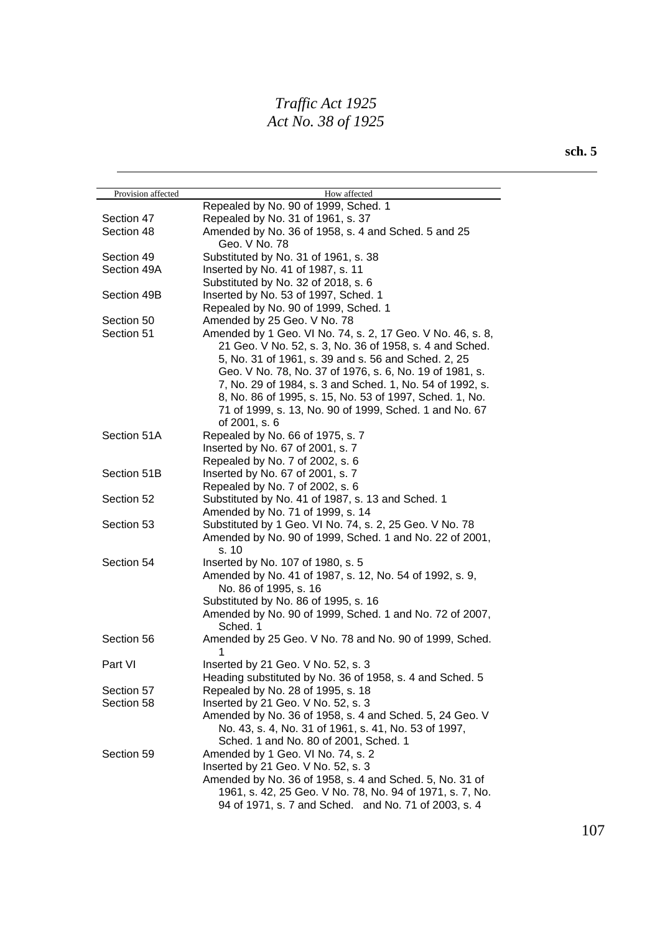| Provision affected | How affected                                               |
|--------------------|------------------------------------------------------------|
|                    | Repealed by No. 90 of 1999, Sched. 1                       |
| Section 47         | Repealed by No. 31 of 1961, s. 37                          |
| Section 48         | Amended by No. 36 of 1958, s. 4 and Sched. 5 and 25        |
|                    | Geo. V No. 78                                              |
| Section 49         | Substituted by No. 31 of 1961, s. 38                       |
| Section 49A        | Inserted by No. 41 of 1987, s. 11                          |
|                    | Substituted by No. 32 of 2018, s. 6                        |
| Section 49B        | Inserted by No. 53 of 1997, Sched. 1                       |
|                    | Repealed by No. 90 of 1999, Sched. 1                       |
| Section 50         | Amended by 25 Geo. V No. 78                                |
| Section 51         | Amended by 1 Geo. VI No. 74, s. 2, 17 Geo. V No. 46, s. 8, |
|                    | 21 Geo. V No. 52, s. 3, No. 36 of 1958, s. 4 and Sched.    |
|                    | 5, No. 31 of 1961, s. 39 and s. 56 and Sched. 2, 25        |
|                    | Geo. V No. 78, No. 37 of 1976, s. 6, No. 19 of 1981, s.    |
|                    | 7, No. 29 of 1984, s. 3 and Sched. 1, No. 54 of 1992, s.   |
|                    | 8, No. 86 of 1995, s. 15, No. 53 of 1997, Sched. 1, No.    |
|                    | 71 of 1999, s. 13, No. 90 of 1999, Sched. 1 and No. 67     |
|                    | of 2001, s. 6                                              |
| Section 51A        | Repealed by No. 66 of 1975, s. 7                           |
|                    | Inserted by No. 67 of 2001, s. 7                           |
|                    | Repealed by No. 7 of 2002, s. 6                            |
| Section 51B        | Inserted by No. 67 of 2001, s. 7                           |
|                    | Repealed by No. 7 of 2002, s. 6                            |
| Section 52         | Substituted by No. 41 of 1987, s. 13 and Sched. 1          |
|                    | Amended by No. 71 of 1999, s. 14                           |
| Section 53         | Substituted by 1 Geo. VI No. 74, s. 2, 25 Geo. V No. 78    |
|                    | Amended by No. 90 of 1999, Sched. 1 and No. 22 of 2001,    |
|                    | s. 10                                                      |
| Section 54         | Inserted by No. 107 of 1980, s. 5                          |
|                    | Amended by No. 41 of 1987, s. 12, No. 54 of 1992, s. 9,    |
|                    | No. 86 of 1995, s. 16                                      |
|                    | Substituted by No. 86 of 1995, s. 16                       |
|                    | Amended by No. 90 of 1999, Sched. 1 and No. 72 of 2007,    |
|                    | Sched. 1                                                   |
| Section 56         | Amended by 25 Geo. V No. 78 and No. 90 of 1999, Sched.     |
|                    |                                                            |
| Part VI            | Inserted by 21 Geo. V No. 52, s. 3                         |
|                    | Heading substituted by No. 36 of 1958, s. 4 and Sched. 5   |
| Section 57         | Repealed by No. 28 of 1995, s. 18                          |
| Section 58         | Inserted by 21 Geo. V No. 52, s. 3                         |
|                    | Amended by No. 36 of 1958, s. 4 and Sched. 5, 24 Geo. V    |
|                    | No. 43, s. 4, No. 31 of 1961, s. 41, No. 53 of 1997,       |
|                    | Sched. 1 and No. 80 of 2001, Sched. 1                      |
| Section 59         | Amended by 1 Geo. VI No. 74, s. 2                          |
|                    | Inserted by 21 Geo. V No. 52, s. 3                         |
|                    | Amended by No. 36 of 1958, s. 4 and Sched. 5, No. 31 of    |
|                    | 1961, s. 42, 25 Geo. V No. 78, No. 94 of 1971, s. 7, No.   |
|                    | 94 of 1971, s. 7 and Sched. and No. 71 of 2003, s. 4       |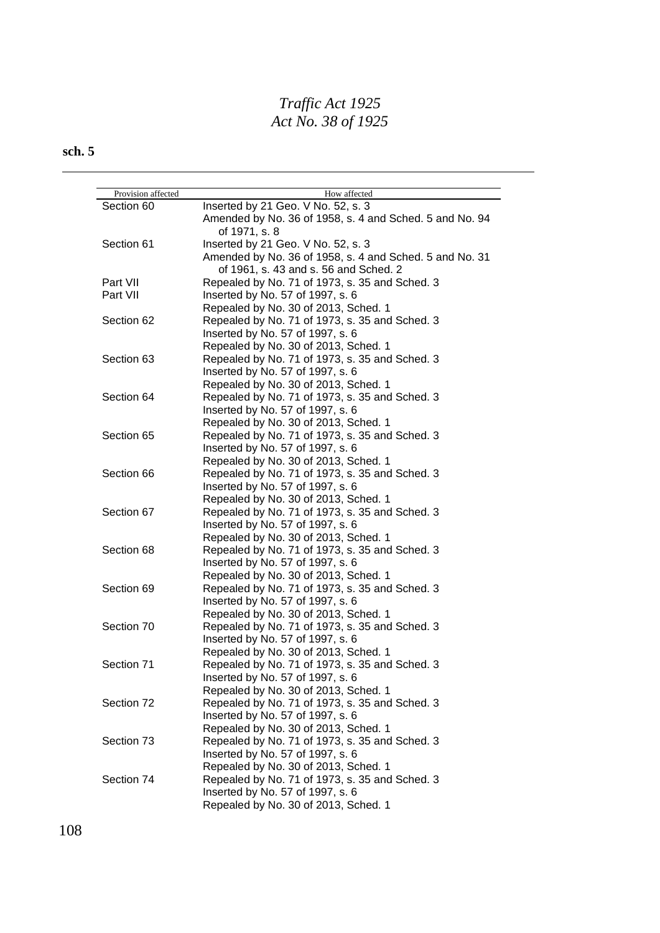| Provision affected | How affected                                            |
|--------------------|---------------------------------------------------------|
| Section 60         | Inserted by 21 Geo. V No. 52, s. 3                      |
|                    | Amended by No. 36 of 1958, s. 4 and Sched. 5 and No. 94 |
|                    | of 1971, s. 8                                           |
| Section 61         | Inserted by 21 Geo. V No. 52, s. 3                      |
|                    | Amended by No. 36 of 1958, s. 4 and Sched. 5 and No. 31 |
|                    | of 1961, s. 43 and s. 56 and Sched. 2                   |
| Part VII           | Repealed by No. 71 of 1973, s. 35 and Sched. 3          |
| Part VII           | Inserted by No. 57 of 1997, s. 6                        |
|                    | Repealed by No. 30 of 2013, Sched. 1                    |
| Section 62         | Repealed by No. 71 of 1973, s. 35 and Sched. 3          |
|                    | Inserted by No. 57 of 1997, s. 6                        |
|                    | Repealed by No. 30 of 2013, Sched. 1                    |
| Section 63         | Repealed by No. 71 of 1973, s. 35 and Sched. 3          |
|                    | Inserted by No. 57 of 1997, s. 6                        |
|                    | Repealed by No. 30 of 2013, Sched. 1                    |
| Section 64         | Repealed by No. 71 of 1973, s. 35 and Sched. 3          |
|                    | Inserted by No. 57 of 1997, s. 6                        |
|                    | Repealed by No. 30 of 2013, Sched. 1                    |
| Section 65         | Repealed by No. 71 of 1973, s. 35 and Sched. 3          |
|                    | Inserted by No. 57 of 1997, s. 6                        |
|                    | Repealed by No. 30 of 2013, Sched. 1                    |
| Section 66         | Repealed by No. 71 of 1973, s. 35 and Sched. 3          |
|                    | Inserted by No. 57 of 1997, s. 6                        |
|                    | Repealed by No. 30 of 2013, Sched. 1                    |
| Section 67         | Repealed by No. 71 of 1973, s. 35 and Sched. 3          |
|                    | Inserted by No. 57 of 1997, s. 6                        |
|                    | Repealed by No. 30 of 2013, Sched. 1                    |
| Section 68         | Repealed by No. 71 of 1973, s. 35 and Sched. 3          |
|                    | Inserted by No. 57 of 1997, s. 6                        |
|                    | Repealed by No. 30 of 2013, Sched. 1                    |
| Section 69         | Repealed by No. 71 of 1973, s. 35 and Sched. 3          |
|                    | Inserted by No. 57 of 1997, s. 6                        |
|                    | Repealed by No. 30 of 2013, Sched. 1                    |
| Section 70         | Repealed by No. 71 of 1973, s. 35 and Sched. 3          |
|                    | Inserted by No. 57 of 1997, s. 6                        |
|                    | Repealed by No. 30 of 2013, Sched. 1                    |
| Section 71         | Repealed by No. 71 of 1973, s. 35 and Sched. 3          |
|                    | Inserted by No. 57 of 1997, s. 6                        |
|                    | Repealed by No. 30 of 2013, Sched. 1                    |
| Section 72         | Repealed by No. 71 of 1973, s. 35 and Sched. 3          |
|                    | Inserted by No. 57 of 1997, s. 6                        |
|                    | Repealed by No. 30 of 2013, Sched. 1                    |
| Section 73         | Repealed by No. 71 of 1973, s. 35 and Sched. 3          |
|                    | Inserted by No. 57 of 1997, s. 6                        |
|                    | Repealed by No. 30 of 2013, Sched. 1                    |
| Section 74         | Repealed by No. 71 of 1973, s. 35 and Sched. 3          |
|                    | Inserted by No. 57 of 1997, s. 6                        |
|                    | Repealed by No. 30 of 2013, Sched. 1                    |